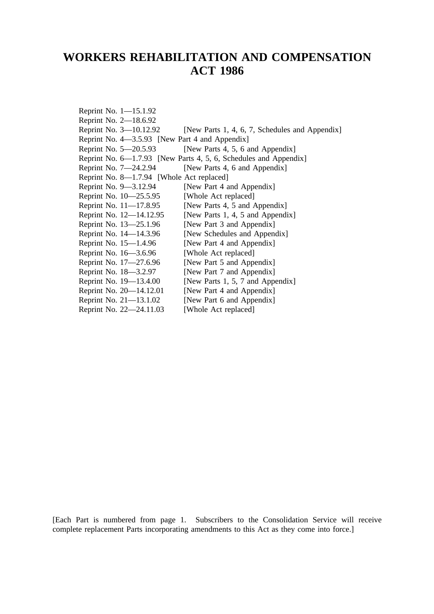# **WORKERS REHABILITATION AND COMPENSATION ACT 1986**

Reprint No. 1—15.1.92 Reprint No. 2—18.6.92 Reprint No. 3–10.12.92 [New Parts 1, 4, 6, 7, Schedules and Appendix] Reprint No. 4—3.5.93 [New Part 4 and Appendix] Reprint No.  $5-20.5.93$  [New Parts 4, 5, 6 and Appendix] Reprint No. 6—1.7.93 [New Parts 4, 5, 6, Schedules and Appendix] Reprint No. 7—24.2.94 [New Parts 4, 6 and Appendix] Reprint No. 8—1.7.94 [Whole Act replaced] Reprint No. 9—3.12.94 [New Part 4 and Appendix]<br>Reprint No. 10—25.5.95 [Whole Act replaced] Reprint No.  $10-25.5.95$ Reprint No.  $11-17.8.95$  [New Parts 4, 5 and Appendix] Reprint No.  $12-14.12.95$  [New Parts 1, 4, 5 and Appendix] Reprint No. 13–25.1.96 [New Part 3 and Appendix] Reprint No. 14—14.3.96 [New Schedules and Appendix] Reprint No. 15—1.4.96 [New Part 4 and Appendix]<br>Reprint No. 16—3.6.96 [Whole Act replaced] Reprint No.  $16 - 3.6.96$ Reprint No. 17-27.6.96 [New Part 5 and Appendix] Reprint No. 18—3.2.97 [New Part 7 and Appendix] Reprint No.  $19-13.4.00$  [New Parts 1, 5, 7 and Appendix] Reprint No. 20—14.12.01 [New Part 4 and Appendix] Reprint No. 21—13.1.02 [New Part 6 and Appendix] Reprint No. 22—24.11.03 [Whole Act replaced]

[Each Part is numbered from page 1. Subscribers to the Consolidation Service will receive complete replacement Parts incorporating amendments to this Act as they come into force.]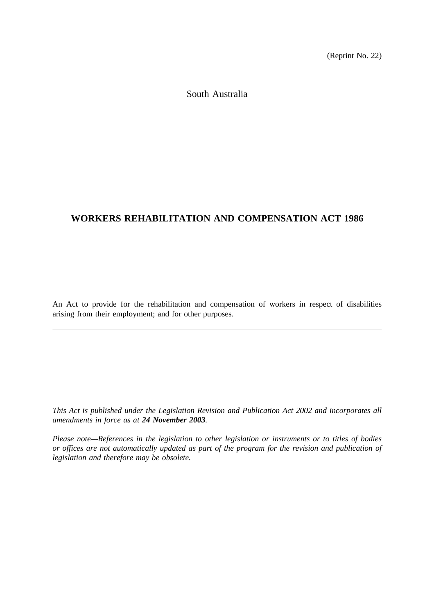(Reprint No. 22)

South Australia

# **WORKERS REHABILITATION AND COMPENSATION ACT 1986**

An Act to provide for the rehabilitation and compensation of workers in respect of disabilities arising from their employment; and for other purposes.

*This Act is published under the Legislation Revision and Publication Act 2002 and incorporates all amendments in force as at 24 November 2003.*

*Please note—References in the legislation to other legislation or instruments or to titles of bodies or offices are not automatically updated as part of the program for the revision and publication of legislation and therefore may be obsolete.*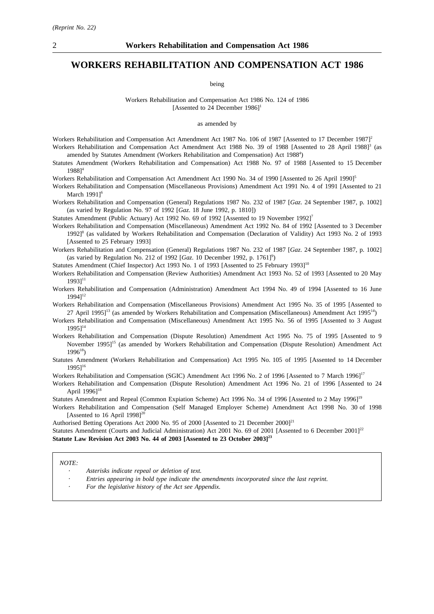### **WORKERS REHABILITATION AND COMPENSATION ACT 1986**

being

Workers Rehabilitation and Compensation Act 1986 No. 124 of 1986 [Assented to 24 December  $1986$ ]<sup>1</sup>

as amended by

Workers Rehabilitation and Compensation Act Amendment Act 1987 No. 106 of 1987 [Assented to 17 December 1987]<sup>2</sup> Workers Rehabilitation and Compensation Act Amendment Act 1988 No. 39 of 1988 [Assented to 28 April 1988]<sup>3</sup> (as amended by Statutes Amendment (Workers Rehabilitation and Compensation) Act 1988<sup>4</sup>)

Statutes Amendment (Workers Rehabilitation and Compensation) Act 1988 No. 97 of 1988 [Assented to 15 December 1988]4

Workers Rehabilitation and Compensation Act Amendment Act 1990 No. 34 of 1990 [Assented to 26 April 1990]<sup>5</sup>

Workers Rehabilitation and Compensation (Miscellaneous Provisions) Amendment Act 1991 No. 4 of 1991 [Assented to 21 March 1991<sup>6</sup>

Workers Rehabilitation and Compensation (General) Regulations 1987 No. 232 of 1987 [*Gaz*. 24 September 1987, p. 1002] (as varied by Regulation No. 97 of 1992 [*Gaz*. 18 June 1992, p. 1810])

Statutes Amendment (Public Actuary) Act 1992 No. 69 of 1992 [Assented to 19 November 1992]<sup>7</sup>

Workers Rehabilitation and Compensation (Miscellaneous) Amendment Act 1992 No. 84 of 1992 [Assented to 3 December 1992]8 (as validated by Workers Rehabilitation and Compensation (Declaration of Validity) Act 1993 No. 2 of 1993 [Assented to 25 February 1993]

Workers Rehabilitation and Compensation (General) Regulations 1987 No. 232 of 1987 [*Gaz*. 24 September 1987, p. 1002] (as varied by Regulation No. 212 of 1992 [*Gaz*. 10 December 1992, p. 1761]<sup>9</sup>)

Statutes Amendment (Chief Inspector) Act 1993 No. 1 of 1993 [Assented to 25 February 1993]<sup>10</sup>

Workers Rehabilitation and Compensation (Review Authorities) Amendment Act 1993 No. 52 of 1993 [Assented to 20 May  $1993$ ]<sup>11</sup>

Workers Rehabilitation and Compensation (Administration) Amendment Act 1994 No. 49 of 1994 [Assented to 16 June 1994]<sup>12</sup>

Workers Rehabilitation and Compensation (Miscellaneous Provisions) Amendment Act 1995 No. 35 of 1995 [Assented to  $27$  April 1995]<sup>13</sup> (as amended by Workers Rehabilitation and Compensation (Miscellaneous) Amendment Act 1995<sup>14</sup>)

Workers Rehabilitation and Compensation (Miscellaneous) Amendment Act 1995 No. 56 of 1995 [Assented to 3 August  $1995$ ]<sup>14</sup>

Workers Rehabilitation and Compensation (Dispute Resolution) Amendment Act 1995 No. 75 of 1995 [Assented to 9 November 1995]15 (as amended by Workers Rehabilitation and Compensation (Dispute Resolution) Amendment Act  $1996^{18}$ 

Statutes Amendment (Workers Rehabilitation and Compensation) Act 1995 No. 105 of 1995 [Assented to 14 December  $1995$ ]<sup>16</sup>

Workers Rehabilitation and Compensation (SGIC) Amendment Act 1996 No. 2 of 1996 [Assented to 7 March 1996]<sup>17</sup>

Workers Rehabilitation and Compensation (Dispute Resolution) Amendment Act 1996 No. 21 of 1996 [Assented to 24 April  $1996$ <sup>18</sup>

Statutes Amendment and Repeal (Common Expiation Scheme) Act 1996 No. 34 of 1996 [Assented to 2 May 1996]<sup>19</sup>

Workers Rehabilitation and Compensation (Self Managed Employer Scheme) Amendment Act 1998 No. 30 of 1998 [Assented to 16 April 1998]<sup>20</sup>

Authorised Betting Operations Act 2000 No. 95 of 2000 [Assented to 21 December 2000]<sup>21</sup>

Statutes Amendment (Courts and Judicial Administration) Act 2001 No. 69 of 2001 [Assented to 6 December 2001]<sup>22</sup> **Statute Law Revision Act 2003 No. 44 of 2003 [Assented to 23 October 2003]23**

*NOTE:*

*Asterisks indicate repeal or deletion of text.*

- *Entries appearing in bold type indicate the amendments incorporated since the last reprint.*
- *For the legislative history of the Act see Appendix.*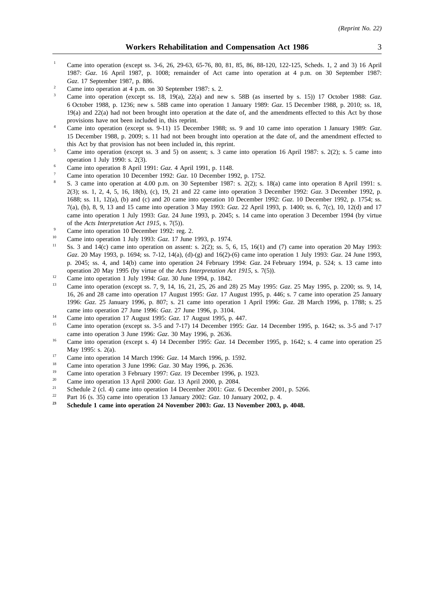- <sup>1</sup> Came into operation (except ss. 3-6, 26, 29-63, 65-76, 80, 81, 85, 86, 88-120, 122-125, Scheds. 1, 2 and 3) 16 April 1987: *Gaz*. 16 April 1987, p. 1008; remainder of Act came into operation at 4 p.m. on 30 September 1987: *Gaz*. 17 September 1987, p. 886.
- <sup>2</sup> Came into operation at 4 p.m. on 30 September 1987: s. 2.
- <sup>3</sup> Came into operation (except ss. 18, 19(a), 22(a) and new s. 58B (as inserted by s. 15)) 17 October 1988: *Gaz*. 6 October 1988, p. 1236; new s. 58B came into operation 1 January 1989: *Gaz*. 15 December 1988, p. 2010; ss. 18, 19(a) and 22(a) had not been brought into operation at the date of, and the amendments effected to this Act by those provisions have not been included in, this reprint.
- <sup>4</sup> Came into operation (except ss. 9-11) 15 December 1988; ss. 9 and 10 came into operation 1 January 1989: *Gaz*. 15 December 1988, p. 2009; s. 11 had not been brought into operation at the date of, and the amendment effected to this Act by that provision has not been included in, this reprint.
- <sup>5</sup> Came into operation (except ss. 3 and 5) on assent; s. 3 came into operation 16 April 1987: s. 2(2); s. 5 came into operation 1 July 1990: s. 2(3).
- <sup>6</sup> Came into operation 8 April 1991: *Gaz*. 4 April 1991, p. 1148.
- <sup>7</sup> Came into operation 10 December 1992: *Gaz*. 10 December 1992, p. 1752.
- <sup>8</sup> S. 3 came into operation at 4.00 p.m. on 30 September 1987: s. 2(2); s. 18(a) came into operation 8 April 1991: s. 2(3); ss. 1, 2, 4, 5, 16, 18(b), (c), 19, 21 and 22 came into operation 3 December 1992: *Gaz*. 3 December 1992, p. 1688; ss. 11, 12(a), (b) and (c) and 20 came into operation 10 December 1992: *Gaz*. 10 December 1992, p. 1754; ss. 7(a), (b), 8, 9, 13 and 15 came into operation 3 May 1993: *Gaz*. 22 April 1993, p. 1400; ss. 6, 7(c), 10, 12(d) and 17 came into operation 1 July 1993: *Gaz*. 24 June 1993, p. 2045; s. 14 came into operation 3 December 1994 (by virtue of the *Acts Interpretation Act 1915*, s. 7(5)).
- <sup>9</sup> Came into operation 10 December 1992: reg. 2.<br> $\frac{10}{2}$  Came into aparation 1 July 1002: Cap 17 June
- <sup>10</sup> Came into operation 1 July 1993: *Gaz*. 17 June 1993, p. 1974.
- Ss. 3 and 14(c) came into operation on assent: s. 2(2); ss. 5, 6, 15, 16(1) and (7) came into operation 20 May 1993: *Gaz*. 20 May 1993, p. 1694; ss. 7-12, 14(a), (d)-(g) and 16(2)-(6) came into operation 1 July 1993: *Gaz*. 24 June 1993, p. 2045; ss. 4, and 14(b) came into operation 24 February 1994: *Gaz*. 24 February 1994, p. 524; s. 13 came into operation 20 May 1995 (by virtue of the *Acts Interpretation Act 1915*, s. 7(5)).
- <sup>12</sup> Came into operation 1 July 1994: *Gaz*. 30 June 1994, p. 1842.
- <sup>13</sup> Came into operation (except ss. 7, 9, 14, 16, 21, 25, 26 and 28) 25 May 1995: *Gaz*. 25 May 1995, p. 2200; ss. 9, 14, 16, 26 and 28 came into operation 17 August 1995: *Gaz*. 17 August 1995, p. 446; s. 7 came into operation 25 January 1996: *Gaz*. 25 January 1996, p. 807; s. 21 came into operation 1 April 1996: *Gaz*. 28 March 1996, p. 1788; s. 25 came into operation 27 June 1996: *Gaz*. 27 June 1996, p. 3104.
- <sup>14</sup> Came into operation 17 August 1995: *Gaz*. 17 August 1995, p. 447.
- <sup>15</sup> Came into operation (except ss. 3-5 and 7-17) 14 December 1995: *Gaz*. 14 December 1995, p. 1642; ss. 3-5 and 7-17 came into operation 3 June 1996: *Gaz*. 30 May 1996, p. 2636.
- <sup>16</sup> Came into operation (except s. 4) 14 December 1995: *Gaz*. 14 December 1995, p. 1642; s. 4 came into operation 25 May 1995: s. 2(a).
- 17 Came into operation 14 March 1996: *Gaz*. 14 March 1996, p. 1592.<br>
<sup>18</sup> Came into operation 2 June 1006: *Car*. 20 May 1006, p. 2626
- <sup>18</sup> Came into operation 3 June 1996: *Gaz*. 30 May 1996, p. 2636.
- <sup>19</sup> Came into operation 3 February 1997: *Gaz*. 19 December 1996, p. 1923.<br><sup>20</sup> Came into appraise 12 Agril 2000: *Gaz.* 12 Agril 2000, p. 2004.
- <sup>20</sup> Came into operation 13 April 2000: *Gaz*. 13 April 2000, p. 2084.
- <sup>21</sup> Schedule 2 (cl. 4) came into operation 14 December 2001: *Gaz*. 6 December 2001, p. 5266.
- <sup>22</sup> Part 16 (s. 35) came into operation 13 January 2002: *Gaz*. 10 January 2002, p. 4.<br> **Exhibits 1 some into operation 24 November 2003:** *Gaz*. 13 November 2003.
- **<sup>23</sup> Schedule 1 came into operation 24 November 2003:** *Gaz***. 13 November 2003, p. 4048.**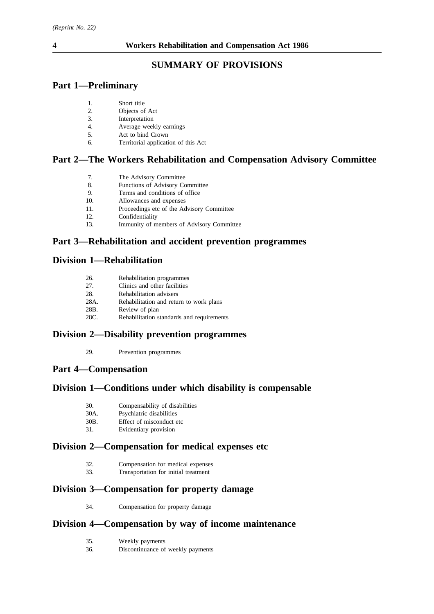# **SUMMARY OF PROVISIONS**

# **Part 1—Preliminary**

| 1. | Short title                         |
|----|-------------------------------------|
| 2. | Objects of Act                      |
| 3. | Interpretation                      |
| 4. | Average weekly earnings             |
| 5. | Act to bind Crown                   |
| б. | Territorial application of this Act |
|    |                                     |

# **Part 2—The Workers Rehabilitation and Compensation Advisory Committee**

- 8. Functions of Advisory Committee
- 9. Terms and conditions of office
- 10. Allowances and expenses
- 11. Proceedings etc of the Advisory Committee
- 12. Confidentiality
- 13. Immunity of members of Advisory Committee

# **Part 3—Rehabilitation and accident prevention programmes**

# **Division 1—Rehabilitation**

| 26.  | Rehabilitation programmes                 |
|------|-------------------------------------------|
| 27.  | Clinics and other facilities              |
| 28.  | Rehabilitation advisers                   |
| 28A. | Rehabilitation and return to work plans   |
| 28B. | Review of plan                            |
| 28C. | Rehabilitation standards and requirements |

# **Division 2—Disability prevention programmes**

29. Prevention programmes

# **Part 4—Compensation**

# **Division 1—Conditions under which disability is compensable**

| 30.                  |  |  | Compensability of disabilities |
|----------------------|--|--|--------------------------------|
| $\sim$ $\sim$ $\sim$ |  |  |                                |

- 30A. Psychiatric disabilities
- 30B. Effect of misconduct etc 31. Evidentiary provision

# **Division 2—Compensation for medical expenses etc**

- 32. Compensation for medical expenses<br>33. Transportation for initial treatment
- 33. Transportation for initial treatment

# **Division 3—Compensation for property damage**

34. Compensation for property damage

### **Division 4—Compensation by way of income maintenance**

- 35. Weekly payments
- 36. Discontinuance of weekly payments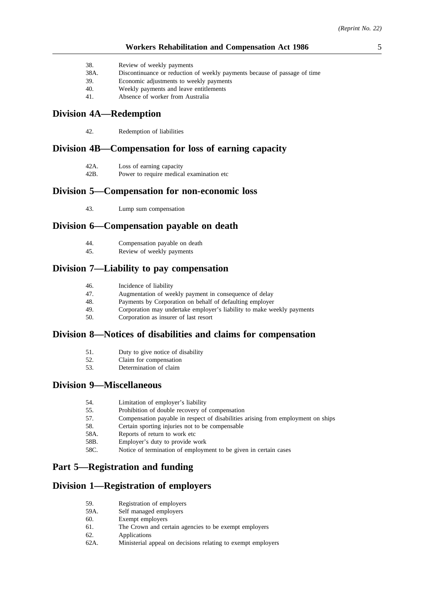- 38. Review of weekly payments
- 38A. Discontinuance or reduction of weekly payments because of passage of time
- 39. Economic adjustments to weekly payments
- 40. Weekly payments and leave entitlements
- 41. Absence of worker from Australia

### **Division 4A—Redemption**

42. Redemption of liabilities

### **Division 4B—Compensation for loss of earning capacity**

- 42A. Loss of earning capacity
- 42B. Power to require medical examination etc

### **Division 5—Compensation for non-economic loss**

43. Lump sum compensation

### **Division 6—Compensation payable on death**

- 44. Compensation payable on death<br>45. Review of weekly payments
- Review of weekly payments

### **Division 7—Liability to pay compensation**

- 46. Incidence of liability<br>47 Augmentation of week
- 47. Augmentation of weekly payment in consequence of delay<br>48. Payments by Corporation on behalf of defaulting employer
- Payments by Corporation on behalf of defaulting employer
- 49. Corporation may undertake employer's liability to make weekly payments
- 50. Corporation as insurer of last resort

### **Division 8—Notices of disabilities and claims for compensation**

- 51. Duty to give notice of disability
- 52. Claim for compensation
- 53. Determination of claim

### **Division 9—Miscellaneous**

- 54. Limitation of employer's liability
- 55. Prohibition of double recovery of compensation
- 57. Compensation payable in respect of disabilities arising from employment on ships
- 58. Certain sporting injuries not to be compensable
- 58A. Reports of return to work etc
- 58B. Employer's duty to provide work
- 58C. Notice of termination of employment to be given in certain cases

### **Part 5—Registration and funding**

### **Division 1—Registration of employers**

| 59.  | Registration of employers                                    |
|------|--------------------------------------------------------------|
| 59A. | Self managed employers                                       |
| 60.  | Exempt employers                                             |
| 61.  | The Crown and certain agencies to be exempt employers        |
| 62.  | Applications                                                 |
| 62A. | Ministerial appeal on decisions relating to exempt employers |
|      |                                                              |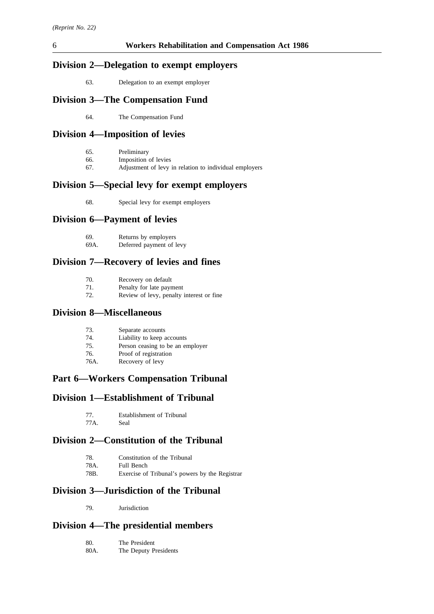# **Division 2—Delegation to exempt employers**

63. Delegation to an exempt employer

# **Division 3—The Compensation Fund**

64. The Compensation Fund

# **Division 4—Imposition of levies**

- 66. Imposition of levies
- 67. Adjustment of levy in relation to individual employers

# **Division 5—Special levy for exempt employers**

68. Special levy for exempt employers

# **Division 6—Payment of levies**

| -69. | Returns by employers     |
|------|--------------------------|
| 69A. | Deferred payment of levy |

# **Division 7—Recovery of levies and fines**

| 70. | Recovery on default                      |
|-----|------------------------------------------|
| 71. | Penalty for late payment                 |
| 72. | Review of levy, penalty interest or fine |

### **Division 8—Miscellaneous**

| 73. | Separate accounts |
|-----|-------------------|
|     |                   |

- 74. Liability to keep accounts
- 75. Person ceasing to be an employer
- 76. Proof of registration
- 76A. Recovery of levy

# **Part 6—Workers Compensation Tribunal**

# **Division 1—Establishment of Tribunal**

| 77.  | Establishment of Tribunal |
|------|---------------------------|
| 77A. | Seal                      |

# **Division 2—Constitution of the Tribunal**

| 78.  | Constitution of the Tribunal                   |
|------|------------------------------------------------|
| 78A. | Full Bench                                     |
| 78B. | Exercise of Tribunal's powers by the Registrar |

# **Division 3—Jurisdiction of the Tribunal**

79. Jurisdiction

# **Division 4—The presidential members**

| 80.  | The President         |
|------|-----------------------|
| 80A. | The Deputy Presidents |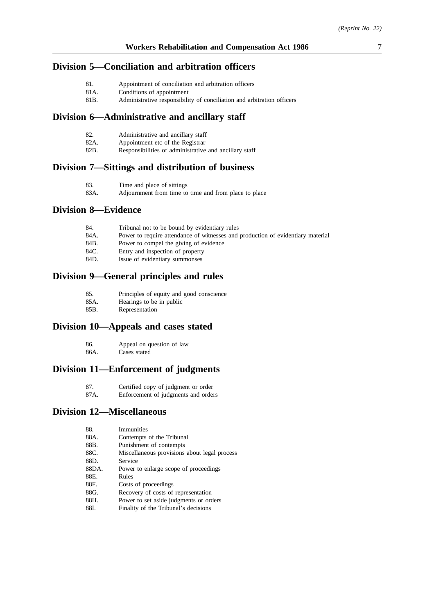### **Division 5—Conciliation and arbitration officers**

- 81. Appointment of conciliation and arbitration officers
- 81A. Conditions of appointment<br>81B. Administrative responsibili
- Administrative responsibility of conciliation and arbitration officers

### **Division 6—Administrative and ancillary staff**

| 82.<br>Administrative and ancillary staff |  |  |  |
|-------------------------------------------|--|--|--|
|-------------------------------------------|--|--|--|

- 82A. Appointment etc of the Registrar<br>82B. Responsibilities of administrative
- Responsibilities of administrative and ancillary staff

### **Division 7—Sittings and distribution of business**

| 83.  | Time and place of sittings                            |
|------|-------------------------------------------------------|
| 83A. | Adjournment from time to time and from place to place |

# **Division 8—Evidence**

| 84.  | Tribunal not to be bound by evidentiary rules                                   |
|------|---------------------------------------------------------------------------------|
| 84A. | Power to require attendance of witnesses and production of evidentiary material |
| 84B. | Power to compel the giving of evidence                                          |
| 84C. | Entry and inspection of property                                                |
| 84D. | Issue of evidentiary summonses                                                  |
|      |                                                                                 |

# **Division 9—General principles and rules**

| 85. |  |  | Principles of equity and good conscience |
|-----|--|--|------------------------------------------|
|-----|--|--|------------------------------------------|

- 85A. Hearings to be in public<br>85B. Representation
- Representation

### **Division 10—Appeals and cases stated**

86. Appeal on question of law 86A. Cases stated

### **Division 11—Enforcement of judgments**

87A. Enforcement of judgments and orders

### **Division 12—Miscellaneous**

| 88.   | Immunities                                   |
|-------|----------------------------------------------|
| 88A.  | Contempts of the Tribunal                    |
| 88B.  | Punishment of contempts                      |
| 88C.  | Miscellaneous provisions about legal process |
| 88D.  | Service                                      |
| 88DA. | Power to enlarge scope of proceedings        |
| 88E.  | Rules                                        |
| 88F.  | Costs of proceedings                         |
| 88G.  | Recovery of costs of representation          |
| 88H.  | Power to set aside judgments or orders       |
| 88I.  | Finality of the Tribunal's decisions         |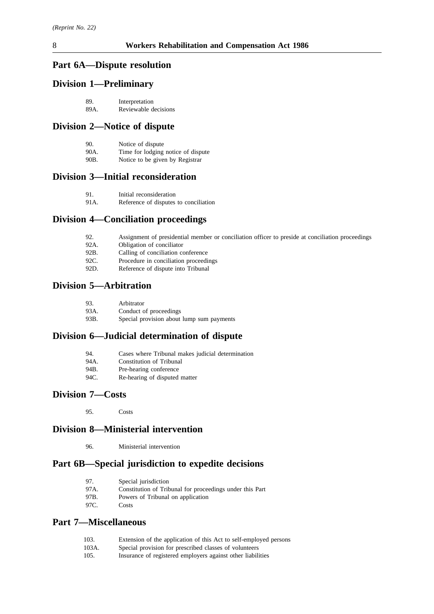# **Part 6A—Dispute resolution**

# **Division 1—Preliminary**

| 89.  | Interpretation       |
|------|----------------------|
| 89A. | Reviewable decisions |

# **Division 2—Notice of dispute**

| 90.  | Notice of dispute                  |
|------|------------------------------------|
| 90A. | Time for lodging notice of dispute |
| 90B. | Notice to be given by Registrar    |

### **Division 3—Initial reconsideration**

| 91. | Initial reconsideration |
|-----|-------------------------|
|     |                         |

91A. Reference of disputes to conciliation

# **Division 4—Conciliation proceedings**

| 92.      | Assignment of presidential member or conciliation officer to preside at conciliation proceedings |
|----------|--------------------------------------------------------------------------------------------------|
| 92A.     | Obligation of conciliator                                                                        |
| 92B.     | Calling of conciliation conference                                                               |
| 92C.     | Procedure in conciliation proceedings                                                            |
| $\Omega$ | Defenses of diamete into Tuibunol                                                                |

# 92D. Reference of dispute into Tribunal

# **Division 5—Arbitration**

| 93.  | Arbitrator                                |
|------|-------------------------------------------|
| 93A. | Conduct of proceedings                    |
| 93B. | Special provision about lump sum payments |

# **Division 6—Judicial determination of dispute**

| 94.  | Cases where Tribunal makes judicial determination |
|------|---------------------------------------------------|
| 94A. | Constitution of Tribunal                          |
| 94B. | Pre-hearing conference                            |
| 94C. | Re-hearing of disputed matter                     |

# **Division 7—Costs**

95. Costs

# **Division 8—Ministerial intervention**

96. Ministerial intervention

# **Part 6B—Special jurisdiction to expedite decisions**

| 97.   | Special jurisdiction                                     |
|-------|----------------------------------------------------------|
| 97A.  | Constitution of Tribunal for proceedings under this Part |
| 97B.  | Powers of Tribunal on application                        |
| -97C. | Costs                                                    |

# **Part 7—Miscellaneous**

| 103. |  | Extension of the application of this Act to self-employed persons |  |  |  |
|------|--|-------------------------------------------------------------------|--|--|--|
|------|--|-------------------------------------------------------------------|--|--|--|

- 103A. Special provision for prescribed classes of volunteers<br>105. Insurance of registered employers against other liabili
- 105. Insurance of registered employers against other liabilities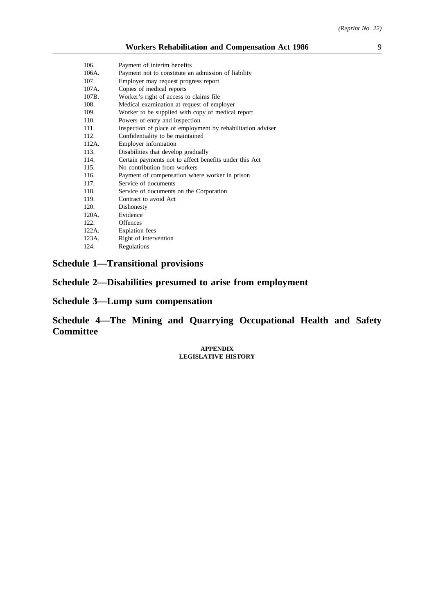| 106.  | Payment of interim benefits                                 |
|-------|-------------------------------------------------------------|
| 106A. | Payment not to constitute an admission of liability         |
| 107.  | Employer may request progress report                        |
| 107A. | Copies of medical reports                                   |
| 107B. | Worker's right of access to claims file                     |
| 108.  | Medical examination at request of employer                  |
| 109.  | Worker to be supplied with copy of medical report           |
| 110.  | Powers of entry and inspection                              |
| 111.  | Inspection of place of employment by rehabilitation adviser |
| 112.  | Confidentiality to be maintained                            |
| 112A. | Employer information                                        |
| 113.  | Disabilities that develop gradually                         |
| 114.  | Certain payments not to affect benefits under this Act      |
| 115.  | No contribution from workers                                |
| 116.  | Payment of compensation where worker in prison              |
| 117.  | Service of documents                                        |
| 118.  | Service of documents on the Corporation                     |
| 119.  | Contract to avoid Act                                       |
| 120.  | Dishonesty                                                  |
| 120A. | Evidence                                                    |
| 122.  | <b>Offences</b>                                             |
| 122A. | <b>Expiation</b> fees                                       |
| 123A. | Right of intervention                                       |
| 124.  | Regulations                                                 |
|       |                                                             |

# **Schedule 1—Transitional provisions**

**Schedule 2—Disabilities presumed to arise from employment**

**Schedule 3—Lump sum compensation**

**Schedule 4—The Mining and Quarrying Occupational Health and Safety Committee**

> **APPENDIX LEGISLATIVE HISTORY**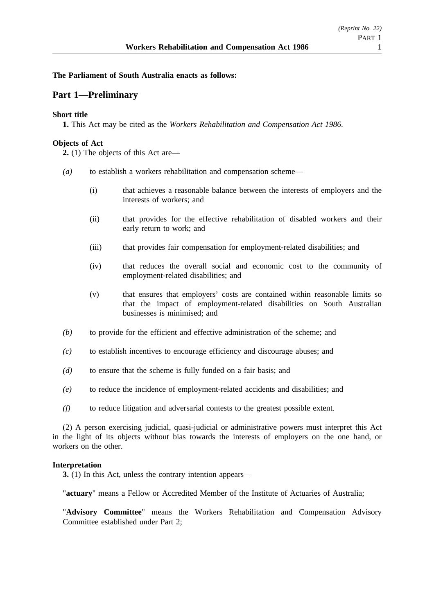### **The Parliament of South Australia enacts as follows:**

# **Part 1—Preliminary**

### **Short title**

**1.** This Act may be cited as the *Workers Rehabilitation and Compensation Act 1986*.

### **Objects of Act**

**2.** (1) The objects of this Act are—

- *(a)* to establish a workers rehabilitation and compensation scheme—
	- (i) that achieves a reasonable balance between the interests of employers and the interests of workers; and
	- (ii) that provides for the effective rehabilitation of disabled workers and their early return to work; and
	- (iii) that provides fair compensation for employment-related disabilities; and
	- (iv) that reduces the overall social and economic cost to the community of employment-related disabilities; and
	- (v) that ensures that employers' costs are contained within reasonable limits so that the impact of employment-related disabilities on South Australian businesses is minimised; and
- *(b)* to provide for the efficient and effective administration of the scheme; and
- *(c)* to establish incentives to encourage efficiency and discourage abuses; and
- *(d)* to ensure that the scheme is fully funded on a fair basis; and
- *(e)* to reduce the incidence of employment-related accidents and disabilities; and
- *(f)* to reduce litigation and adversarial contests to the greatest possible extent.

(2) A person exercising judicial, quasi-judicial or administrative powers must interpret this Act in the light of its objects without bias towards the interests of employers on the one hand, or workers on the other.

### **Interpretation**

**3.** (1) In this Act, unless the contrary intention appears—

"**actuary**" means a Fellow or Accredited Member of the Institute of Actuaries of Australia;

"**Advisory Committee**" means the Workers Rehabilitation and Compensation Advisory Committee established under Part 2;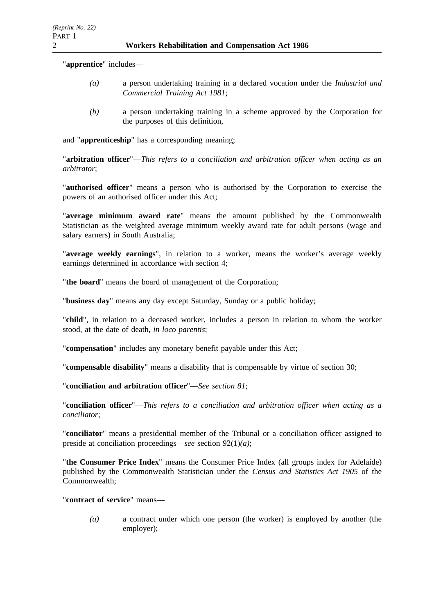"**apprentice**" includes—

- *(a)* a person undertaking training in a declared vocation under the *Industrial and Commercial Training Act 1981*;
- *(b)* a person undertaking training in a scheme approved by the Corporation for the purposes of this definition,

and "**apprenticeship**" has a corresponding meaning;

"**arbitration officer**"—*This refers to a conciliation and arbitration officer when acting as an arbitrator*;

"**authorised officer**" means a person who is authorised by the Corporation to exercise the powers of an authorised officer under this Act;

"**average minimum award rate**" means the amount published by the Commonwealth Statistician as the weighted average minimum weekly award rate for adult persons (wage and salary earners) in South Australia;

"**average weekly earnings**", in relation to a worker, means the worker's average weekly earnings determined in accordance with section 4;

"**the board**" means the board of management of the Corporation;

"**business day**" means any day except Saturday, Sunday or a public holiday;

"**child**", in relation to a deceased worker, includes a person in relation to whom the worker stood, at the date of death, *in loco parentis*;

"**compensation**" includes any monetary benefit payable under this Act;

"**compensable disability**" means a disability that is compensable by virtue of section 30;

"**conciliation and arbitration officer**"—*See section 81*;

"**conciliation officer**"—*This refers to a conciliation and arbitration officer when acting as a conciliator*;

"**conciliator**" means a presidential member of the Tribunal or a conciliation officer assigned to preside at conciliation proceedings—*see* section 92(1)*(a)*;

"**the Consumer Price Index**" means the Consumer Price Index (all groups index for Adelaide) published by the Commonwealth Statistician under the *Census and Statistics Act 1905* of the Commonwealth;

"**contract of service**" means—

*(a)* a contract under which one person (the worker) is employed by another (the employer);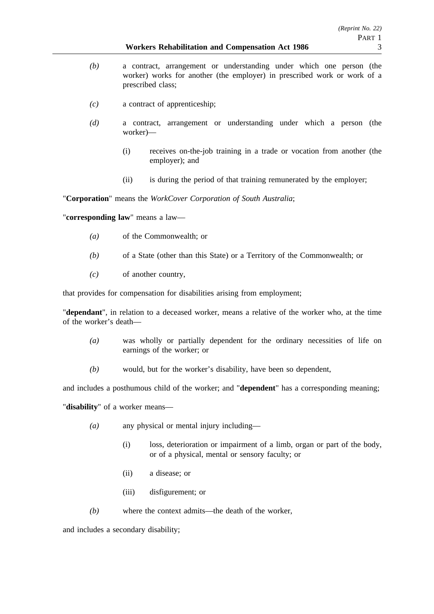#### **Workers Rehabilitation and Compensation Act 1986** 3

- *(b)* a contract, arrangement or understanding under which one person (the worker) works for another (the employer) in prescribed work or work of a prescribed class;
- *(c)* a contract of apprenticeship;
- *(d)* a contract, arrangement or understanding under which a person (the worker)—
	- (i) receives on-the-job training in a trade or vocation from another (the employer); and
	- (ii) is during the period of that training remunerated by the employer;

"**Corporation**" means the *WorkCover Corporation of South Australia*;

"**corresponding law**" means a law—

- *(a)* of the Commonwealth; or
- *(b)* of a State (other than this State) or a Territory of the Commonwealth; or
- *(c)* of another country,

that provides for compensation for disabilities arising from employment;

"**dependant**", in relation to a deceased worker, means a relative of the worker who, at the time of the worker's death—

- *(a)* was wholly or partially dependent for the ordinary necessities of life on earnings of the worker; or
- *(b)* would, but for the worker's disability, have been so dependent,

and includes a posthumous child of the worker; and "**dependent**" has a corresponding meaning;

"**disability**" of a worker means—

- *(a)* any physical or mental injury including—
	- (i) loss, deterioration or impairment of a limb, organ or part of the body, or of a physical, mental or sensory faculty; or
	- (ii) a disease; or
	- (iii) disfigurement; or
- *(b)* where the context admits—the death of the worker,

and includes a secondary disability;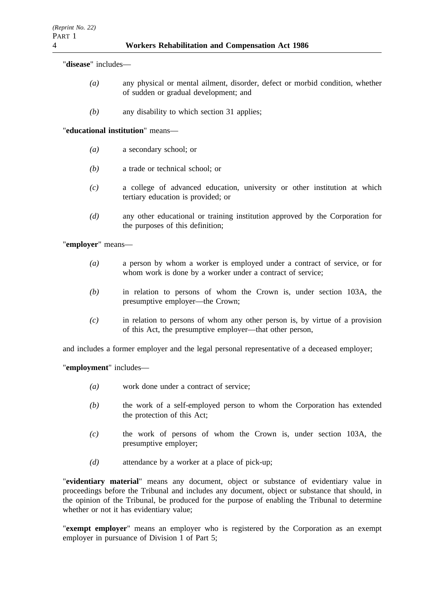"**disease**" includes—

- *(a)* any physical or mental ailment, disorder, defect or morbid condition, whether of sudden or gradual development; and
- *(b)* any disability to which section 31 applies;

"**educational institution**" means—

- *(a)* a secondary school; or
- *(b)* a trade or technical school; or
- *(c)* a college of advanced education, university or other institution at which tertiary education is provided; or
- *(d)* any other educational or training institution approved by the Corporation for the purposes of this definition;

"**employer**" means—

- *(a)* a person by whom a worker is employed under a contract of service, or for whom work is done by a worker under a contract of service;
- *(b)* in relation to persons of whom the Crown is, under section 103A, the presumptive employer—the Crown;
- *(c)* in relation to persons of whom any other person is, by virtue of a provision of this Act, the presumptive employer—that other person,

and includes a former employer and the legal personal representative of a deceased employer;

"**employment**" includes—

- *(a)* work done under a contract of service;
- *(b)* the work of a self-employed person to whom the Corporation has extended the protection of this Act;
- *(c)* the work of persons of whom the Crown is, under section 103A, the presumptive employer;
- *(d)* attendance by a worker at a place of pick-up;

"**evidentiary material**" means any document, object or substance of evidentiary value in proceedings before the Tribunal and includes any document, object or substance that should, in the opinion of the Tribunal, be produced for the purpose of enabling the Tribunal to determine whether or not it has evidentiary value;

"**exempt employer**" means an employer who is registered by the Corporation as an exempt employer in pursuance of Division 1 of Part 5;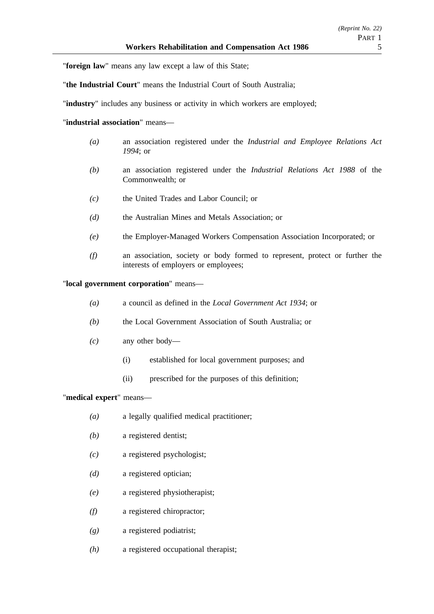"**foreign law**" means any law except a law of this State;

"**the Industrial Court**" means the Industrial Court of South Australia;

"**industry**" includes any business or activity in which workers are employed;

### "**industrial association**" means—

- *(a)* an association registered under the *Industrial and Employee Relations Act 1994*; or
- *(b)* an association registered under the *Industrial Relations Act 1988* of the Commonwealth; or
- *(c)* the United Trades and Labor Council; or
- *(d)* the Australian Mines and Metals Association; or
- *(e)* the Employer-Managed Workers Compensation Association Incorporated; or
- *(f)* an association, society or body formed to represent, protect or further the interests of employers or employees;

### "**local government corporation**" means—

- *(a)* a council as defined in the *Local Government Act 1934*; or
- *(b)* the Local Government Association of South Australia; or
- *(c)* any other body—
	- (i) established for local government purposes; and
	- (ii) prescribed for the purposes of this definition;

### "**medical expert**" means—

- *(a)* a legally qualified medical practitioner;
- *(b)* a registered dentist;
- *(c)* a registered psychologist;
- *(d)* a registered optician;
- *(e)* a registered physiotherapist;
- *(f)* a registered chiropractor;
- *(g)* a registered podiatrist;
- *(h)* a registered occupational therapist;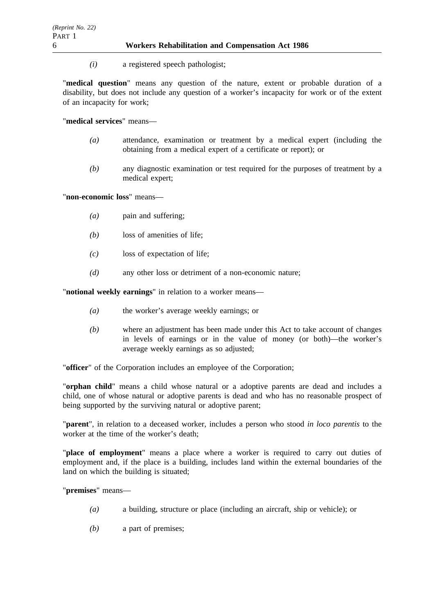*(i)* a registered speech pathologist;

"**medical question**" means any question of the nature, extent or probable duration of a disability, but does not include any question of a worker's incapacity for work or of the extent of an incapacity for work;

"**medical services**" means—

- *(a)* attendance, examination or treatment by a medical expert (including the obtaining from a medical expert of a certificate or report); or
- *(b)* any diagnostic examination or test required for the purposes of treatment by a medical expert;

"**non-economic loss**" means—

- *(a)* pain and suffering;
- *(b)* loss of amenities of life;
- *(c)* loss of expectation of life;
- *(d)* any other loss or detriment of a non-economic nature;

"**notional weekly earnings**" in relation to a worker means—

- *(a)* the worker's average weekly earnings; or
- *(b)* where an adjustment has been made under this Act to take account of changes in levels of earnings or in the value of money (or both)—the worker's average weekly earnings as so adjusted;

"**officer**" of the Corporation includes an employee of the Corporation;

"**orphan child**" means a child whose natural or a adoptive parents are dead and includes a child, one of whose natural or adoptive parents is dead and who has no reasonable prospect of being supported by the surviving natural or adoptive parent;

"**parent**", in relation to a deceased worker, includes a person who stood *in loco parentis* to the worker at the time of the worker's death;

"**place of employment**" means a place where a worker is required to carry out duties of employment and, if the place is a building, includes land within the external boundaries of the land on which the building is situated;

"**premises**" means—

- *(a)* a building, structure or place (including an aircraft, ship or vehicle); or
- *(b)* a part of premises;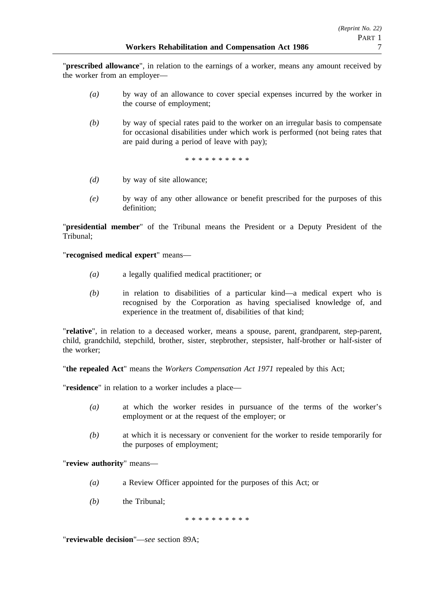"**prescribed allowance**", in relation to the earnings of a worker, means any amount received by the worker from an employer—

- *(a)* by way of an allowance to cover special expenses incurred by the worker in the course of employment;
- *(b)* by way of special rates paid to the worker on an irregular basis to compensate for occasional disabilities under which work is performed (not being rates that are paid during a period of leave with pay);

\*\*\*\*\*\*\*\*\*\*

- *(d)* by way of site allowance;
- *(e)* by way of any other allowance or benefit prescribed for the purposes of this definition;

"**presidential member**" of the Tribunal means the President or a Deputy President of the Tribunal;

"**recognised medical expert**" means—

- *(a)* a legally qualified medical practitioner; or
- *(b)* in relation to disabilities of a particular kind—a medical expert who is recognised by the Corporation as having specialised knowledge of, and experience in the treatment of, disabilities of that kind;

"**relative**", in relation to a deceased worker, means a spouse, parent, grandparent, step-parent, child, grandchild, stepchild, brother, sister, stepbrother, stepsister, half-brother or half-sister of the worker;

"**the repealed Act**" means the *Workers Compensation Act 1971* repealed by this Act;

"**residence**" in relation to a worker includes a place—

- *(a)* at which the worker resides in pursuance of the terms of the worker's employment or at the request of the employer; or
- *(b)* at which it is necessary or convenient for the worker to reside temporarily for the purposes of employment;

"**review authority**" means—

- *(a)* a Review Officer appointed for the purposes of this Act; or
- *(b)* the Tribunal;

\*\*\*\*\*\*\*\*\*\*

"**reviewable decision**"—*see* section 89A;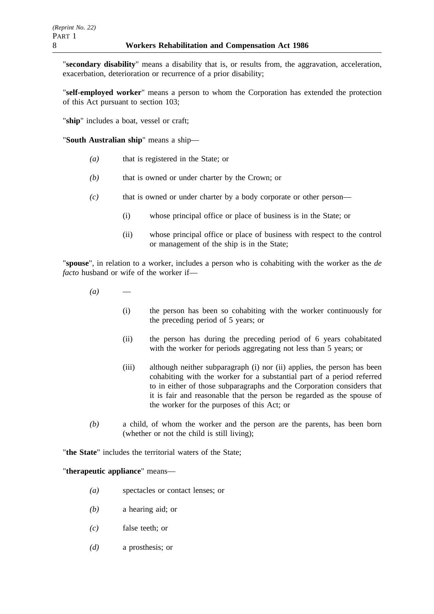"**secondary disability**" means a disability that is, or results from, the aggravation, acceleration, exacerbation, deterioration or recurrence of a prior disability;

"**self-employed worker**" means a person to whom the Corporation has extended the protection of this Act pursuant to section 103;

"**ship**" includes a boat, vessel or craft;

"**South Australian ship**" means a ship—

- *(a)* that is registered in the State; or
- *(b)* that is owned or under charter by the Crown; or
- *(c)* that is owned or under charter by a body corporate or other person—
	- (i) whose principal office or place of business is in the State; or
	- (ii) whose principal office or place of business with respect to the control or management of the ship is in the State;

"**spouse**", in relation to a worker, includes a person who is cohabiting with the worker as the *de facto* husband or wife of the worker if—

- $(a)$ 
	- (i) the person has been so cohabiting with the worker continuously for the preceding period of 5 years; or
	- (ii) the person has during the preceding period of 6 years cohabitated with the worker for periods aggregating not less than 5 years; or
	- (iii) although neither subparagraph (i) nor (ii) applies, the person has been cohabiting with the worker for a substantial part of a period referred to in either of those subparagraphs and the Corporation considers that it is fair and reasonable that the person be regarded as the spouse of the worker for the purposes of this Act; or
- *(b)* a child, of whom the worker and the person are the parents, has been born (whether or not the child is still living);

"**the State**" includes the territorial waters of the State;

### "**therapeutic appliance**" means—

- *(a)* spectacles or contact lenses; or
- *(b)* a hearing aid; or
- *(c)* false teeth; or
- *(d)* a prosthesis; or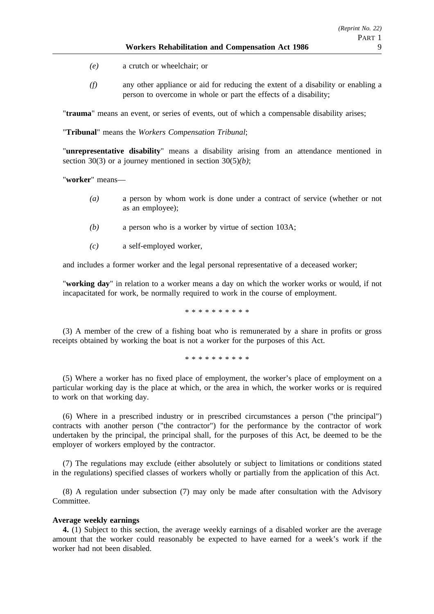- *(e)* a crutch or wheelchair; or
- *(f)* any other appliance or aid for reducing the extent of a disability or enabling a person to overcome in whole or part the effects of a disability;

"**trauma**" means an event, or series of events, out of which a compensable disability arises;

"**Tribunal**" means the *Workers Compensation Tribunal*;

"**unrepresentative disability**" means a disability arising from an attendance mentioned in section 30(3) or a journey mentioned in section 30(5)*(b)*;

"**worker**" means—

- *(a)* a person by whom work is done under a contract of service (whether or not as an employee);
- *(b)* a person who is a worker by virtue of section 103A;
- *(c)* a self-employed worker,

and includes a former worker and the legal personal representative of a deceased worker;

"**working day**" in relation to a worker means a day on which the worker works or would, if not incapacitated for work, be normally required to work in the course of employment.

\*\*\*\*\*\*\*\*\*\*

(3) A member of the crew of a fishing boat who is remunerated by a share in profits or gross receipts obtained by working the boat is not a worker for the purposes of this Act.

\*\*\*\*\*\*\*\*\*\*

(5) Where a worker has no fixed place of employment, the worker's place of employment on a particular working day is the place at which, or the area in which, the worker works or is required to work on that working day.

(6) Where in a prescribed industry or in prescribed circumstances a person ("the principal") contracts with another person ("the contractor") for the performance by the contractor of work undertaken by the principal, the principal shall, for the purposes of this Act, be deemed to be the employer of workers employed by the contractor.

(7) The regulations may exclude (either absolutely or subject to limitations or conditions stated in the regulations) specified classes of workers wholly or partially from the application of this Act.

(8) A regulation under subsection (7) may only be made after consultation with the Advisory Committee.

### **Average weekly earnings**

**4.** (1) Subject to this section, the average weekly earnings of a disabled worker are the average amount that the worker could reasonably be expected to have earned for a week's work if the worker had not been disabled.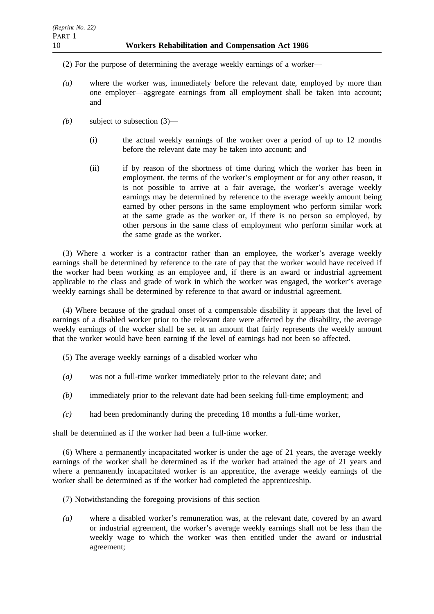- (2) For the purpose of determining the average weekly earnings of a worker—
- *(a)* where the worker was, immediately before the relevant date, employed by more than one employer—aggregate earnings from all employment shall be taken into account; and
- *(b)* subject to subsection (3)—
	- (i) the actual weekly earnings of the worker over a period of up to 12 months before the relevant date may be taken into account; and
	- (ii) if by reason of the shortness of time during which the worker has been in employment, the terms of the worker's employment or for any other reason, it is not possible to arrive at a fair average, the worker's average weekly earnings may be determined by reference to the average weekly amount being earned by other persons in the same employment who perform similar work at the same grade as the worker or, if there is no person so employed, by other persons in the same class of employment who perform similar work at the same grade as the worker.

(3) Where a worker is a contractor rather than an employee, the worker's average weekly earnings shall be determined by reference to the rate of pay that the worker would have received if the worker had been working as an employee and, if there is an award or industrial agreement applicable to the class and grade of work in which the worker was engaged, the worker's average weekly earnings shall be determined by reference to that award or industrial agreement.

(4) Where because of the gradual onset of a compensable disability it appears that the level of earnings of a disabled worker prior to the relevant date were affected by the disability, the average weekly earnings of the worker shall be set at an amount that fairly represents the weekly amount that the worker would have been earning if the level of earnings had not been so affected.

- (5) The average weekly earnings of a disabled worker who—
- *(a)* was not a full-time worker immediately prior to the relevant date; and
- *(b)* immediately prior to the relevant date had been seeking full-time employment; and
- *(c)* had been predominantly during the preceding 18 months a full-time worker,

shall be determined as if the worker had been a full-time worker.

(6) Where a permanently incapacitated worker is under the age of 21 years, the average weekly earnings of the worker shall be determined as if the worker had attained the age of 21 years and where a permanently incapacitated worker is an apprentice, the average weekly earnings of the worker shall be determined as if the worker had completed the apprenticeship.

- (7) Notwithstanding the foregoing provisions of this section—
- *(a)* where a disabled worker's remuneration was, at the relevant date, covered by an award or industrial agreement, the worker's average weekly earnings shall not be less than the weekly wage to which the worker was then entitled under the award or industrial agreement;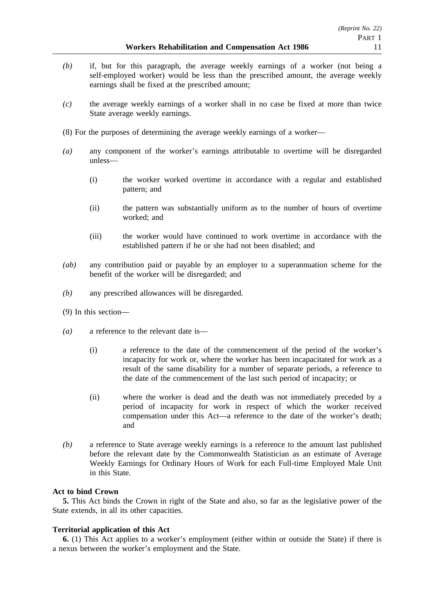- *(b)* if, but for this paragraph, the average weekly earnings of a worker (not being a self-employed worker) would be less than the prescribed amount, the average weekly earnings shall be fixed at the prescribed amount;
- *(c)* the average weekly earnings of a worker shall in no case be fixed at more than twice State average weekly earnings.
- (8) For the purposes of determining the average weekly earnings of a worker—
- *(a)* any component of the worker's earnings attributable to overtime will be disregarded unless—
	- (i) the worker worked overtime in accordance with a regular and established pattern; and
	- (ii) the pattern was substantially uniform as to the number of hours of overtime worked; and
	- (iii) the worker would have continued to work overtime in accordance with the established pattern if he or she had not been disabled; and
- *(ab)* any contribution paid or payable by an employer to a superannuation scheme for the benefit of the worker will be disregarded; and
- *(b)* any prescribed allowances will be disregarded.
- (9) In this section—
- *(a)* a reference to the relevant date is—
	- (i) a reference to the date of the commencement of the period of the worker's incapacity for work or, where the worker has been incapacitated for work as a result of the same disability for a number of separate periods, a reference to the date of the commencement of the last such period of incapacity; or
	- (ii) where the worker is dead and the death was not immediately preceded by a period of incapacity for work in respect of which the worker received compensation under this Act—a reference to the date of the worker's death; and
- *(b)* a reference to State average weekly earnings is a reference to the amount last published before the relevant date by the Commonwealth Statistician as an estimate of Average Weekly Earnings for Ordinary Hours of Work for each Full-time Employed Male Unit in this State.

### **Act to bind Crown**

**5.** This Act binds the Crown in right of the State and also, so far as the legislative power of the State extends, in all its other capacities.

#### **Territorial application of this Act**

**6.** (1) This Act applies to a worker's employment (either within or outside the State) if there is a nexus between the worker's employment and the State.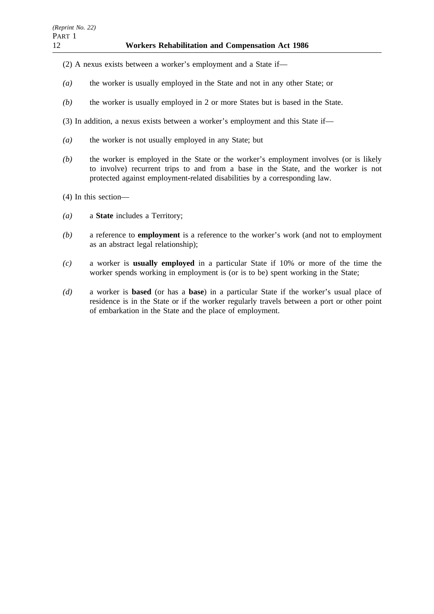- (2) A nexus exists between a worker's employment and a State if—
- *(a)* the worker is usually employed in the State and not in any other State; or
- *(b)* the worker is usually employed in 2 or more States but is based in the State.
- (3) In addition, a nexus exists between a worker's employment and this State if—
- *(a)* the worker is not usually employed in any State; but
- *(b)* the worker is employed in the State or the worker's employment involves (or is likely to involve) recurrent trips to and from a base in the State, and the worker is not protected against employment-related disabilities by a corresponding law.
- (4) In this section—
- *(a)* a **State** includes a Territory;
- *(b)* a reference to **employment** is a reference to the worker's work (and not to employment as an abstract legal relationship);
- *(c)* a worker is **usually employed** in a particular State if 10% or more of the time the worker spends working in employment is (or is to be) spent working in the State;
- *(d)* a worker is **based** (or has a **base**) in a particular State if the worker's usual place of residence is in the State or if the worker regularly travels between a port or other point of embarkation in the State and the place of employment.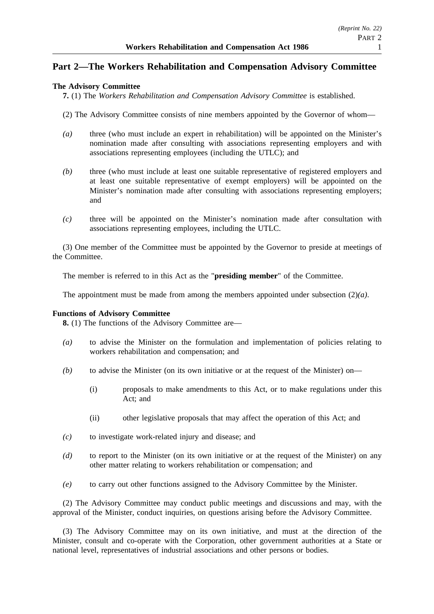# **Part 2—The Workers Rehabilitation and Compensation Advisory Committee**

### **The Advisory Committee**

**7.** (1) The *Workers Rehabilitation and Compensation Advisory Committee* is established.

- (2) The Advisory Committee consists of nine members appointed by the Governor of whom—
- *(a)* three (who must include an expert in rehabilitation) will be appointed on the Minister's nomination made after consulting with associations representing employers and with associations representing employees (including the UTLC); and
- *(b)* three (who must include at least one suitable representative of registered employers and at least one suitable representative of exempt employers) will be appointed on the Minister's nomination made after consulting with associations representing employers; and
- *(c)* three will be appointed on the Minister's nomination made after consultation with associations representing employees, including the UTLC.

(3) One member of the Committee must be appointed by the Governor to preside at meetings of the Committee.

The member is referred to in this Act as the "**presiding member**" of the Committee.

The appointment must be made from among the members appointed under subsection (2)*(a)*.

### **Functions of Advisory Committee**

**8.** (1) The functions of the Advisory Committee are—

- *(a)* to advise the Minister on the formulation and implementation of policies relating to workers rehabilitation and compensation; and
- *(b)* to advise the Minister (on its own initiative or at the request of the Minister) on—
	- (i) proposals to make amendments to this Act, or to make regulations under this Act; and
	- (ii) other legislative proposals that may affect the operation of this Act; and
- *(c)* to investigate work-related injury and disease; and
- *(d)* to report to the Minister (on its own initiative or at the request of the Minister) on any other matter relating to workers rehabilitation or compensation; and
- *(e)* to carry out other functions assigned to the Advisory Committee by the Minister.

(2) The Advisory Committee may conduct public meetings and discussions and may, with the approval of the Minister, conduct inquiries, on questions arising before the Advisory Committee.

(3) The Advisory Committee may on its own initiative, and must at the direction of the Minister, consult and co-operate with the Corporation, other government authorities at a State or national level, representatives of industrial associations and other persons or bodies.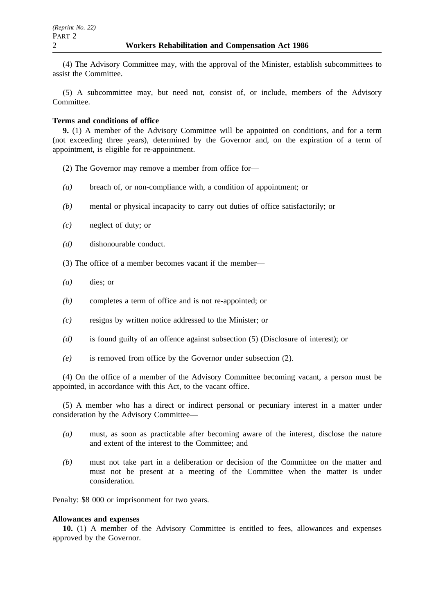(4) The Advisory Committee may, with the approval of the Minister, establish subcommittees to assist the Committee.

(5) A subcommittee may, but need not, consist of, or include, members of the Advisory Committee.

### **Terms and conditions of office**

**9.** (1) A member of the Advisory Committee will be appointed on conditions, and for a term (not exceeding three years), determined by the Governor and, on the expiration of a term of appointment, is eligible for re-appointment.

- (2) The Governor may remove a member from office for—
- *(a)* breach of, or non-compliance with, a condition of appointment; or
- *(b)* mental or physical incapacity to carry out duties of office satisfactorily; or
- *(c)* neglect of duty; or
- *(d)* dishonourable conduct.
- (3) The office of a member becomes vacant if the member—
- *(a)* dies; or
- *(b)* completes a term of office and is not re-appointed; or
- *(c)* resigns by written notice addressed to the Minister; or
- *(d)* is found guilty of an offence against subsection (5) (Disclosure of interest); or
- *(e)* is removed from office by the Governor under subsection (2).

(4) On the office of a member of the Advisory Committee becoming vacant, a person must be appointed, in accordance with this Act, to the vacant office.

(5) A member who has a direct or indirect personal or pecuniary interest in a matter under consideration by the Advisory Committee—

- *(a)* must, as soon as practicable after becoming aware of the interest, disclose the nature and extent of the interest to the Committee; and
- *(b)* must not take part in a deliberation or decision of the Committee on the matter and must not be present at a meeting of the Committee when the matter is under consideration.

Penalty: \$8 000 or imprisonment for two years.

#### **Allowances and expenses**

**10.** (1) A member of the Advisory Committee is entitled to fees, allowances and expenses approved by the Governor.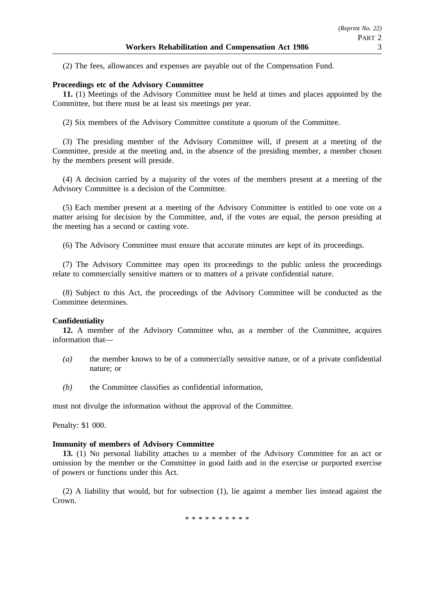(2) The fees, allowances and expenses are payable out of the Compensation Fund.

### **Proceedings etc of the Advisory Committee**

**11.** (1) Meetings of the Advisory Committee must be held at times and places appointed by the Committee, but there must be at least six meetings per year.

(2) Six members of the Advisory Committee constitute a quorum of the Committee.

(3) The presiding member of the Advisory Committee will, if present at a meeting of the Committee, preside at the meeting and, in the absence of the presiding member, a member chosen by the members present will preside.

(4) A decision carried by a majority of the votes of the members present at a meeting of the Advisory Committee is a decision of the Committee.

(5) Each member present at a meeting of the Advisory Committee is entitled to one vote on a matter arising for decision by the Committee, and, if the votes are equal, the person presiding at the meeting has a second or casting vote.

(6) The Advisory Committee must ensure that accurate minutes are kept of its proceedings.

(7) The Advisory Committee may open its proceedings to the public unless the proceedings relate to commercially sensitive matters or to matters of a private confidential nature.

(8) Subject to this Act, the proceedings of the Advisory Committee will be conducted as the Committee determines.

### **Confidentiality**

**12.** A member of the Advisory Committee who, as a member of the Committee, acquires information that—

- *(a)* the member knows to be of a commercially sensitive nature, or of a private confidential nature; or
- *(b)* the Committee classifies as confidential information,

must not divulge the information without the approval of the Committee.

Penalty: \$1 000.

### **Immunity of members of Advisory Committee**

**13.** (1) No personal liability attaches to a member of the Advisory Committee for an act or omission by the member or the Committee in good faith and in the exercise or purported exercise of powers or functions under this Act.

(2) A liability that would, but for subsection (1), lie against a member lies instead against the Crown.

\*\*\*\*\*\*\*\*\*\*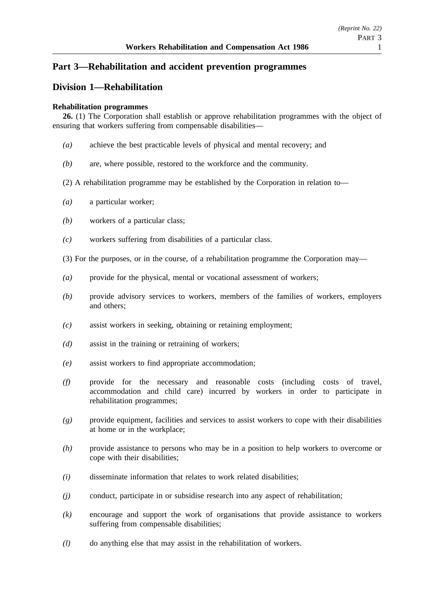# **Part 3—Rehabilitation and accident prevention programmes**

# **Division 1—Rehabilitation**

### **Rehabilitation programmes**

**26.** (1) The Corporation shall establish or approve rehabilitation programmes with the object of ensuring that workers suffering from compensable disabilities—

- *(a)* achieve the best practicable levels of physical and mental recovery; and
- *(b)* are, where possible, restored to the workforce and the community.
- (2) A rehabilitation programme may be established by the Corporation in relation to—
- *(a)* a particular worker;
- *(b)* workers of a particular class;
- *(c)* workers suffering from disabilities of a particular class.
- (3) For the purposes, or in the course, of a rehabilitation programme the Corporation may—
- *(a)* provide for the physical, mental or vocational assessment of workers;
- *(b)* provide advisory services to workers, members of the families of workers, employers and others;
- *(c)* assist workers in seeking, obtaining or retaining employment;
- *(d)* assist in the training or retraining of workers;
- *(e)* assist workers to find appropriate accommodation;
- *(f)* provide for the necessary and reasonable costs (including costs of travel, accommodation and child care) incurred by workers in order to participate in rehabilitation programmes;
- *(g)* provide equipment, facilities and services to assist workers to cope with their disabilities at home or in the workplace;
- *(h)* provide assistance to persons who may be in a position to help workers to overcome or cope with their disabilities;
- *(i)* disseminate information that relates to work related disabilities;
- *(j)* conduct, participate in or subsidise research into any aspect of rehabilitation;
- *(k)* encourage and support the work of organisations that provide assistance to workers suffering from compensable disabilities;
- *(l)* do anything else that may assist in the rehabilitation of workers.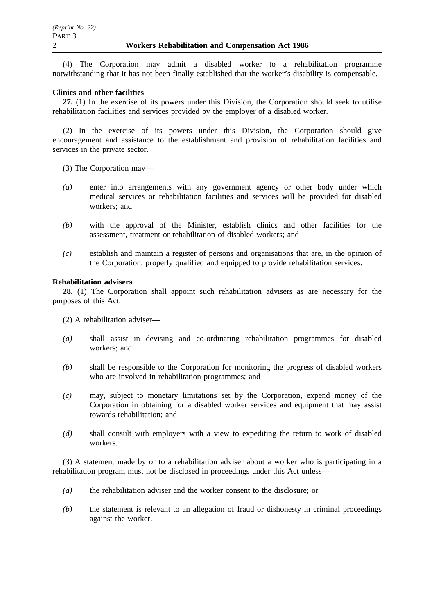(4) The Corporation may admit a disabled worker to a rehabilitation programme notwithstanding that it has not been finally established that the worker's disability is compensable.

### **Clinics and other facilities**

**27.** (1) In the exercise of its powers under this Division, the Corporation should seek to utilise rehabilitation facilities and services provided by the employer of a disabled worker.

(2) In the exercise of its powers under this Division, the Corporation should give encouragement and assistance to the establishment and provision of rehabilitation facilities and services in the private sector.

- (3) The Corporation may—
- *(a)* enter into arrangements with any government agency or other body under which medical services or rehabilitation facilities and services will be provided for disabled workers; and
- *(b)* with the approval of the Minister, establish clinics and other facilities for the assessment, treatment or rehabilitation of disabled workers; and
- *(c)* establish and maintain a register of persons and organisations that are, in the opinion of the Corporation, properly qualified and equipped to provide rehabilitation services.

### **Rehabilitation advisers**

**28.** (1) The Corporation shall appoint such rehabilitation advisers as are necessary for the purposes of this Act.

- (2) A rehabilitation adviser—
- *(a)* shall assist in devising and co-ordinating rehabilitation programmes for disabled workers; and
- *(b)* shall be responsible to the Corporation for monitoring the progress of disabled workers who are involved in rehabilitation programmes; and
- *(c)* may, subject to monetary limitations set by the Corporation, expend money of the Corporation in obtaining for a disabled worker services and equipment that may assist towards rehabilitation; and
- *(d)* shall consult with employers with a view to expediting the return to work of disabled workers.

(3) A statement made by or to a rehabilitation adviser about a worker who is participating in a rehabilitation program must not be disclosed in proceedings under this Act unless—

- *(a)* the rehabilitation adviser and the worker consent to the disclosure; or
- *(b)* the statement is relevant to an allegation of fraud or dishonesty in criminal proceedings against the worker.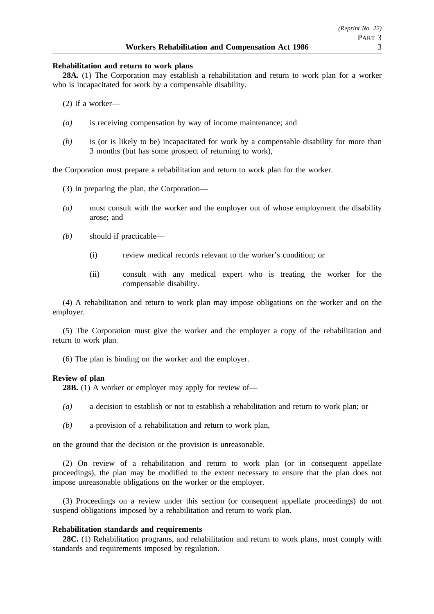### **Rehabilitation and return to work plans**

**28A.** (1) The Corporation may establish a rehabilitation and return to work plan for a worker who is incapacitated for work by a compensable disability.

(2) If a worker—

- *(a)* is receiving compensation by way of income maintenance; and
- *(b)* is (or is likely to be) incapacitated for work by a compensable disability for more than 3 months (but has some prospect of returning to work),

the Corporation must prepare a rehabilitation and return to work plan for the worker.

- (3) In preparing the plan, the Corporation—
- *(a)* must consult with the worker and the employer out of whose employment the disability arose; and
- *(b)* should if practicable—
	- (i) review medical records relevant to the worker's condition; or
	- (ii) consult with any medical expert who is treating the worker for the compensable disability.

(4) A rehabilitation and return to work plan may impose obligations on the worker and on the employer.

(5) The Corporation must give the worker and the employer a copy of the rehabilitation and return to work plan.

(6) The plan is binding on the worker and the employer.

### **Review of plan**

**28B.** (1) A worker or employer may apply for review of—

- *(a)* a decision to establish or not to establish a rehabilitation and return to work plan; or
- *(b)* a provision of a rehabilitation and return to work plan,

on the ground that the decision or the provision is unreasonable.

(2) On review of a rehabilitation and return to work plan (or in consequent appellate proceedings), the plan may be modified to the extent necessary to ensure that the plan does not impose unreasonable obligations on the worker or the employer.

(3) Proceedings on a review under this section (or consequent appellate proceedings) do not suspend obligations imposed by a rehabilitation and return to work plan.

### **Rehabilitation standards and requirements**

**28C.** (1) Rehabilitation programs, and rehabilitation and return to work plans, must comply with standards and requirements imposed by regulation.

*(Reprint No. 22)*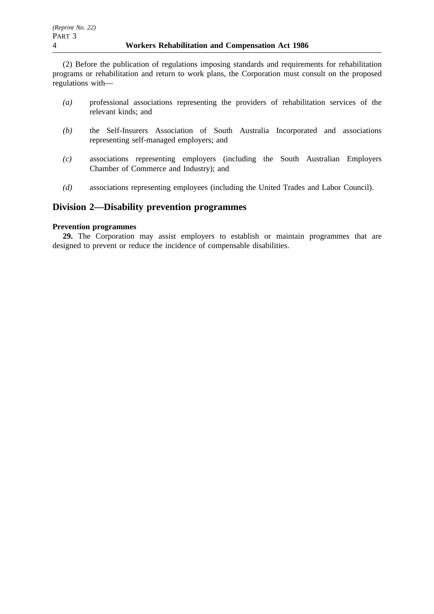(2) Before the publication of regulations imposing standards and requirements for rehabilitation programs or rehabilitation and return to work plans, the Corporation must consult on the proposed regulations with—

- *(a)* professional associations representing the providers of rehabilitation services of the relevant kinds; and
- *(b)* the Self-Insurers Association of South Australia Incorporated and associations representing self-managed employers; and
- *(c)* associations representing employers (including the South Australian Employers Chamber of Commerce and Industry); and
- *(d)* associations representing employees (including the United Trades and Labor Council).

### **Division 2—Disability prevention programmes**

### **Prevention programmes**

**29.** The Corporation may assist employers to establish or maintain programmes that are designed to prevent or reduce the incidence of compensable disabilities.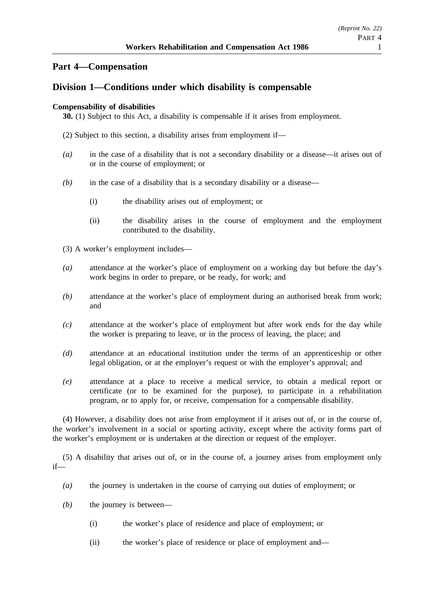# **Part 4—Compensation**

# **Division 1—Conditions under which disability is compensable**

### **Compensability of disabilities**

**30.** (1) Subject to this Act, a disability is compensable if it arises from employment.

- (2) Subject to this section, a disability arises from employment if—
- *(a)* in the case of a disability that is not a secondary disability or a disease—it arises out of or in the course of employment; or
- *(b)* in the case of a disability that is a secondary disability or a disease—
	- (i) the disability arises out of employment; or
	- (ii) the disability arises in the course of employment and the employment contributed to the disability.
- (3) A worker's employment includes—
- *(a)* attendance at the worker's place of employment on a working day but before the day's work begins in order to prepare, or be ready, for work; and
- *(b)* attendance at the worker's place of employment during an authorised break from work; and
- *(c)* attendance at the worker's place of employment but after work ends for the day while the worker is preparing to leave, or in the process of leaving, the place; and
- *(d)* attendance at an educational institution under the terms of an apprenticeship or other legal obligation, or at the employer's request or with the employer's approval; and
- *(e)* attendance at a place to receive a medical service, to obtain a medical report or certificate (or to be examined for the purpose), to participate in a rehabilitation program, or to apply for, or receive, compensation for a compensable disability.

(4) However, a disability does not arise from employment if it arises out of, or in the course of, the worker's involvement in a social or sporting activity, except where the activity forms part of the worker's employment or is undertaken at the direction or request of the employer.

(5) A disability that arises out of, or in the course of, a journey arises from employment only if—

- *(a)* the journey is undertaken in the course of carrying out duties of employment; or
- *(b)* the journey is between—
	- (i) the worker's place of residence and place of employment; or
	- (ii) the worker's place of residence or place of employment and—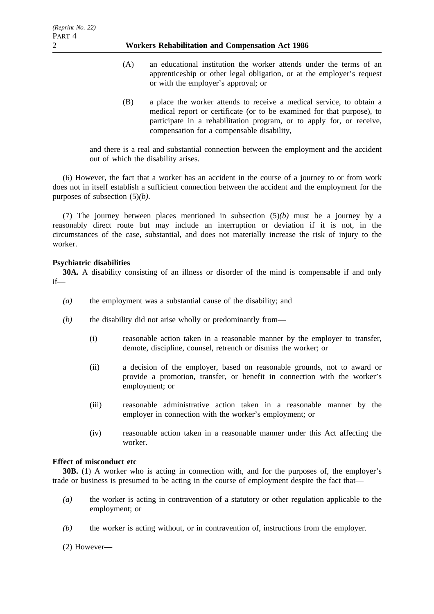### 2 **Workers Rehabilitation and Compensation Act 1986**

- (A) an educational institution the worker attends under the terms of an apprenticeship or other legal obligation, or at the employer's request or with the employer's approval; or
- (B) a place the worker attends to receive a medical service, to obtain a medical report or certificate (or to be examined for that purpose), to participate in a rehabilitation program, or to apply for, or receive, compensation for a compensable disability,

and there is a real and substantial connection between the employment and the accident out of which the disability arises.

(6) However, the fact that a worker has an accident in the course of a journey to or from work does not in itself establish a sufficient connection between the accident and the employment for the purposes of subsection (5)*(b)*.

(7) The journey between places mentioned in subsection (5)*(b)* must be a journey by a reasonably direct route but may include an interruption or deviation if it is not, in the circumstances of the case, substantial, and does not materially increase the risk of injury to the worker.

### **Psychiatric disabilities**

**30A.** A disability consisting of an illness or disorder of the mind is compensable if and only if—

- *(a)* the employment was a substantial cause of the disability; and
- *(b)* the disability did not arise wholly or predominantly from—
	- (i) reasonable action taken in a reasonable manner by the employer to transfer, demote, discipline, counsel, retrench or dismiss the worker; or
	- (ii) a decision of the employer, based on reasonable grounds, not to award or provide a promotion, transfer, or benefit in connection with the worker's employment; or
	- (iii) reasonable administrative action taken in a reasonable manner by the employer in connection with the worker's employment; or
	- (iv) reasonable action taken in a reasonable manner under this Act affecting the worker.

### **Effect of misconduct etc**

**30B.** (1) A worker who is acting in connection with, and for the purposes of, the employer's trade or business is presumed to be acting in the course of employment despite the fact that—

- *(a)* the worker is acting in contravention of a statutory or other regulation applicable to the employment; or
- *(b)* the worker is acting without, or in contravention of, instructions from the employer.

(2) However—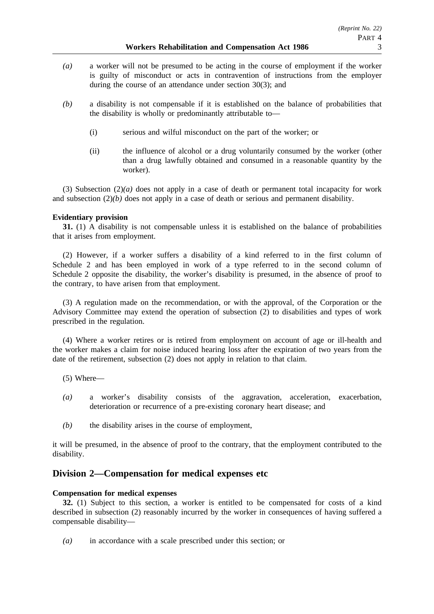- *(b)* a disability is not compensable if it is established on the balance of probabilities that the disability is wholly or predominantly attributable to—
	- (i) serious and wilful misconduct on the part of the worker; or
	- (ii) the influence of alcohol or a drug voluntarily consumed by the worker (other than a drug lawfully obtained and consumed in a reasonable quantity by the worker).

(3) Subsection (2)*(a)* does not apply in a case of death or permanent total incapacity for work and subsection (2)*(b)* does not apply in a case of death or serious and permanent disability.

### **Evidentiary provision**

**31.** (1) A disability is not compensable unless it is established on the balance of probabilities that it arises from employment.

(2) However, if a worker suffers a disability of a kind referred to in the first column of Schedule 2 and has been employed in work of a type referred to in the second column of Schedule 2 opposite the disability, the worker's disability is presumed, in the absence of proof to the contrary, to have arisen from that employment.

(3) A regulation made on the recommendation, or with the approval, of the Corporation or the Advisory Committee may extend the operation of subsection (2) to disabilities and types of work prescribed in the regulation.

(4) Where a worker retires or is retired from employment on account of age or ill-health and the worker makes a claim for noise induced hearing loss after the expiration of two years from the date of the retirement, subsection (2) does not apply in relation to that claim.

(5) Where—

- *(a)* a worker's disability consists of the aggravation, acceleration, exacerbation, deterioration or recurrence of a pre-existing coronary heart disease; and
- *(b)* the disability arises in the course of employment,

it will be presumed, in the absence of proof to the contrary, that the employment contributed to the disability.

### **Division 2—Compensation for medical expenses etc**

### **Compensation for medical expenses**

**32.** (1) Subject to this section, a worker is entitled to be compensated for costs of a kind described in subsection (2) reasonably incurred by the worker in consequences of having suffered a compensable disability—

*(a)* in accordance with a scale prescribed under this section; or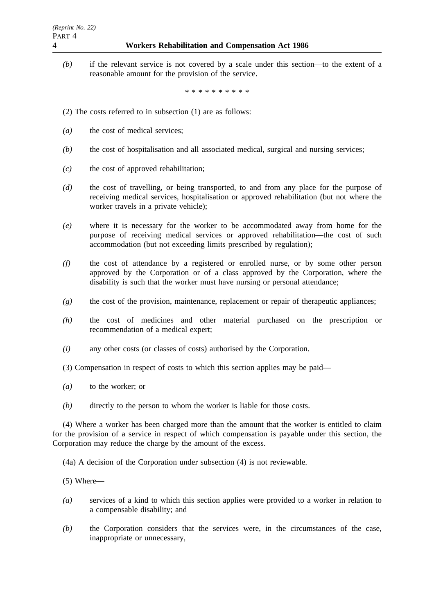*(b)* if the relevant service is not covered by a scale under this section—to the extent of a reasonable amount for the provision of the service.

\*\*\*\*\*\*\*\*\*\*

- (2) The costs referred to in subsection (1) are as follows:
- *(a)* the cost of medical services;
- *(b)* the cost of hospitalisation and all associated medical, surgical and nursing services;
- *(c)* the cost of approved rehabilitation;
- *(d)* the cost of travelling, or being transported, to and from any place for the purpose of receiving medical services, hospitalisation or approved rehabilitation (but not where the worker travels in a private vehicle);
- *(e)* where it is necessary for the worker to be accommodated away from home for the purpose of receiving medical services or approved rehabilitation—the cost of such accommodation (but not exceeding limits prescribed by regulation);
- *(f)* the cost of attendance by a registered or enrolled nurse, or by some other person approved by the Corporation or of a class approved by the Corporation, where the disability is such that the worker must have nursing or personal attendance;
- *(g)* the cost of the provision, maintenance, replacement or repair of therapeutic appliances;
- *(h)* the cost of medicines and other material purchased on the prescription or recommendation of a medical expert;
- *(i)* any other costs (or classes of costs) authorised by the Corporation.
- (3) Compensation in respect of costs to which this section applies may be paid—
- *(a)* to the worker; or
- *(b)* directly to the person to whom the worker is liable for those costs.

(4) Where a worker has been charged more than the amount that the worker is entitled to claim for the provision of a service in respect of which compensation is payable under this section, the Corporation may reduce the charge by the amount of the excess.

(4a) A decision of the Corporation under subsection (4) is not reviewable.

- (5) Where—
- *(a)* services of a kind to which this section applies were provided to a worker in relation to a compensable disability; and
- *(b)* the Corporation considers that the services were, in the circumstances of the case, inappropriate or unnecessary,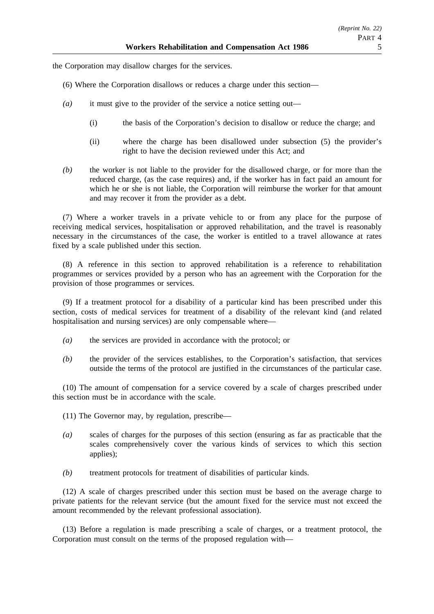the Corporation may disallow charges for the services.

- (6) Where the Corporation disallows or reduces a charge under this section—
- *(a)* it must give to the provider of the service a notice setting out—
	- (i) the basis of the Corporation's decision to disallow or reduce the charge; and
	- (ii) where the charge has been disallowed under subsection (5) the provider's right to have the decision reviewed under this Act; and
- *(b)* the worker is not liable to the provider for the disallowed charge, or for more than the reduced charge, (as the case requires) and, if the worker has in fact paid an amount for which he or she is not liable, the Corporation will reimburse the worker for that amount and may recover it from the provider as a debt.

(7) Where a worker travels in a private vehicle to or from any place for the purpose of receiving medical services, hospitalisation or approved rehabilitation, and the travel is reasonably necessary in the circumstances of the case, the worker is entitled to a travel allowance at rates fixed by a scale published under this section.

(8) A reference in this section to approved rehabilitation is a reference to rehabilitation programmes or services provided by a person who has an agreement with the Corporation for the provision of those programmes or services.

(9) If a treatment protocol for a disability of a particular kind has been prescribed under this section, costs of medical services for treatment of a disability of the relevant kind (and related hospitalisation and nursing services) are only compensable where—

- *(a)* the services are provided in accordance with the protocol; or
- *(b)* the provider of the services establishes, to the Corporation's satisfaction, that services outside the terms of the protocol are justified in the circumstances of the particular case.

(10) The amount of compensation for a service covered by a scale of charges prescribed under this section must be in accordance with the scale.

(11) The Governor may, by regulation, prescribe—

- *(a)* scales of charges for the purposes of this section (ensuring as far as practicable that the scales comprehensively cover the various kinds of services to which this section applies);
- *(b)* treatment protocols for treatment of disabilities of particular kinds.

(12) A scale of charges prescribed under this section must be based on the average charge to private patients for the relevant service (but the amount fixed for the service must not exceed the amount recommended by the relevant professional association).

(13) Before a regulation is made prescribing a scale of charges, or a treatment protocol, the Corporation must consult on the terms of the proposed regulation with—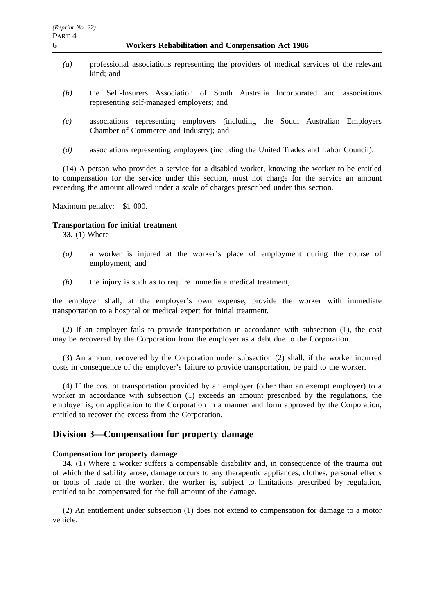- *(a)* professional associations representing the providers of medical services of the relevant kind; and
- *(b)* the Self-Insurers Association of South Australia Incorporated and associations representing self-managed employers; and
- *(c)* associations representing employers (including the South Australian Employers Chamber of Commerce and Industry); and
- *(d)* associations representing employees (including the United Trades and Labor Council).

(14) A person who provides a service for a disabled worker, knowing the worker to be entitled to compensation for the service under this section, must not charge for the service an amount exceeding the amount allowed under a scale of charges prescribed under this section.

Maximum penalty: \$1 000.

### **Transportation for initial treatment**

**33.** (1) Where—

- *(a)* a worker is injured at the worker's place of employment during the course of employment; and
- *(b)* the injury is such as to require immediate medical treatment,

the employer shall, at the employer's own expense, provide the worker with immediate transportation to a hospital or medical expert for initial treatment.

(2) If an employer fails to provide transportation in accordance with subsection (1), the cost may be recovered by the Corporation from the employer as a debt due to the Corporation.

(3) An amount recovered by the Corporation under subsection (2) shall, if the worker incurred costs in consequence of the employer's failure to provide transportation, be paid to the worker.

(4) If the cost of transportation provided by an employer (other than an exempt employer) to a worker in accordance with subsection (1) exceeds an amount prescribed by the regulations, the employer is, on application to the Corporation in a manner and form approved by the Corporation, entitled to recover the excess from the Corporation.

# **Division 3—Compensation for property damage**

#### **Compensation for property damage**

**34.** (1) Where a worker suffers a compensable disability and, in consequence of the trauma out of which the disability arose, damage occurs to any therapeutic appliances, clothes, personal effects or tools of trade of the worker, the worker is, subject to limitations prescribed by regulation, entitled to be compensated for the full amount of the damage.

(2) An entitlement under subsection (1) does not extend to compensation for damage to a motor vehicle.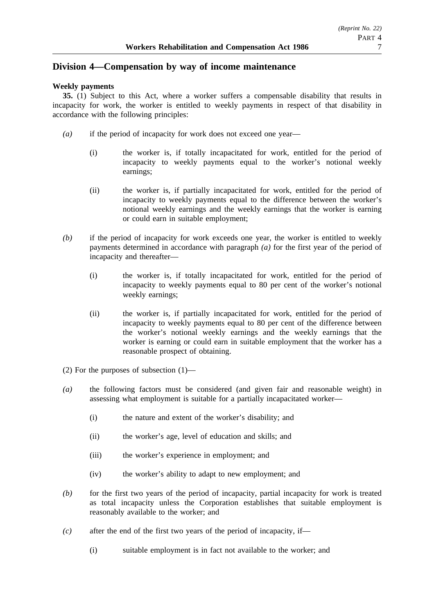# **Division 4—Compensation by way of income maintenance**

## **Weekly payments**

**35.** (1) Subject to this Act, where a worker suffers a compensable disability that results in incapacity for work, the worker is entitled to weekly payments in respect of that disability in accordance with the following principles:

- *(a)* if the period of incapacity for work does not exceed one year—
	- (i) the worker is, if totally incapacitated for work, entitled for the period of incapacity to weekly payments equal to the worker's notional weekly earnings;
	- (ii) the worker is, if partially incapacitated for work, entitled for the period of incapacity to weekly payments equal to the difference between the worker's notional weekly earnings and the weekly earnings that the worker is earning or could earn in suitable employment;
- *(b)* if the period of incapacity for work exceeds one year, the worker is entitled to weekly payments determined in accordance with paragraph *(a)* for the first year of the period of incapacity and thereafter—
	- (i) the worker is, if totally incapacitated for work, entitled for the period of incapacity to weekly payments equal to 80 per cent of the worker's notional weekly earnings;
	- (ii) the worker is, if partially incapacitated for work, entitled for the period of incapacity to weekly payments equal to 80 per cent of the difference between the worker's notional weekly earnings and the weekly earnings that the worker is earning or could earn in suitable employment that the worker has a reasonable prospect of obtaining.
- (2) For the purposes of subsection (1)—
- *(a)* the following factors must be considered (and given fair and reasonable weight) in assessing what employment is suitable for a partially incapacitated worker—
	- (i) the nature and extent of the worker's disability; and
	- (ii) the worker's age, level of education and skills; and
	- (iii) the worker's experience in employment; and
	- (iv) the worker's ability to adapt to new employment; and
- *(b)* for the first two years of the period of incapacity, partial incapacity for work is treated as total incapacity unless the Corporation establishes that suitable employment is reasonably available to the worker; and
- *(c)* after the end of the first two years of the period of incapacity, if—
	- (i) suitable employment is in fact not available to the worker; and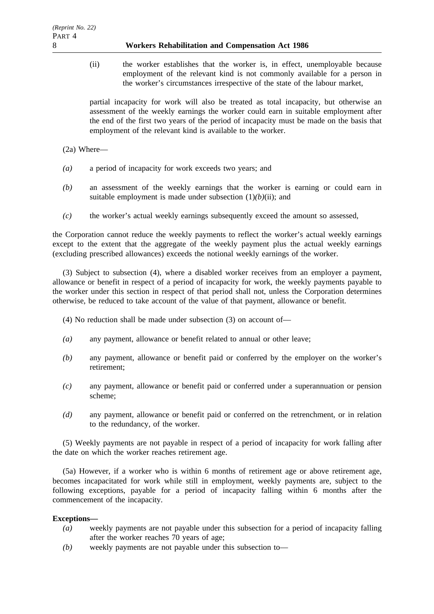(ii) the worker establishes that the worker is, in effect, unemployable because employment of the relevant kind is not commonly available for a person in the worker's circumstances irrespective of the state of the labour market,

partial incapacity for work will also be treated as total incapacity, but otherwise an assessment of the weekly earnings the worker could earn in suitable employment after the end of the first two years of the period of incapacity must be made on the basis that employment of the relevant kind is available to the worker.

(2a) Where—

- *(a)* a period of incapacity for work exceeds two years; and
- *(b)* an assessment of the weekly earnings that the worker is earning or could earn in suitable employment is made under subsection  $(1)(b)(ii)$ ; and
- *(c)* the worker's actual weekly earnings subsequently exceed the amount so assessed,

the Corporation cannot reduce the weekly payments to reflect the worker's actual weekly earnings except to the extent that the aggregate of the weekly payment plus the actual weekly earnings (excluding prescribed allowances) exceeds the notional weekly earnings of the worker.

(3) Subject to subsection (4), where a disabled worker receives from an employer a payment, allowance or benefit in respect of a period of incapacity for work, the weekly payments payable to the worker under this section in respect of that period shall not, unless the Corporation determines otherwise, be reduced to take account of the value of that payment, allowance or benefit.

- (4) No reduction shall be made under subsection (3) on account of—
- *(a)* any payment, allowance or benefit related to annual or other leave;
- *(b)* any payment, allowance or benefit paid or conferred by the employer on the worker's retirement;
- *(c)* any payment, allowance or benefit paid or conferred under a superannuation or pension scheme;
- *(d)* any payment, allowance or benefit paid or conferred on the retrenchment, or in relation to the redundancy, of the worker.

(5) Weekly payments are not payable in respect of a period of incapacity for work falling after the date on which the worker reaches retirement age.

(5a) However, if a worker who is within 6 months of retirement age or above retirement age, becomes incapacitated for work while still in employment, weekly payments are, subject to the following exceptions, payable for a period of incapacity falling within 6 months after the commencement of the incapacity.

### **Exceptions—**

- *(a)* weekly payments are not payable under this subsection for a period of incapacity falling after the worker reaches 70 years of age;
- *(b)* weekly payments are not payable under this subsection to—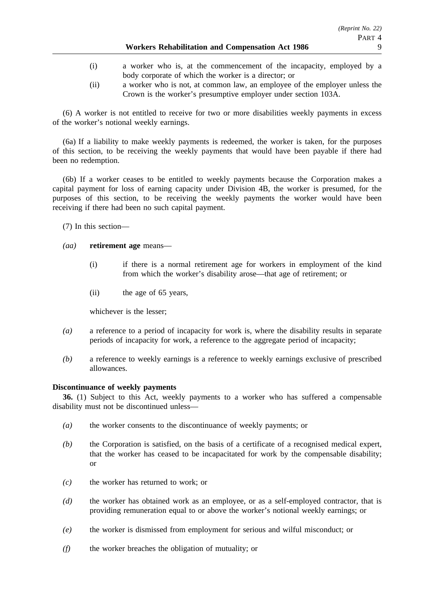- (i) a worker who is, at the commencement of the incapacity, employed by a body corporate of which the worker is a director; or
- (ii) a worker who is not, at common law, an employee of the employer unless the Crown is the worker's presumptive employer under section 103A.

(6) A worker is not entitled to receive for two or more disabilities weekly payments in excess of the worker's notional weekly earnings.

(6a) If a liability to make weekly payments is redeemed, the worker is taken, for the purposes of this section, to be receiving the weekly payments that would have been payable if there had been no redemption.

(6b) If a worker ceases to be entitled to weekly payments because the Corporation makes a capital payment for loss of earning capacity under Division 4B, the worker is presumed, for the purposes of this section, to be receiving the weekly payments the worker would have been receiving if there had been no such capital payment.

(7) In this section—

### *(aa)* **retirement age** means—

- (i) if there is a normal retirement age for workers in employment of the kind from which the worker's disability arose—that age of retirement; or
- (ii) the age of 65 years,

whichever is the lesser;

- *(a)* a reference to a period of incapacity for work is, where the disability results in separate periods of incapacity for work, a reference to the aggregate period of incapacity;
- *(b)* a reference to weekly earnings is a reference to weekly earnings exclusive of prescribed allowances.

## **Discontinuance of weekly payments**

**36.** (1) Subject to this Act, weekly payments to a worker who has suffered a compensable disability must not be discontinued unless—

- *(a)* the worker consents to the discontinuance of weekly payments; or
- *(b)* the Corporation is satisfied, on the basis of a certificate of a recognised medical expert, that the worker has ceased to be incapacitated for work by the compensable disability; or
- *(c)* the worker has returned to work; or
- *(d)* the worker has obtained work as an employee, or as a self-employed contractor, that is providing remuneration equal to or above the worker's notional weekly earnings; or
- *(e)* the worker is dismissed from employment for serious and wilful misconduct; or
- *(f)* the worker breaches the obligation of mutuality; or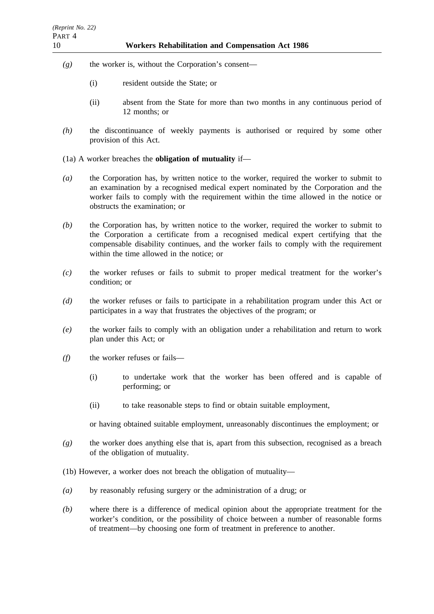- *(g)* the worker is, without the Corporation's consent—
	- (i) resident outside the State; or
	- (ii) absent from the State for more than two months in any continuous period of 12 months; or
- *(h)* the discontinuance of weekly payments is authorised or required by some other provision of this Act.
- (1a) A worker breaches the **obligation of mutuality** if—
- *(a)* the Corporation has, by written notice to the worker, required the worker to submit to an examination by a recognised medical expert nominated by the Corporation and the worker fails to comply with the requirement within the time allowed in the notice or obstructs the examination; or
- *(b)* the Corporation has, by written notice to the worker, required the worker to submit to the Corporation a certificate from a recognised medical expert certifying that the compensable disability continues, and the worker fails to comply with the requirement within the time allowed in the notice; or
- *(c)* the worker refuses or fails to submit to proper medical treatment for the worker's condition; or
- *(d)* the worker refuses or fails to participate in a rehabilitation program under this Act or participates in a way that frustrates the objectives of the program; or
- *(e)* the worker fails to comply with an obligation under a rehabilitation and return to work plan under this Act; or
- *(f)* the worker refuses or fails—
	- (i) to undertake work that the worker has been offered and is capable of performing; or
	- (ii) to take reasonable steps to find or obtain suitable employment,

or having obtained suitable employment, unreasonably discontinues the employment; or

- *(g)* the worker does anything else that is, apart from this subsection, recognised as a breach of the obligation of mutuality.
- (1b) However, a worker does not breach the obligation of mutuality—
- *(a)* by reasonably refusing surgery or the administration of a drug; or
- *(b)* where there is a difference of medical opinion about the appropriate treatment for the worker's condition, or the possibility of choice between a number of reasonable forms of treatment—by choosing one form of treatment in preference to another.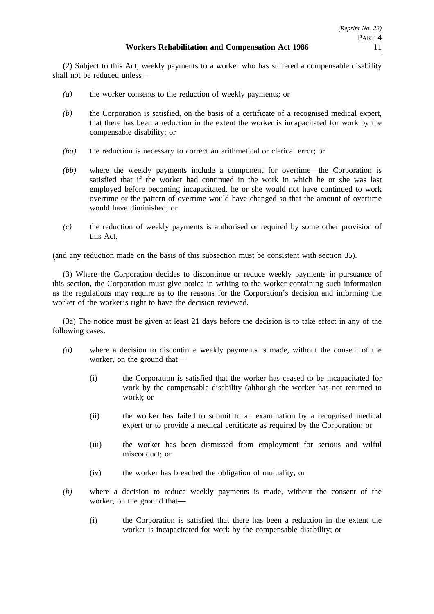(2) Subject to this Act, weekly payments to a worker who has suffered a compensable disability shall not be reduced unless—

- *(a)* the worker consents to the reduction of weekly payments; or
- *(b)* the Corporation is satisfied, on the basis of a certificate of a recognised medical expert, that there has been a reduction in the extent the worker is incapacitated for work by the compensable disability; or
- *(ba)* the reduction is necessary to correct an arithmetical or clerical error; or
- *(bb)* where the weekly payments include a component for overtime—the Corporation is satisfied that if the worker had continued in the work in which he or she was last employed before becoming incapacitated, he or she would not have continued to work overtime or the pattern of overtime would have changed so that the amount of overtime would have diminished; or
- *(c)* the reduction of weekly payments is authorised or required by some other provision of this Act,

(and any reduction made on the basis of this subsection must be consistent with section 35).

(3) Where the Corporation decides to discontinue or reduce weekly payments in pursuance of this section, the Corporation must give notice in writing to the worker containing such information as the regulations may require as to the reasons for the Corporation's decision and informing the worker of the worker's right to have the decision reviewed.

(3a) The notice must be given at least 21 days before the decision is to take effect in any of the following cases:

- *(a)* where a decision to discontinue weekly payments is made, without the consent of the worker, on the ground that—
	- (i) the Corporation is satisfied that the worker has ceased to be incapacitated for work by the compensable disability (although the worker has not returned to work); or
	- (ii) the worker has failed to submit to an examination by a recognised medical expert or to provide a medical certificate as required by the Corporation; or
	- (iii) the worker has been dismissed from employment for serious and wilful misconduct; or
	- (iv) the worker has breached the obligation of mutuality; or
- *(b)* where a decision to reduce weekly payments is made, without the consent of the worker, on the ground that—
	- (i) the Corporation is satisfied that there has been a reduction in the extent the worker is incapacitated for work by the compensable disability; or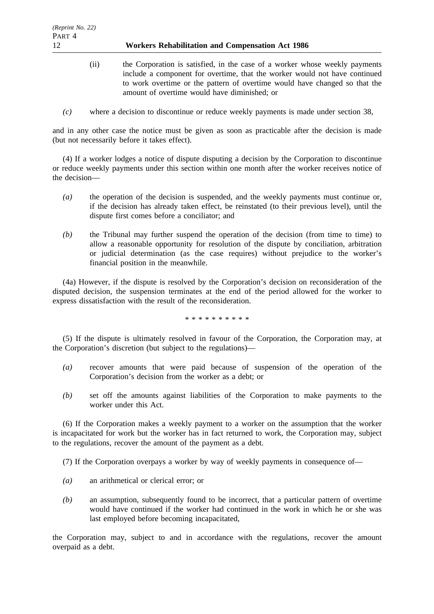- (ii) the Corporation is satisfied, in the case of a worker whose weekly payments include a component for overtime, that the worker would not have continued to work overtime or the pattern of overtime would have changed so that the amount of overtime would have diminished; or
- *(c)* where a decision to discontinue or reduce weekly payments is made under section 38,

and in any other case the notice must be given as soon as practicable after the decision is made (but not necessarily before it takes effect).

(4) If a worker lodges a notice of dispute disputing a decision by the Corporation to discontinue or reduce weekly payments under this section within one month after the worker receives notice of the decision—

- *(a)* the operation of the decision is suspended, and the weekly payments must continue or, if the decision has already taken effect, be reinstated (to their previous level), until the dispute first comes before a conciliator; and
- *(b)* the Tribunal may further suspend the operation of the decision (from time to time) to allow a reasonable opportunity for resolution of the dispute by conciliation, arbitration or judicial determination (as the case requires) without prejudice to the worker's financial position in the meanwhile.

(4a) However, if the dispute is resolved by the Corporation's decision on reconsideration of the disputed decision, the suspension terminates at the end of the period allowed for the worker to express dissatisfaction with the result of the reconsideration.

\*\*\*\*\*\*\*\*\*\*

(5) If the dispute is ultimately resolved in favour of the Corporation, the Corporation may, at the Corporation's discretion (but subject to the regulations)—

- *(a)* recover amounts that were paid because of suspension of the operation of the Corporation's decision from the worker as a debt; or
- *(b)* set off the amounts against liabilities of the Corporation to make payments to the worker under this Act.

(6) If the Corporation makes a weekly payment to a worker on the assumption that the worker is incapacitated for work but the worker has in fact returned to work, the Corporation may, subject to the regulations, recover the amount of the payment as a debt.

(7) If the Corporation overpays a worker by way of weekly payments in consequence of—

- *(a)* an arithmetical or clerical error; or
- *(b)* an assumption, subsequently found to be incorrect, that a particular pattern of overtime would have continued if the worker had continued in the work in which he or she was last employed before becoming incapacitated,

the Corporation may, subject to and in accordance with the regulations, recover the amount overpaid as a debt.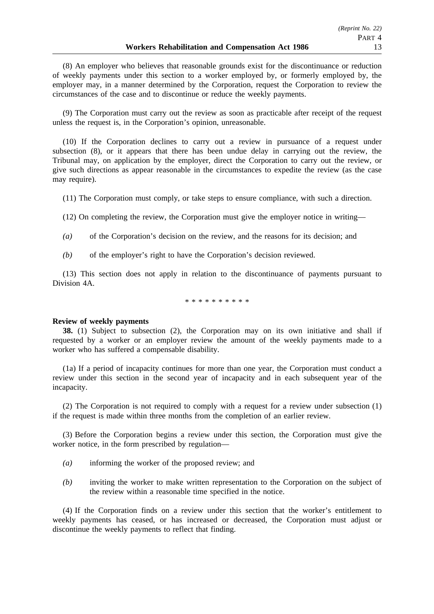(8) An employer who believes that reasonable grounds exist for the discontinuance or reduction of weekly payments under this section to a worker employed by, or formerly employed by, the employer may, in a manner determined by the Corporation, request the Corporation to review the circumstances of the case and to discontinue or reduce the weekly payments.

(9) The Corporation must carry out the review as soon as practicable after receipt of the request unless the request is, in the Corporation's opinion, unreasonable.

(10) If the Corporation declines to carry out a review in pursuance of a request under subsection (8), or it appears that there has been undue delay in carrying out the review, the Tribunal may, on application by the employer, direct the Corporation to carry out the review, or give such directions as appear reasonable in the circumstances to expedite the review (as the case may require).

(11) The Corporation must comply, or take steps to ensure compliance, with such a direction.

(12) On completing the review, the Corporation must give the employer notice in writing—

- *(a)* of the Corporation's decision on the review, and the reasons for its decision; and
- *(b)* of the employer's right to have the Corporation's decision reviewed.

(13) This section does not apply in relation to the discontinuance of payments pursuant to Division 4A.

\*\*\*\*\*\*\*\*\*\*

#### **Review of weekly payments**

**38.** (1) Subject to subsection (2), the Corporation may on its own initiative and shall if requested by a worker or an employer review the amount of the weekly payments made to a worker who has suffered a compensable disability.

(1a) If a period of incapacity continues for more than one year, the Corporation must conduct a review under this section in the second year of incapacity and in each subsequent year of the incapacity.

(2) The Corporation is not required to comply with a request for a review under subsection (1) if the request is made within three months from the completion of an earlier review.

(3) Before the Corporation begins a review under this section, the Corporation must give the worker notice, in the form prescribed by regulation—

- *(a)* informing the worker of the proposed review; and
- *(b)* inviting the worker to make written representation to the Corporation on the subject of the review within a reasonable time specified in the notice.

(4) If the Corporation finds on a review under this section that the worker's entitlement to weekly payments has ceased, or has increased or decreased, the Corporation must adjust or discontinue the weekly payments to reflect that finding.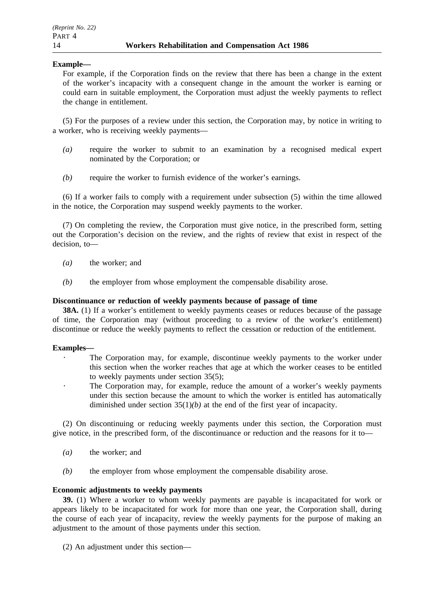## **Example—**

For example, if the Corporation finds on the review that there has been a change in the extent of the worker's incapacity with a consequent change in the amount the worker is earning or could earn in suitable employment, the Corporation must adjust the weekly payments to reflect the change in entitlement.

(5) For the purposes of a review under this section, the Corporation may, by notice in writing to a worker, who is receiving weekly payments—

- *(a)* require the worker to submit to an examination by a recognised medical expert nominated by the Corporation; or
- *(b)* require the worker to furnish evidence of the worker's earnings.

(6) If a worker fails to comply with a requirement under subsection (5) within the time allowed in the notice, the Corporation may suspend weekly payments to the worker.

(7) On completing the review, the Corporation must give notice, in the prescribed form, setting out the Corporation's decision on the review, and the rights of review that exist in respect of the decision, to—

- *(a)* the worker; and
- *(b)* the employer from whose employment the compensable disability arose.

#### **Discontinuance or reduction of weekly payments because of passage of time**

**38A.** (1) If a worker's entitlement to weekly payments ceases or reduces because of the passage of time, the Corporation may (without proceeding to a review of the worker's entitlement) discontinue or reduce the weekly payments to reflect the cessation or reduction of the entitlement.

#### **Examples—**

- The Corporation may, for example, discontinue weekly payments to the worker under this section when the worker reaches that age at which the worker ceases to be entitled to weekly payments under section 35(5);
	- The Corporation may, for example, reduce the amount of a worker's weekly payments under this section because the amount to which the worker is entitled has automatically diminished under section 35(1)*(b)* at the end of the first year of incapacity.

(2) On discontinuing or reducing weekly payments under this section, the Corporation must give notice, in the prescribed form, of the discontinuance or reduction and the reasons for it to—

- *(a)* the worker; and
- *(b)* the employer from whose employment the compensable disability arose.

#### **Economic adjustments to weekly payments**

**39.** (1) Where a worker to whom weekly payments are payable is incapacitated for work or appears likely to be incapacitated for work for more than one year, the Corporation shall, during the course of each year of incapacity, review the weekly payments for the purpose of making an adjustment to the amount of those payments under this section.

(2) An adjustment under this section—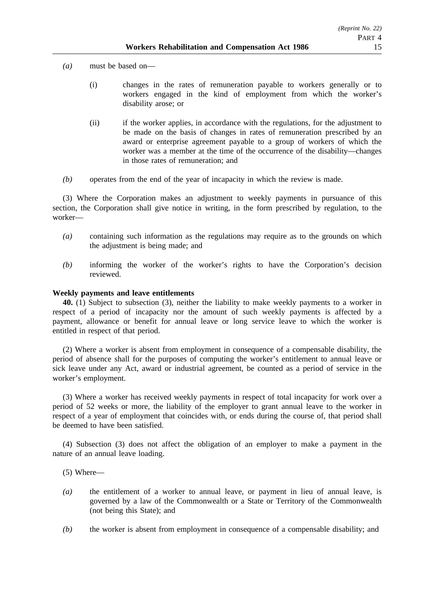*(a)* must be based on—

- (i) changes in the rates of remuneration payable to workers generally or to workers engaged in the kind of employment from which the worker's disability arose; or
- (ii) if the worker applies, in accordance with the regulations, for the adjustment to be made on the basis of changes in rates of remuneration prescribed by an award or enterprise agreement payable to a group of workers of which the worker was a member at the time of the occurrence of the disability—changes in those rates of remuneration; and
- *(b)* operates from the end of the year of incapacity in which the review is made.

(3) Where the Corporation makes an adjustment to weekly payments in pursuance of this section, the Corporation shall give notice in writing, in the form prescribed by regulation, to the worker—

- *(a)* containing such information as the regulations may require as to the grounds on which the adjustment is being made; and
- *(b)* informing the worker of the worker's rights to have the Corporation's decision reviewed.

## **Weekly payments and leave entitlements**

**40.** (1) Subject to subsection (3), neither the liability to make weekly payments to a worker in respect of a period of incapacity nor the amount of such weekly payments is affected by a payment, allowance or benefit for annual leave or long service leave to which the worker is entitled in respect of that period.

(2) Where a worker is absent from employment in consequence of a compensable disability, the period of absence shall for the purposes of computing the worker's entitlement to annual leave or sick leave under any Act, award or industrial agreement, be counted as a period of service in the worker's employment.

(3) Where a worker has received weekly payments in respect of total incapacity for work over a period of 52 weeks or more, the liability of the employer to grant annual leave to the worker in respect of a year of employment that coincides with, or ends during the course of, that period shall be deemed to have been satisfied.

(4) Subsection (3) does not affect the obligation of an employer to make a payment in the nature of an annual leave loading.

(5) Where—

- *(a)* the entitlement of a worker to annual leave, or payment in lieu of annual leave, is governed by a law of the Commonwealth or a State or Territory of the Commonwealth (not being this State); and
- *(b)* the worker is absent from employment in consequence of a compensable disability; and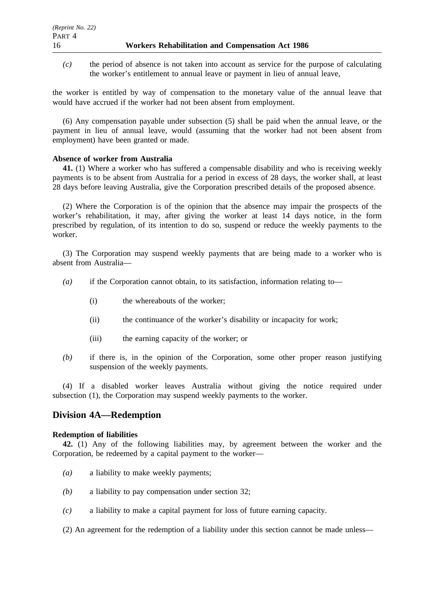*(c)* the period of absence is not taken into account as service for the purpose of calculating the worker's entitlement to annual leave or payment in lieu of annual leave,

the worker is entitled by way of compensation to the monetary value of the annual leave that would have accrued if the worker had not been absent from employment.

(6) Any compensation payable under subsection (5) shall be paid when the annual leave, or the payment in lieu of annual leave, would (assuming that the worker had not been absent from employment) have been granted or made.

### **Absence of worker from Australia**

**41.** (1) Where a worker who has suffered a compensable disability and who is receiving weekly payments is to be absent from Australia for a period in excess of 28 days, the worker shall, at least 28 days before leaving Australia, give the Corporation prescribed details of the proposed absence.

(2) Where the Corporation is of the opinion that the absence may impair the prospects of the worker's rehabilitation, it may, after giving the worker at least 14 days notice, in the form prescribed by regulation, of its intention to do so, suspend or reduce the weekly payments to the worker.

(3) The Corporation may suspend weekly payments that are being made to a worker who is absent from Australia—

- *(a)* if the Corporation cannot obtain, to its satisfaction, information relating to—
	- (i) the whereabouts of the worker;
	- (ii) the continuance of the worker's disability or incapacity for work;
	- (iii) the earning capacity of the worker; or
- *(b)* if there is, in the opinion of the Corporation, some other proper reason justifying suspension of the weekly payments.

(4) If a disabled worker leaves Australia without giving the notice required under subsection (1), the Corporation may suspend weekly payments to the worker.

# **Division 4A—Redemption**

#### **Redemption of liabilities**

**42.** (1) Any of the following liabilities may, by agreement between the worker and the Corporation, be redeemed by a capital payment to the worker—

- *(a)* a liability to make weekly payments;
- *(b)* a liability to pay compensation under section 32;
- *(c)* a liability to make a capital payment for loss of future earning capacity.
- (2) An agreement for the redemption of a liability under this section cannot be made unless—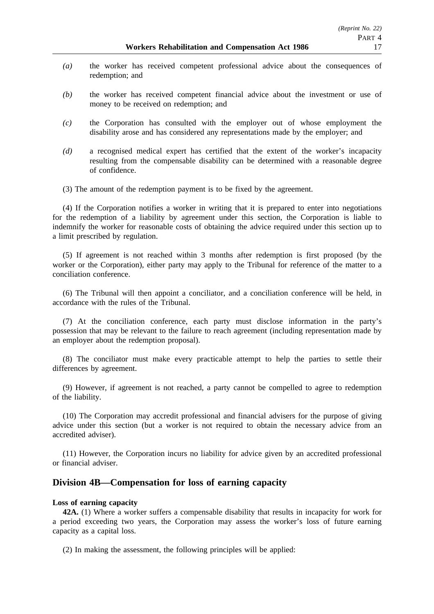- *(a)* the worker has received competent professional advice about the consequences of redemption; and
- *(b)* the worker has received competent financial advice about the investment or use of money to be received on redemption; and
- *(c)* the Corporation has consulted with the employer out of whose employment the disability arose and has considered any representations made by the employer; and
- *(d)* a recognised medical expert has certified that the extent of the worker's incapacity resulting from the compensable disability can be determined with a reasonable degree of confidence.
- (3) The amount of the redemption payment is to be fixed by the agreement.

(4) If the Corporation notifies a worker in writing that it is prepared to enter into negotiations for the redemption of a liability by agreement under this section, the Corporation is liable to indemnify the worker for reasonable costs of obtaining the advice required under this section up to a limit prescribed by regulation.

(5) If agreement is not reached within 3 months after redemption is first proposed (by the worker or the Corporation), either party may apply to the Tribunal for reference of the matter to a conciliation conference.

(6) The Tribunal will then appoint a conciliator, and a conciliation conference will be held, in accordance with the rules of the Tribunal.

(7) At the conciliation conference, each party must disclose information in the party's possession that may be relevant to the failure to reach agreement (including representation made by an employer about the redemption proposal).

(8) The conciliator must make every practicable attempt to help the parties to settle their differences by agreement.

(9) However, if agreement is not reached, a party cannot be compelled to agree to redemption of the liability.

(10) The Corporation may accredit professional and financial advisers for the purpose of giving advice under this section (but a worker is not required to obtain the necessary advice from an accredited adviser).

(11) However, the Corporation incurs no liability for advice given by an accredited professional or financial adviser.

# **Division 4B—Compensation for loss of earning capacity**

#### **Loss of earning capacity**

**42A.** (1) Where a worker suffers a compensable disability that results in incapacity for work for a period exceeding two years, the Corporation may assess the worker's loss of future earning capacity as a capital loss.

(2) In making the assessment, the following principles will be applied: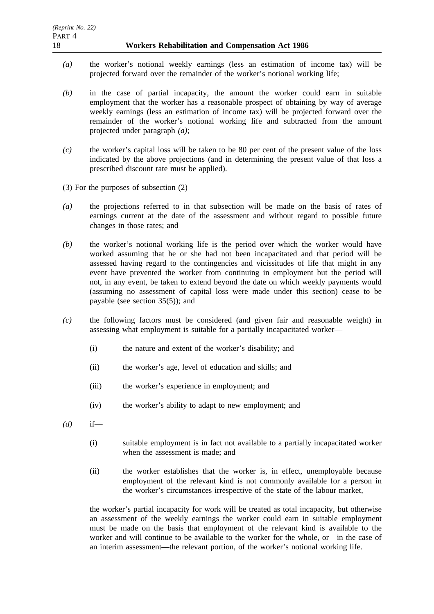- *(a)* the worker's notional weekly earnings (less an estimation of income tax) will be projected forward over the remainder of the worker's notional working life;
- *(b)* in the case of partial incapacity, the amount the worker could earn in suitable employment that the worker has a reasonable prospect of obtaining by way of average weekly earnings (less an estimation of income tax) will be projected forward over the remainder of the worker's notional working life and subtracted from the amount projected under paragraph *(a)*;
- *(c)* the worker's capital loss will be taken to be 80 per cent of the present value of the loss indicated by the above projections (and in determining the present value of that loss a prescribed discount rate must be applied).
- (3) For the purposes of subsection (2)—
- *(a)* the projections referred to in that subsection will be made on the basis of rates of earnings current at the date of the assessment and without regard to possible future changes in those rates; and
- *(b)* the worker's notional working life is the period over which the worker would have worked assuming that he or she had not been incapacitated and that period will be assessed having regard to the contingencies and vicissitudes of life that might in any event have prevented the worker from continuing in employment but the period will not, in any event, be taken to extend beyond the date on which weekly payments would (assuming no assessment of capital loss were made under this section) cease to be payable (see section 35(5)); and
- *(c)* the following factors must be considered (and given fair and reasonable weight) in assessing what employment is suitable for a partially incapacitated worker—
	- (i) the nature and extent of the worker's disability; and
	- (ii) the worker's age, level of education and skills; and
	- (iii) the worker's experience in employment; and
	- (iv) the worker's ability to adapt to new employment; and
- *(d)* if—
	- (i) suitable employment is in fact not available to a partially incapacitated worker when the assessment is made; and
	- (ii) the worker establishes that the worker is, in effect, unemployable because employment of the relevant kind is not commonly available for a person in the worker's circumstances irrespective of the state of the labour market,

the worker's partial incapacity for work will be treated as total incapacity, but otherwise an assessment of the weekly earnings the worker could earn in suitable employment must be made on the basis that employment of the relevant kind is available to the worker and will continue to be available to the worker for the whole, or—in the case of an interim assessment—the relevant portion, of the worker's notional working life.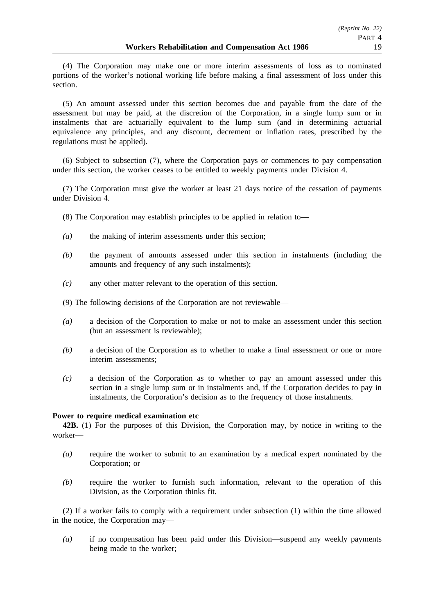(4) The Corporation may make one or more interim assessments of loss as to nominated portions of the worker's notional working life before making a final assessment of loss under this section.

(5) An amount assessed under this section becomes due and payable from the date of the assessment but may be paid, at the discretion of the Corporation, in a single lump sum or in instalments that are actuarially equivalent to the lump sum (and in determining actuarial equivalence any principles, and any discount, decrement or inflation rates, prescribed by the regulations must be applied).

(6) Subject to subsection (7), where the Corporation pays or commences to pay compensation under this section, the worker ceases to be entitled to weekly payments under Division 4.

(7) The Corporation must give the worker at least 21 days notice of the cessation of payments under Division 4

- (8) The Corporation may establish principles to be applied in relation to—
- *(a)* the making of interim assessments under this section;
- *(b)* the payment of amounts assessed under this section in instalments (including the amounts and frequency of any such instalments);
- *(c)* any other matter relevant to the operation of this section.
- (9) The following decisions of the Corporation are not reviewable—
- *(a)* a decision of the Corporation to make or not to make an assessment under this section (but an assessment is reviewable);
- *(b)* a decision of the Corporation as to whether to make a final assessment or one or more interim assessments;
- *(c)* a decision of the Corporation as to whether to pay an amount assessed under this section in a single lump sum or in instalments and, if the Corporation decides to pay in instalments, the Corporation's decision as to the frequency of those instalments.

#### **Power to require medical examination etc**

**42B.** (1) For the purposes of this Division, the Corporation may, by notice in writing to the worker—

- *(a)* require the worker to submit to an examination by a medical expert nominated by the Corporation; or
- *(b)* require the worker to furnish such information, relevant to the operation of this Division, as the Corporation thinks fit.

(2) If a worker fails to comply with a requirement under subsection (1) within the time allowed in the notice, the Corporation may—

*(a)* if no compensation has been paid under this Division—suspend any weekly payments being made to the worker;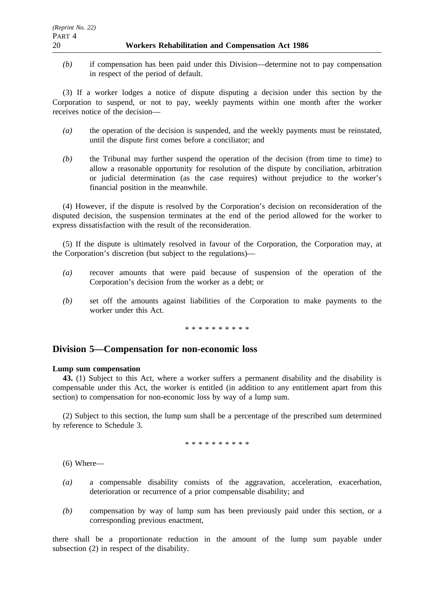*(b)* if compensation has been paid under this Division—determine not to pay compensation in respect of the period of default.

(3) If a worker lodges a notice of dispute disputing a decision under this section by the Corporation to suspend, or not to pay, weekly payments within one month after the worker receives notice of the decision—

- *(a)* the operation of the decision is suspended, and the weekly payments must be reinstated, until the dispute first comes before a conciliator; and
- *(b)* the Tribunal may further suspend the operation of the decision (from time to time) to allow a reasonable opportunity for resolution of the dispute by conciliation, arbitration or judicial determination (as the case requires) without prejudice to the worker's financial position in the meanwhile.

(4) However, if the dispute is resolved by the Corporation's decision on reconsideration of the disputed decision, the suspension terminates at the end of the period allowed for the worker to express dissatisfaction with the result of the reconsideration.

(5) If the dispute is ultimately resolved in favour of the Corporation, the Corporation may, at the Corporation's discretion (but subject to the regulations)—

- *(a)* recover amounts that were paid because of suspension of the operation of the Corporation's decision from the worker as a debt; or
- *(b)* set off the amounts against liabilities of the Corporation to make payments to the worker under this Act.

\*\*\*\*\*\*\*\*\*\*

# **Division 5—Compensation for non-economic loss**

#### **Lump sum compensation**

**43.** (1) Subject to this Act, where a worker suffers a permanent disability and the disability is compensable under this Act, the worker is entitled (in addition to any entitlement apart from this section) to compensation for non-economic loss by way of a lump sum.

(2) Subject to this section, the lump sum shall be a percentage of the prescribed sum determined by reference to Schedule 3.

\*\*\*\*\*\*\*\*\*\*

(6) Where—

- *(a)* a compensable disability consists of the aggravation, acceleration, exacerbation, deterioration or recurrence of a prior compensable disability; and
- *(b)* compensation by way of lump sum has been previously paid under this section, or a corresponding previous enactment,

there shall be a proportionate reduction in the amount of the lump sum payable under subsection (2) in respect of the disability.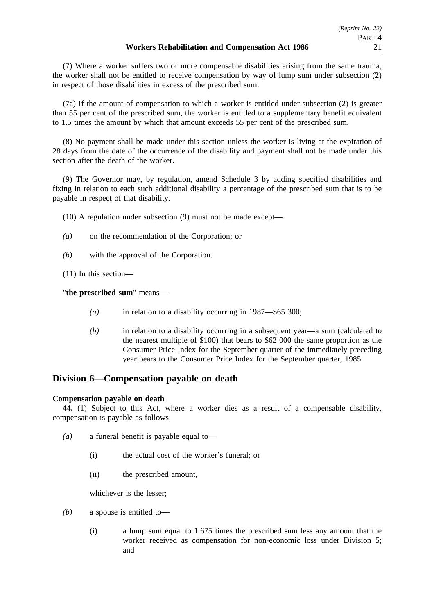(7) Where a worker suffers two or more compensable disabilities arising from the same trauma, the worker shall not be entitled to receive compensation by way of lump sum under subsection (2) in respect of those disabilities in excess of the prescribed sum.

(7a) If the amount of compensation to which a worker is entitled under subsection (2) is greater than 55 per cent of the prescribed sum, the worker is entitled to a supplementary benefit equivalent to 1.5 times the amount by which that amount exceeds 55 per cent of the prescribed sum.

(8) No payment shall be made under this section unless the worker is living at the expiration of 28 days from the date of the occurrence of the disability and payment shall not be made under this section after the death of the worker.

(9) The Governor may, by regulation, amend Schedule 3 by adding specified disabilities and fixing in relation to each such additional disability a percentage of the prescribed sum that is to be payable in respect of that disability.

(10) A regulation under subsection (9) must not be made except—

- *(a)* on the recommendation of the Corporation; or
- *(b)* with the approval of the Corporation.

(11) In this section—

"**the prescribed sum**" means—

- *(a)* in relation to a disability occurring in 1987—\$65 300;
- *(b)* in relation to a disability occurring in a subsequent year—a sum (calculated to the nearest multiple of \$100) that bears to \$62 000 the same proportion as the Consumer Price Index for the September quarter of the immediately preceding year bears to the Consumer Price Index for the September quarter, 1985.

# **Division 6—Compensation payable on death**

## **Compensation payable on death**

**44.** (1) Subject to this Act, where a worker dies as a result of a compensable disability, compensation is payable as follows:

- *(a)* a funeral benefit is payable equal to—
	- (i) the actual cost of the worker's funeral; or
	- (ii) the prescribed amount,

whichever is the lesser;

- *(b)* a spouse is entitled to—
	- (i) a lump sum equal to 1.675 times the prescribed sum less any amount that the worker received as compensation for non-economic loss under Division 5; and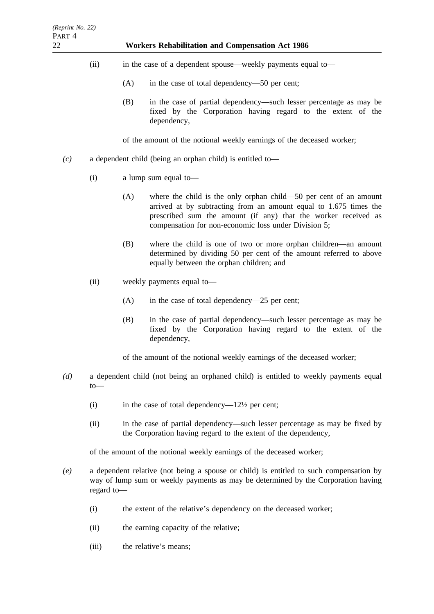- (ii) in the case of a dependent spouse—weekly payments equal to—
	- (A) in the case of total dependency—50 per cent;
	- (B) in the case of partial dependency—such lesser percentage as may be fixed by the Corporation having regard to the extent of the dependency,

of the amount of the notional weekly earnings of the deceased worker;

- *(c)* a dependent child (being an orphan child) is entitled to—
	- (i) a lump sum equal to—
		- (A) where the child is the only orphan child—50 per cent of an amount arrived at by subtracting from an amount equal to 1.675 times the prescribed sum the amount (if any) that the worker received as compensation for non-economic loss under Division 5;
		- (B) where the child is one of two or more orphan children—an amount determined by dividing 50 per cent of the amount referred to above equally between the orphan children; and
	- (ii) weekly payments equal to—
		- (A) in the case of total dependency—25 per cent;
		- (B) in the case of partial dependency—such lesser percentage as may be fixed by the Corporation having regard to the extent of the dependency,
		- of the amount of the notional weekly earnings of the deceased worker;
- *(d)* a dependent child (not being an orphaned child) is entitled to weekly payments equal to—
	- (i) in the case of total dependency— $12\frac{1}{2}$  per cent;
	- (ii) in the case of partial dependency—such lesser percentage as may be fixed by the Corporation having regard to the extent of the dependency,

of the amount of the notional weekly earnings of the deceased worker;

- *(e)* a dependent relative (not being a spouse or child) is entitled to such compensation by way of lump sum or weekly payments as may be determined by the Corporation having regard to—
	- (i) the extent of the relative's dependency on the deceased worker;
	- (ii) the earning capacity of the relative;
	- (iii) the relative's means;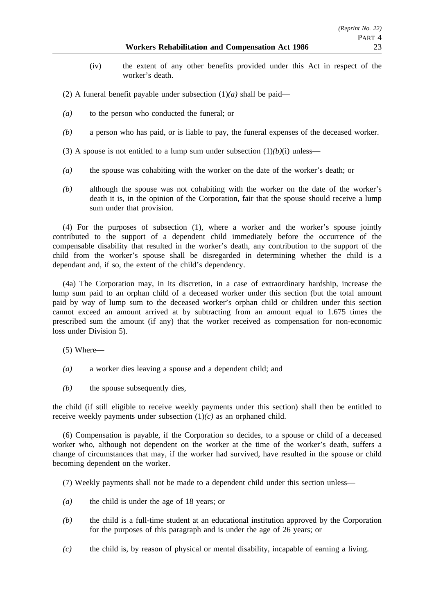- (iv) the extent of any other benefits provided under this Act in respect of the worker's death.
- (2) A funeral benefit payable under subsection  $(1)(a)$  shall be paid—
- *(a)* to the person who conducted the funeral; or
- *(b)* a person who has paid, or is liable to pay, the funeral expenses of the deceased worker.
- (3) A spouse is not entitled to a lump sum under subsection  $(1)(b)(i)$  unless—
- *(a)* the spouse was cohabiting with the worker on the date of the worker's death; or
- *(b)* although the spouse was not cohabiting with the worker on the date of the worker's death it is, in the opinion of the Corporation, fair that the spouse should receive a lump sum under that provision.

(4) For the purposes of subsection (1), where a worker and the worker's spouse jointly contributed to the support of a dependent child immediately before the occurrence of the compensable disability that resulted in the worker's death, any contribution to the support of the child from the worker's spouse shall be disregarded in determining whether the child is a dependant and, if so, the extent of the child's dependency.

(4a) The Corporation may, in its discretion, in a case of extraordinary hardship, increase the lump sum paid to an orphan child of a deceased worker under this section (but the total amount paid by way of lump sum to the deceased worker's orphan child or children under this section cannot exceed an amount arrived at by subtracting from an amount equal to 1.675 times the prescribed sum the amount (if any) that the worker received as compensation for non-economic loss under Division 5).

- (5) Where—
- *(a)* a worker dies leaving a spouse and a dependent child; and
- *(b)* the spouse subsequently dies,

the child (if still eligible to receive weekly payments under this section) shall then be entitled to receive weekly payments under subsection (1)*(c)* as an orphaned child.

(6) Compensation is payable, if the Corporation so decides, to a spouse or child of a deceased worker who, although not dependent on the worker at the time of the worker's death, suffers a change of circumstances that may, if the worker had survived, have resulted in the spouse or child becoming dependent on the worker.

(7) Weekly payments shall not be made to a dependent child under this section unless—

- *(a)* the child is under the age of 18 years; or
- *(b)* the child is a full-time student at an educational institution approved by the Corporation for the purposes of this paragraph and is under the age of 26 years; or
- *(c)* the child is, by reason of physical or mental disability, incapable of earning a living.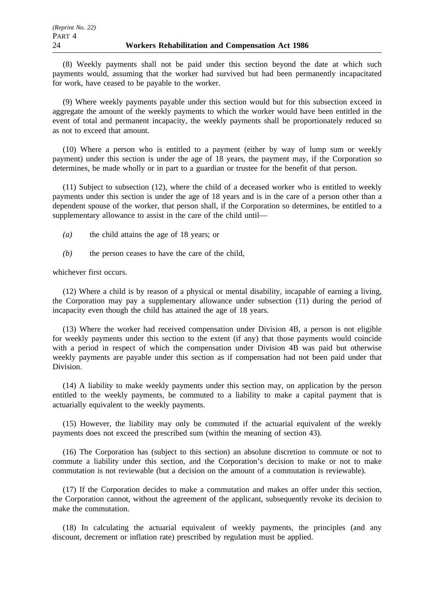(8) Weekly payments shall not be paid under this section beyond the date at which such payments would, assuming that the worker had survived but had been permanently incapacitated for work, have ceased to be payable to the worker.

(9) Where weekly payments payable under this section would but for this subsection exceed in aggregate the amount of the weekly payments to which the worker would have been entitled in the event of total and permanent incapacity, the weekly payments shall be proportionately reduced so as not to exceed that amount.

(10) Where a person who is entitled to a payment (either by way of lump sum or weekly payment) under this section is under the age of 18 years, the payment may, if the Corporation so determines, be made wholly or in part to a guardian or trustee for the benefit of that person.

(11) Subject to subsection (12), where the child of a deceased worker who is entitled to weekly payments under this section is under the age of 18 years and is in the care of a person other than a dependent spouse of the worker, that person shall, if the Corporation so determines, be entitled to a supplementary allowance to assist in the care of the child until—

- *(a)* the child attains the age of 18 years; or
- *(b)* the person ceases to have the care of the child,

whichever first occurs.

(12) Where a child is by reason of a physical or mental disability, incapable of earning a living, the Corporation may pay a supplementary allowance under subsection (11) during the period of incapacity even though the child has attained the age of 18 years.

(13) Where the worker had received compensation under Division 4B, a person is not eligible for weekly payments under this section to the extent (if any) that those payments would coincide with a period in respect of which the compensation under Division 4B was paid but otherwise weekly payments are payable under this section as if compensation had not been paid under that Division.

(14) A liability to make weekly payments under this section may, on application by the person entitled to the weekly payments, be commuted to a liability to make a capital payment that is actuarially equivalent to the weekly payments.

(15) However, the liability may only be commuted if the actuarial equivalent of the weekly payments does not exceed the prescribed sum (within the meaning of section 43).

(16) The Corporation has (subject to this section) an absolute discretion to commute or not to commute a liability under this section, and the Corporation's decision to make or not to make commutation is not reviewable (but a decision on the amount of a commutation is reviewable).

(17) If the Corporation decides to make a commutation and makes an offer under this section, the Corporation cannot, without the agreement of the applicant, subsequently revoke its decision to make the commutation.

(18) In calculating the actuarial equivalent of weekly payments, the principles (and any discount, decrement or inflation rate) prescribed by regulation must be applied.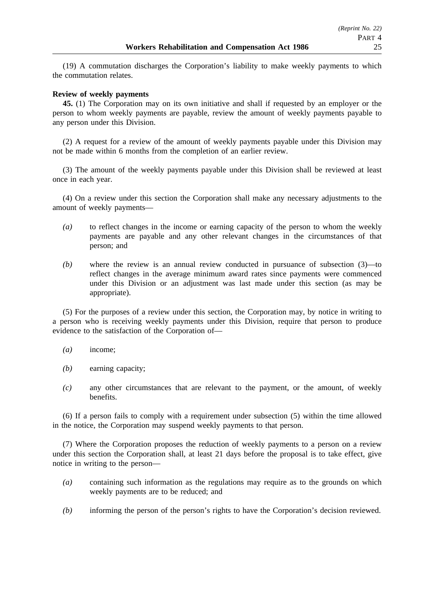(19) A commutation discharges the Corporation's liability to make weekly payments to which the commutation relates.

## **Review of weekly payments**

**45.** (1) The Corporation may on its own initiative and shall if requested by an employer or the person to whom weekly payments are payable, review the amount of weekly payments payable to any person under this Division.

(2) A request for a review of the amount of weekly payments payable under this Division may not be made within 6 months from the completion of an earlier review.

(3) The amount of the weekly payments payable under this Division shall be reviewed at least once in each year.

(4) On a review under this section the Corporation shall make any necessary adjustments to the amount of weekly payments—

- *(a)* to reflect changes in the income or earning capacity of the person to whom the weekly payments are payable and any other relevant changes in the circumstances of that person; and
- *(b)* where the review is an annual review conducted in pursuance of subsection (3)—to reflect changes in the average minimum award rates since payments were commenced under this Division or an adjustment was last made under this section (as may be appropriate).

(5) For the purposes of a review under this section, the Corporation may, by notice in writing to a person who is receiving weekly payments under this Division, require that person to produce evidence to the satisfaction of the Corporation of-

- *(a)* income;
- *(b)* earning capacity;
- *(c)* any other circumstances that are relevant to the payment, or the amount, of weekly benefits.

(6) If a person fails to comply with a requirement under subsection (5) within the time allowed in the notice, the Corporation may suspend weekly payments to that person.

(7) Where the Corporation proposes the reduction of weekly payments to a person on a review under this section the Corporation shall, at least 21 days before the proposal is to take effect, give notice in writing to the person—

- *(a)* containing such information as the regulations may require as to the grounds on which weekly payments are to be reduced; and
- *(b)* informing the person of the person's rights to have the Corporation's decision reviewed.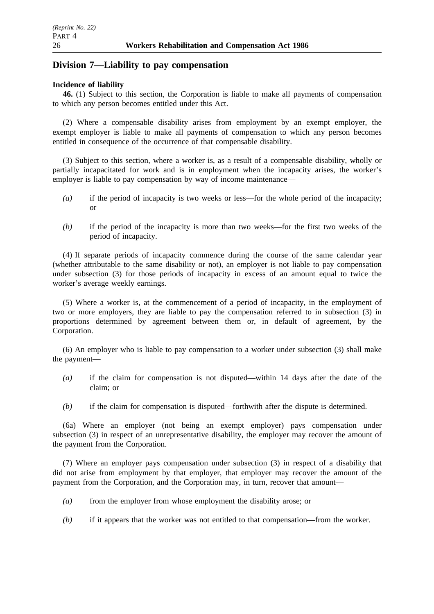# **Division 7—Liability to pay compensation**

## **Incidence of liability**

**46.** (1) Subject to this section, the Corporation is liable to make all payments of compensation to which any person becomes entitled under this Act.

(2) Where a compensable disability arises from employment by an exempt employer, the exempt employer is liable to make all payments of compensation to which any person becomes entitled in consequence of the occurrence of that compensable disability.

(3) Subject to this section, where a worker is, as a result of a compensable disability, wholly or partially incapacitated for work and is in employment when the incapacity arises, the worker's employer is liable to pay compensation by way of income maintenance—

- *(a)* if the period of incapacity is two weeks or less—for the whole period of the incapacity; or
- *(b)* if the period of the incapacity is more than two weeks—for the first two weeks of the period of incapacity.

(4) If separate periods of incapacity commence during the course of the same calendar year (whether attributable to the same disability or not), an employer is not liable to pay compensation under subsection (3) for those periods of incapacity in excess of an amount equal to twice the worker's average weekly earnings.

(5) Where a worker is, at the commencement of a period of incapacity, in the employment of two or more employers, they are liable to pay the compensation referred to in subsection (3) in proportions determined by agreement between them or, in default of agreement, by the Corporation.

(6) An employer who is liable to pay compensation to a worker under subsection (3) shall make the payment—

- *(a)* if the claim for compensation is not disputed—within 14 days after the date of the claim; or
- *(b)* if the claim for compensation is disputed—forthwith after the dispute is determined.

(6a) Where an employer (not being an exempt employer) pays compensation under subsection (3) in respect of an unrepresentative disability, the employer may recover the amount of the payment from the Corporation.

(7) Where an employer pays compensation under subsection (3) in respect of a disability that did not arise from employment by that employer, that employer may recover the amount of the payment from the Corporation, and the Corporation may, in turn, recover that amount—

- *(a)* from the employer from whose employment the disability arose; or
- *(b)* if it appears that the worker was not entitled to that compensation—from the worker.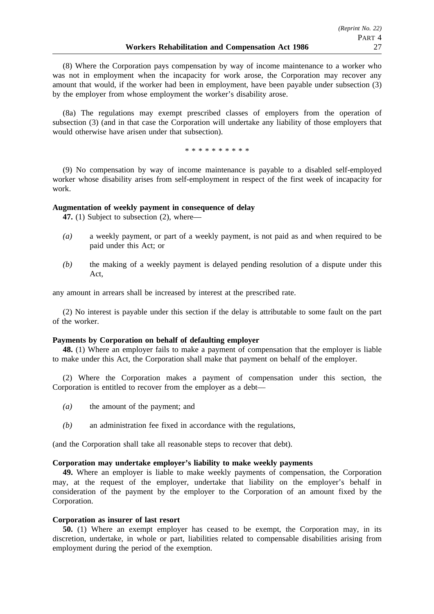(8) Where the Corporation pays compensation by way of income maintenance to a worker who was not in employment when the incapacity for work arose, the Corporation may recover any amount that would, if the worker had been in employment, have been payable under subsection (3) by the employer from whose employment the worker's disability arose.

(8a) The regulations may exempt prescribed classes of employers from the operation of subsection (3) (and in that case the Corporation will undertake any liability of those employers that would otherwise have arisen under that subsection).

\*\*\*\*\*\*\*\*\*\*

(9) No compensation by way of income maintenance is payable to a disabled self-employed worker whose disability arises from self-employment in respect of the first week of incapacity for work.

## **Augmentation of weekly payment in consequence of delay**

**47.** (1) Subject to subsection (2), where—

- *(a)* a weekly payment, or part of a weekly payment, is not paid as and when required to be paid under this Act; or
- *(b)* the making of a weekly payment is delayed pending resolution of a dispute under this Act,

any amount in arrears shall be increased by interest at the prescribed rate.

(2) No interest is payable under this section if the delay is attributable to some fault on the part of the worker.

#### **Payments by Corporation on behalf of defaulting employer**

**48.** (1) Where an employer fails to make a payment of compensation that the employer is liable to make under this Act, the Corporation shall make that payment on behalf of the employer.

(2) Where the Corporation makes a payment of compensation under this section, the Corporation is entitled to recover from the employer as a debt—

- *(a)* the amount of the payment; and
- *(b)* an administration fee fixed in accordance with the regulations,

(and the Corporation shall take all reasonable steps to recover that debt).

## **Corporation may undertake employer's liability to make weekly payments**

**49.** Where an employer is liable to make weekly payments of compensation, the Corporation may, at the request of the employer, undertake that liability on the employer's behalf in consideration of the payment by the employer to the Corporation of an amount fixed by the Corporation.

#### **Corporation as insurer of last resort**

**50.** (1) Where an exempt employer has ceased to be exempt, the Corporation may, in its discretion, undertake, in whole or part, liabilities related to compensable disabilities arising from employment during the period of the exemption.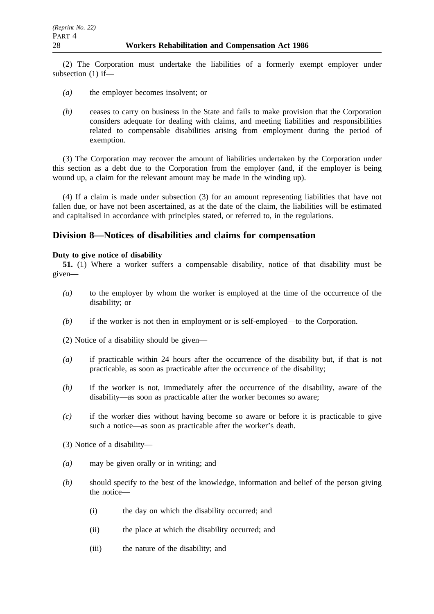(2) The Corporation must undertake the liabilities of a formerly exempt employer under subsection (1) if—

- *(a)* the employer becomes insolvent; or
- *(b)* ceases to carry on business in the State and fails to make provision that the Corporation considers adequate for dealing with claims, and meeting liabilities and responsibilities related to compensable disabilities arising from employment during the period of exemption.

(3) The Corporation may recover the amount of liabilities undertaken by the Corporation under this section as a debt due to the Corporation from the employer (and, if the employer is being wound up, a claim for the relevant amount may be made in the winding up).

(4) If a claim is made under subsection (3) for an amount representing liabilities that have not fallen due, or have not been ascertained, as at the date of the claim, the liabilities will be estimated and capitalised in accordance with principles stated, or referred to, in the regulations.

# **Division 8—Notices of disabilities and claims for compensation**

## **Duty to give notice of disability**

**51.** (1) Where a worker suffers a compensable disability, notice of that disability must be given—

- *(a)* to the employer by whom the worker is employed at the time of the occurrence of the disability; or
- *(b)* if the worker is not then in employment or is self-employed—to the Corporation.
- (2) Notice of a disability should be given—
- *(a)* if practicable within 24 hours after the occurrence of the disability but, if that is not practicable, as soon as practicable after the occurrence of the disability;
- *(b)* if the worker is not, immediately after the occurrence of the disability, aware of the disability—as soon as practicable after the worker becomes so aware;
- *(c)* if the worker dies without having become so aware or before it is practicable to give such a notice—as soon as practicable after the worker's death.
- (3) Notice of a disability—
- *(a)* may be given orally or in writing; and
- *(b)* should specify to the best of the knowledge, information and belief of the person giving the notice—
	- (i) the day on which the disability occurred; and
	- (ii) the place at which the disability occurred; and
	- (iii) the nature of the disability; and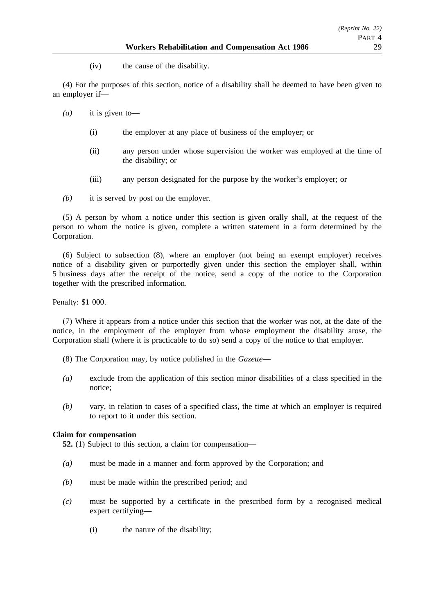(iv) the cause of the disability.

(4) For the purposes of this section, notice of a disability shall be deemed to have been given to an employer if—

- *(a)* it is given to—
	- (i) the employer at any place of business of the employer; or
	- (ii) any person under whose supervision the worker was employed at the time of the disability; or
	- (iii) any person designated for the purpose by the worker's employer; or
- *(b)* it is served by post on the employer.

(5) A person by whom a notice under this section is given orally shall, at the request of the person to whom the notice is given, complete a written statement in a form determined by the Corporation.

(6) Subject to subsection (8), where an employer (not being an exempt employer) receives notice of a disability given or purportedly given under this section the employer shall, within 5 business days after the receipt of the notice, send a copy of the notice to the Corporation together with the prescribed information.

Penalty: \$1 000.

(7) Where it appears from a notice under this section that the worker was not, at the date of the notice, in the employment of the employer from whose employment the disability arose, the Corporation shall (where it is practicable to do so) send a copy of the notice to that employer.

- (8) The Corporation may, by notice published in the *Gazette*—
- *(a)* exclude from the application of this section minor disabilities of a class specified in the notice;
- *(b)* vary, in relation to cases of a specified class, the time at which an employer is required to report to it under this section.

## **Claim for compensation**

**52.** (1) Subject to this section, a claim for compensation—

- *(a)* must be made in a manner and form approved by the Corporation; and
- *(b)* must be made within the prescribed period; and
- *(c)* must be supported by a certificate in the prescribed form by a recognised medical expert certifying—
	- (i) the nature of the disability;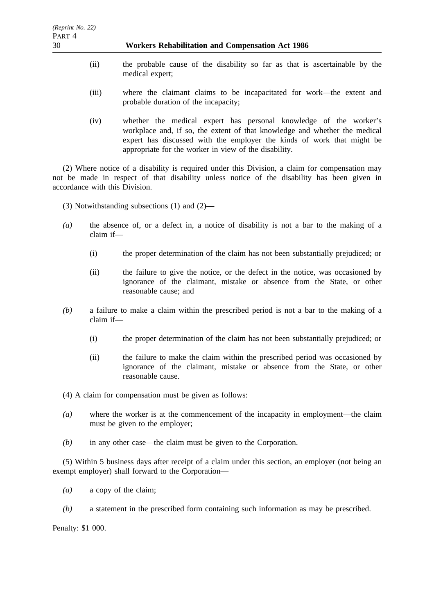- (ii) the probable cause of the disability so far as that is ascertainable by the medical expert;
- (iii) where the claimant claims to be incapacitated for work—the extent and probable duration of the incapacity;
- (iv) whether the medical expert has personal knowledge of the worker's workplace and, if so, the extent of that knowledge and whether the medical expert has discussed with the employer the kinds of work that might be appropriate for the worker in view of the disability.

(2) Where notice of a disability is required under this Division, a claim for compensation may not be made in respect of that disability unless notice of the disability has been given in accordance with this Division.

- (3) Notwithstanding subsections (1) and (2)—
- *(a)* the absence of, or a defect in, a notice of disability is not a bar to the making of a claim if—
	- (i) the proper determination of the claim has not been substantially prejudiced; or
	- (ii) the failure to give the notice, or the defect in the notice, was occasioned by ignorance of the claimant, mistake or absence from the State, or other reasonable cause; and
- *(b)* a failure to make a claim within the prescribed period is not a bar to the making of a claim if—
	- (i) the proper determination of the claim has not been substantially prejudiced; or
	- (ii) the failure to make the claim within the prescribed period was occasioned by ignorance of the claimant, mistake or absence from the State, or other reasonable cause.
- (4) A claim for compensation must be given as follows:
- *(a)* where the worker is at the commencement of the incapacity in employment—the claim must be given to the employer;
- *(b)* in any other case—the claim must be given to the Corporation.

(5) Within 5 business days after receipt of a claim under this section, an employer (not being an exempt employer) shall forward to the Corporation—

- *(a)* a copy of the claim;
- *(b)* a statement in the prescribed form containing such information as may be prescribed.

Penalty: \$1 000.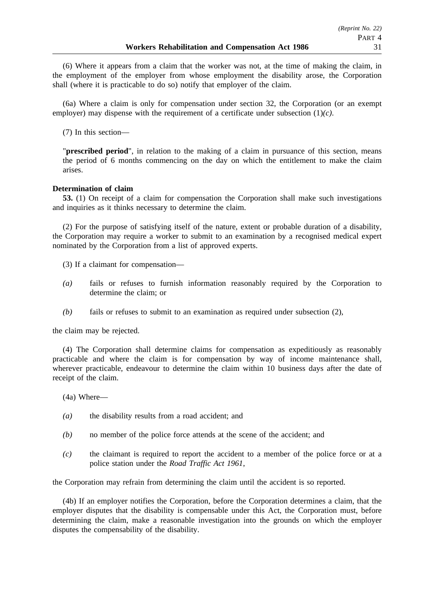(6) Where it appears from a claim that the worker was not, at the time of making the claim, in the employment of the employer from whose employment the disability arose, the Corporation shall (where it is practicable to do so) notify that employer of the claim.

(6a) Where a claim is only for compensation under section 32, the Corporation (or an exempt employer) may dispense with the requirement of a certificate under subsection (1)*(c)*.

(7) In this section—

"**prescribed period**", in relation to the making of a claim in pursuance of this section, means the period of 6 months commencing on the day on which the entitlement to make the claim arises.

### **Determination of claim**

**53.** (1) On receipt of a claim for compensation the Corporation shall make such investigations and inquiries as it thinks necessary to determine the claim.

(2) For the purpose of satisfying itself of the nature, extent or probable duration of a disability, the Corporation may require a worker to submit to an examination by a recognised medical expert nominated by the Corporation from a list of approved experts.

(3) If a claimant for compensation—

- *(a)* fails or refuses to furnish information reasonably required by the Corporation to determine the claim; or
- *(b)* fails or refuses to submit to an examination as required under subsection (2),

the claim may be rejected.

(4) The Corporation shall determine claims for compensation as expeditiously as reasonably practicable and where the claim is for compensation by way of income maintenance shall, wherever practicable, endeavour to determine the claim within 10 business days after the date of receipt of the claim.

- (4a) Where—
- *(a)* the disability results from a road accident; and
- *(b)* no member of the police force attends at the scene of the accident; and
- *(c)* the claimant is required to report the accident to a member of the police force or at a police station under the *Road Traffic Act 1961*,

the Corporation may refrain from determining the claim until the accident is so reported.

(4b) If an employer notifies the Corporation, before the Corporation determines a claim, that the employer disputes that the disability is compensable under this Act, the Corporation must, before determining the claim, make a reasonable investigation into the grounds on which the employer disputes the compensability of the disability.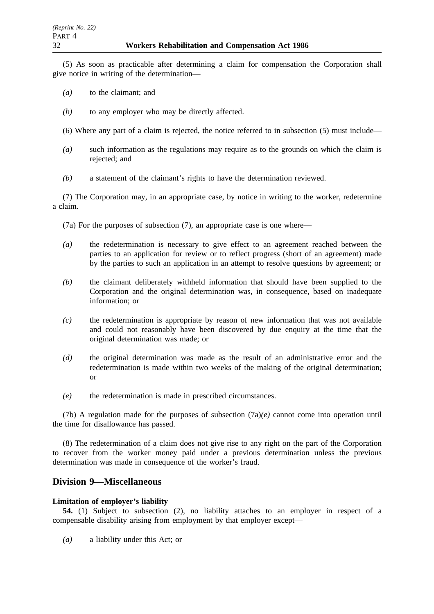(5) As soon as practicable after determining a claim for compensation the Corporation shall give notice in writing of the determination—

- *(a)* to the claimant; and
- *(b)* to any employer who may be directly affected.
- (6) Where any part of a claim is rejected, the notice referred to in subsection (5) must include—
- *(a)* such information as the regulations may require as to the grounds on which the claim is rejected; and
- *(b)* a statement of the claimant's rights to have the determination reviewed.

(7) The Corporation may, in an appropriate case, by notice in writing to the worker, redetermine a claim.

(7a) For the purposes of subsection (7), an appropriate case is one where—

- *(a)* the redetermination is necessary to give effect to an agreement reached between the parties to an application for review or to reflect progress (short of an agreement) made by the parties to such an application in an attempt to resolve questions by agreement; or
- *(b)* the claimant deliberately withheld information that should have been supplied to the Corporation and the original determination was, in consequence, based on inadequate information; or
- *(c)* the redetermination is appropriate by reason of new information that was not available and could not reasonably have been discovered by due enquiry at the time that the original determination was made; or
- *(d)* the original determination was made as the result of an administrative error and the redetermination is made within two weeks of the making of the original determination; or
- *(e)* the redetermination is made in prescribed circumstances.

(7b) A regulation made for the purposes of subsection  $(7a)(e)$  cannot come into operation until the time for disallowance has passed.

(8) The redetermination of a claim does not give rise to any right on the part of the Corporation to recover from the worker money paid under a previous determination unless the previous determination was made in consequence of the worker's fraud.

# **Division 9—Miscellaneous**

## **Limitation of employer's liability**

**54.** (1) Subject to subsection (2), no liability attaches to an employer in respect of a compensable disability arising from employment by that employer except—

*(a)* a liability under this Act; or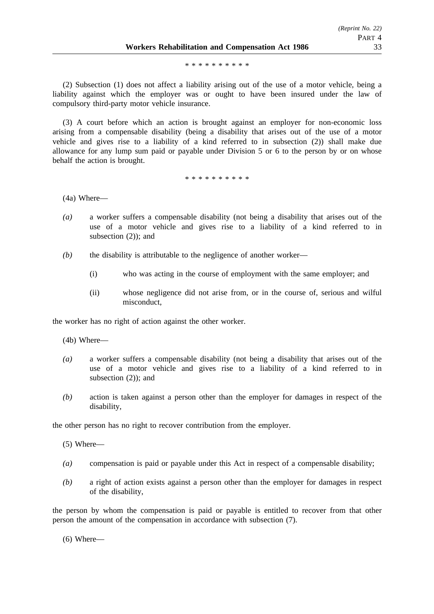\*\*\*\*\*\*\*\*\*\*

(2) Subsection (1) does not affect a liability arising out of the use of a motor vehicle, being a liability against which the employer was or ought to have been insured under the law of compulsory third-party motor vehicle insurance.

(3) A court before which an action is brought against an employer for non-economic loss arising from a compensable disability (being a disability that arises out of the use of a motor vehicle and gives rise to a liability of a kind referred to in subsection (2)) shall make due allowance for any lump sum paid or payable under Division 5 or 6 to the person by or on whose behalf the action is brought.

\*\*\*\*\*\*\*\*\*\*

(4a) Where—

- *(a)* a worker suffers a compensable disability (not being a disability that arises out of the use of a motor vehicle and gives rise to a liability of a kind referred to in subsection  $(2)$ ; and
- *(b)* the disability is attributable to the negligence of another worker—
	- (i) who was acting in the course of employment with the same employer; and
	- (ii) whose negligence did not arise from, or in the course of, serious and wilful misconduct,

the worker has no right of action against the other worker.

(4b) Where—

- *(a)* a worker suffers a compensable disability (not being a disability that arises out of the use of a motor vehicle and gives rise to a liability of a kind referred to in subsection (2)); and
- *(b)* action is taken against a person other than the employer for damages in respect of the disability,

the other person has no right to recover contribution from the employer.

(5) Where—

- *(a)* compensation is paid or payable under this Act in respect of a compensable disability;
- *(b)* a right of action exists against a person other than the employer for damages in respect of the disability,

the person by whom the compensation is paid or payable is entitled to recover from that other person the amount of the compensation in accordance with subsection (7).

(6) Where—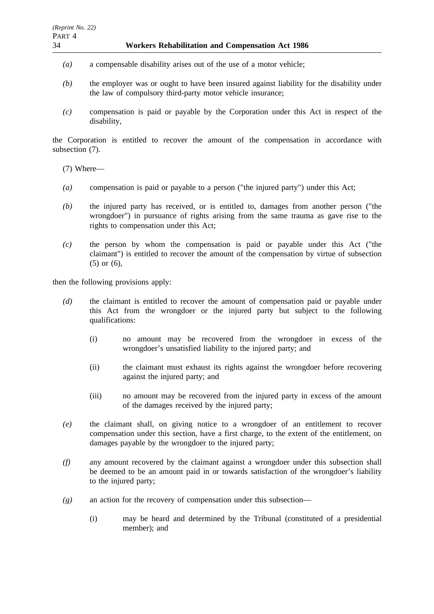- *(a)* a compensable disability arises out of the use of a motor vehicle;
- *(b)* the employer was or ought to have been insured against liability for the disability under the law of compulsory third-party motor vehicle insurance;
- *(c)* compensation is paid or payable by the Corporation under this Act in respect of the disability,

the Corporation is entitled to recover the amount of the compensation in accordance with subsection (7).

(7) Where—

- *(a)* compensation is paid or payable to a person ("the injured party") under this Act;
- *(b)* the injured party has received, or is entitled to, damages from another person ("the wrongdoer") in pursuance of rights arising from the same trauma as gave rise to the rights to compensation under this Act;
- *(c)* the person by whom the compensation is paid or payable under this Act ("the claimant") is entitled to recover the amount of the compensation by virtue of subsection (5) or (6),

then the following provisions apply:

- *(d)* the claimant is entitled to recover the amount of compensation paid or payable under this Act from the wrongdoer or the injured party but subject to the following qualifications:
	- (i) no amount may be recovered from the wrongdoer in excess of the wrongdoer's unsatisfied liability to the injured party; and
	- (ii) the claimant must exhaust its rights against the wrongdoer before recovering against the injured party; and
	- (iii) no amount may be recovered from the injured party in excess of the amount of the damages received by the injured party;
- *(e)* the claimant shall, on giving notice to a wrongdoer of an entitlement to recover compensation under this section, have a first charge, to the extent of the entitlement, on damages payable by the wrongdoer to the injured party;
- *(f)* any amount recovered by the claimant against a wrongdoer under this subsection shall be deemed to be an amount paid in or towards satisfaction of the wrongdoer's liability to the injured party;
- *(g)* an action for the recovery of compensation under this subsection—
	- (i) may be heard and determined by the Tribunal (constituted of a presidential member); and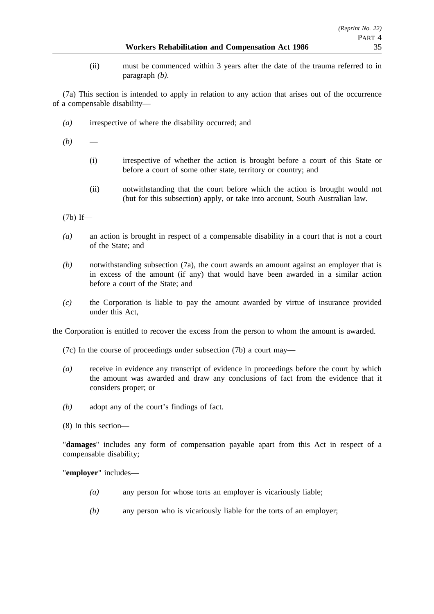(ii) must be commenced within 3 years after the date of the trauma referred to in paragraph *(b)*.

(7a) This section is intended to apply in relation to any action that arises out of the occurrence of a compensable disability—

*(a)* irrespective of where the disability occurred; and

 $(b)$ 

- (i) irrespective of whether the action is brought before a court of this State or before a court of some other state, territory or country; and
- (ii) notwithstanding that the court before which the action is brought would not (but for this subsection) apply, or take into account, South Australian law.

(7b) If—

- *(a)* an action is brought in respect of a compensable disability in a court that is not a court of the State; and
- *(b)* notwithstanding subsection (7a), the court awards an amount against an employer that is in excess of the amount (if any) that would have been awarded in a similar action before a court of the State; and
- *(c)* the Corporation is liable to pay the amount awarded by virtue of insurance provided under this Act,

the Corporation is entitled to recover the excess from the person to whom the amount is awarded.

(7c) In the course of proceedings under subsection (7b) a court may—

- *(a)* receive in evidence any transcript of evidence in proceedings before the court by which the amount was awarded and draw any conclusions of fact from the evidence that it considers proper; or
- *(b)* adopt any of the court's findings of fact.

(8) In this section—

"**damages**" includes any form of compensation payable apart from this Act in respect of a compensable disability;

"**employer**" includes—

- *(a)* any person for whose torts an employer is vicariously liable;
- *(b)* any person who is vicariously liable for the torts of an employer;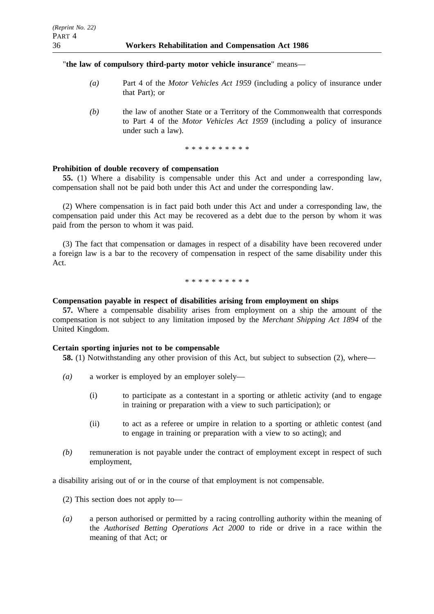## "**the law of compulsory third-party motor vehicle insurance**" means—

- *(a)* Part 4 of the *Motor Vehicles Act 1959* (including a policy of insurance under that Part); or
- *(b)* the law of another State or a Territory of the Commonwealth that corresponds to Part 4 of the *Motor Vehicles Act 1959* (including a policy of insurance under such a law).

\*\*\*\*\*\*\*\*\*\*

### **Prohibition of double recovery of compensation**

**55.** (1) Where a disability is compensable under this Act and under a corresponding law, compensation shall not be paid both under this Act and under the corresponding law.

(2) Where compensation is in fact paid both under this Act and under a corresponding law, the compensation paid under this Act may be recovered as a debt due to the person by whom it was paid from the person to whom it was paid.

(3) The fact that compensation or damages in respect of a disability have been recovered under a foreign law is a bar to the recovery of compensation in respect of the same disability under this Act.

\*\*\*\*\*\*\*\*\*\*

#### **Compensation payable in respect of disabilities arising from employment on ships**

**57.** Where a compensable disability arises from employment on a ship the amount of the compensation is not subject to any limitation imposed by the *Merchant Shipping Act 1894* of the United Kingdom.

## **Certain sporting injuries not to be compensable**

**58.** (1) Notwithstanding any other provision of this Act, but subject to subsection (2), where—

- *(a)* a worker is employed by an employer solely—
	- (i) to participate as a contestant in a sporting or athletic activity (and to engage in training or preparation with a view to such participation); or
	- (ii) to act as a referee or umpire in relation to a sporting or athletic contest (and to engage in training or preparation with a view to so acting); and
- *(b)* remuneration is not payable under the contract of employment except in respect of such employment,

a disability arising out of or in the course of that employment is not compensable.

- (2) This section does not apply to—
- *(a)* a person authorised or permitted by a racing controlling authority within the meaning of the *Authorised Betting Operations Act 2000* to ride or drive in a race within the meaning of that Act; or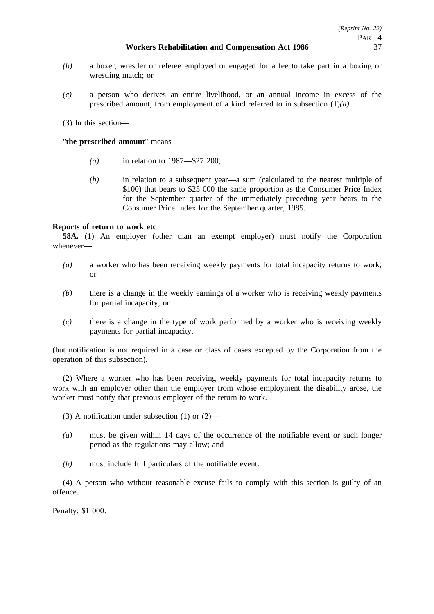- *(b)* a boxer, wrestler or referee employed or engaged for a fee to take part in a boxing or wrestling match; or
- *(c)* a person who derives an entire livelihood, or an annual income in excess of the prescribed amount, from employment of a kind referred to in subsection (1)*(a)*.

(3) In this section—

## "**the prescribed amount**" means—

- *(a)* in relation to 1987—\$27 200;
- *(b)* in relation to a subsequent year—a sum (calculated to the nearest multiple of \$100) that bears to \$25 000 the same proportion as the Consumer Price Index for the September quarter of the immediately preceding year bears to the Consumer Price Index for the September quarter, 1985.

# **Reports of return to work etc**

**58A.** (1) An employer (other than an exempt employer) must notify the Corporation whenever—

- *(a)* a worker who has been receiving weekly payments for total incapacity returns to work; or
- *(b)* there is a change in the weekly earnings of a worker who is receiving weekly payments for partial incapacity; or
- *(c)* there is a change in the type of work performed by a worker who is receiving weekly payments for partial incapacity,

(but notification is not required in a case or class of cases excepted by the Corporation from the operation of this subsection).

(2) Where a worker who has been receiving weekly payments for total incapacity returns to work with an employer other than the employer from whose employment the disability arose, the worker must notify that previous employer of the return to work.

- (3) A notification under subsection (1) or (2)—
- *(a)* must be given within 14 days of the occurrence of the notifiable event or such longer period as the regulations may allow; and
- *(b)* must include full particulars of the notifiable event.

(4) A person who without reasonable excuse fails to comply with this section is guilty of an offence.

Penalty: \$1 000.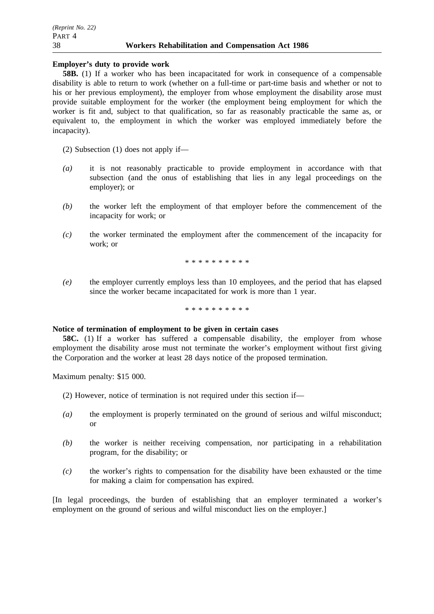**Employer's duty to provide work**

**58B.** (1) If a worker who has been incapacitated for work in consequence of a compensable disability is able to return to work (whether on a full-time or part-time basis and whether or not to his or her previous employment), the employer from whose employment the disability arose must provide suitable employment for the worker (the employment being employment for which the worker is fit and, subject to that qualification, so far as reasonably practicable the same as, or equivalent to, the employment in which the worker was employed immediately before the incapacity).

(2) Subsection (1) does not apply if—

- *(a)* it is not reasonably practicable to provide employment in accordance with that subsection (and the onus of establishing that lies in any legal proceedings on the employer); or
- *(b)* the worker left the employment of that employer before the commencement of the incapacity for work; or
- *(c)* the worker terminated the employment after the commencement of the incapacity for work; or

\*\*\*\*\*\*\*\*\*\*

*(e)* the employer currently employs less than 10 employees, and the period that has elapsed since the worker became incapacitated for work is more than 1 year.

\*\*\*\*\*\*\*\*\*\*

#### **Notice of termination of employment to be given in certain cases**

**58C.** (1) If a worker has suffered a compensable disability, the employer from whose employment the disability arose must not terminate the worker's employment without first giving the Corporation and the worker at least 28 days notice of the proposed termination.

Maximum penalty: \$15 000.

- (2) However, notice of termination is not required under this section if—
- *(a)* the employment is properly terminated on the ground of serious and wilful misconduct; or
- *(b)* the worker is neither receiving compensation, nor participating in a rehabilitation program, for the disability; or
- *(c)* the worker's rights to compensation for the disability have been exhausted or the time for making a claim for compensation has expired.

[In legal proceedings, the burden of establishing that an employer terminated a worker's employment on the ground of serious and wilful misconduct lies on the employer.]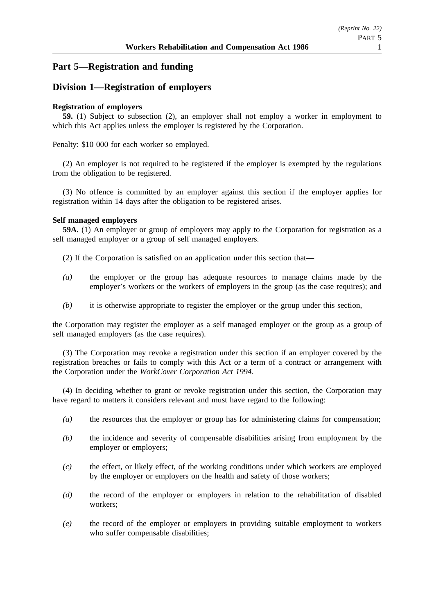# **Part 5—Registration and funding**

# **Division 1—Registration of employers**

## **Registration of employers**

**59.** (1) Subject to subsection (2), an employer shall not employ a worker in employment to which this Act applies unless the employer is registered by the Corporation.

Penalty: \$10 000 for each worker so employed.

(2) An employer is not required to be registered if the employer is exempted by the regulations from the obligation to be registered.

(3) No offence is committed by an employer against this section if the employer applies for registration within 14 days after the obligation to be registered arises.

### **Self managed employers**

**59A.** (1) An employer or group of employers may apply to the Corporation for registration as a self managed employer or a group of self managed employers.

(2) If the Corporation is satisfied on an application under this section that—

- *(a)* the employer or the group has adequate resources to manage claims made by the employer's workers or the workers of employers in the group (as the case requires); and
- *(b)* it is otherwise appropriate to register the employer or the group under this section,

the Corporation may register the employer as a self managed employer or the group as a group of self managed employers (as the case requires).

(3) The Corporation may revoke a registration under this section if an employer covered by the registration breaches or fails to comply with this Act or a term of a contract or arrangement with the Corporation under the *WorkCover Corporation Act 1994*.

(4) In deciding whether to grant or revoke registration under this section, the Corporation may have regard to matters it considers relevant and must have regard to the following:

- *(a)* the resources that the employer or group has for administering claims for compensation;
- *(b)* the incidence and severity of compensable disabilities arising from employment by the employer or employers;
- *(c)* the effect, or likely effect, of the working conditions under which workers are employed by the employer or employers on the health and safety of those workers;
- *(d)* the record of the employer or employers in relation to the rehabilitation of disabled workers;
- *(e)* the record of the employer or employers in providing suitable employment to workers who suffer compensable disabilities: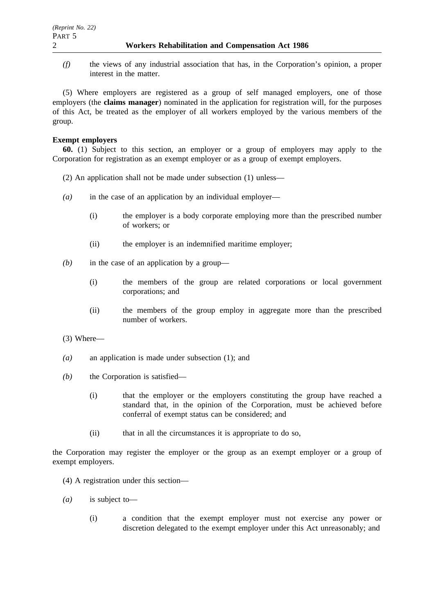*(f)* the views of any industrial association that has, in the Corporation's opinion, a proper interest in the matter.

(5) Where employers are registered as a group of self managed employers, one of those employers (the **claims manager**) nominated in the application for registration will, for the purposes of this Act, be treated as the employer of all workers employed by the various members of the group.

### **Exempt employers**

**60.** (1) Subject to this section, an employer or a group of employers may apply to the Corporation for registration as an exempt employer or as a group of exempt employers.

- (2) An application shall not be made under subsection (1) unless—
- *(a)* in the case of an application by an individual employer—
	- (i) the employer is a body corporate employing more than the prescribed number of workers; or
	- (ii) the employer is an indemnified maritime employer;
- *(b)* in the case of an application by a group—
	- (i) the members of the group are related corporations or local government corporations; and
	- (ii) the members of the group employ in aggregate more than the prescribed number of workers.
- (3) Where—
- *(a)* an application is made under subsection (1); and
- *(b)* the Corporation is satisfied—
	- (i) that the employer or the employers constituting the group have reached a standard that, in the opinion of the Corporation, must be achieved before conferral of exempt status can be considered; and
	- (ii) that in all the circumstances it is appropriate to do so,

the Corporation may register the employer or the group as an exempt employer or a group of exempt employers.

- (4) A registration under this section—
- *(a)* is subject to—
	- (i) a condition that the exempt employer must not exercise any power or discretion delegated to the exempt employer under this Act unreasonably; and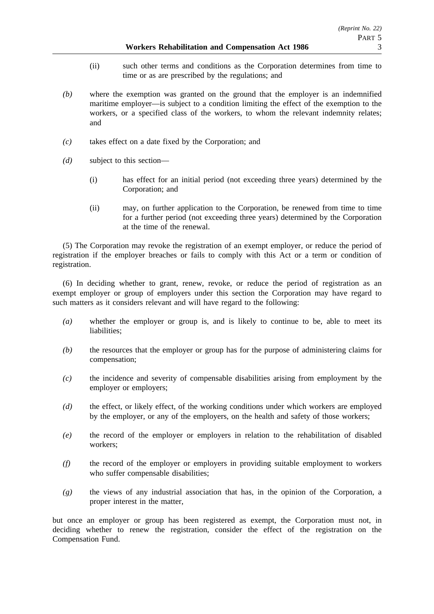#### **Workers Rehabilitation and Compensation Act 1986** 3

- (ii) such other terms and conditions as the Corporation determines from time to time or as are prescribed by the regulations; and
- *(b)* where the exemption was granted on the ground that the employer is an indemnified maritime employer—is subject to a condition limiting the effect of the exemption to the workers, or a specified class of the workers, to whom the relevant indemnity relates; and
- *(c)* takes effect on a date fixed by the Corporation; and
- *(d)* subject to this section—
	- (i) has effect for an initial period (not exceeding three years) determined by the Corporation; and
	- (ii) may, on further application to the Corporation, be renewed from time to time for a further period (not exceeding three years) determined by the Corporation at the time of the renewal.

(5) The Corporation may revoke the registration of an exempt employer, or reduce the period of registration if the employer breaches or fails to comply with this Act or a term or condition of registration.

(6) In deciding whether to grant, renew, revoke, or reduce the period of registration as an exempt employer or group of employers under this section the Corporation may have regard to such matters as it considers relevant and will have regard to the following:

- *(a)* whether the employer or group is, and is likely to continue to be, able to meet its liabilities;
- *(b)* the resources that the employer or group has for the purpose of administering claims for compensation;
- *(c)* the incidence and severity of compensable disabilities arising from employment by the employer or employers;
- *(d)* the effect, or likely effect, of the working conditions under which workers are employed by the employer, or any of the employers, on the health and safety of those workers;
- *(e)* the record of the employer or employers in relation to the rehabilitation of disabled workers;
- *(f)* the record of the employer or employers in providing suitable employment to workers who suffer compensable disabilities;
- *(g)* the views of any industrial association that has, in the opinion of the Corporation, a proper interest in the matter,

but once an employer or group has been registered as exempt, the Corporation must not, in deciding whether to renew the registration, consider the effect of the registration on the Compensation Fund.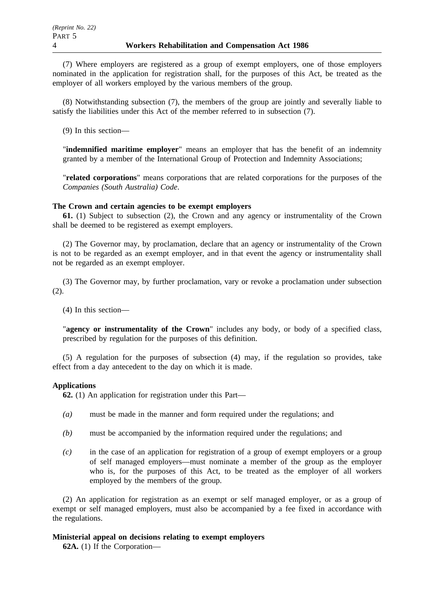(7) Where employers are registered as a group of exempt employers, one of those employers nominated in the application for registration shall, for the purposes of this Act, be treated as the employer of all workers employed by the various members of the group.

(8) Notwithstanding subsection (7), the members of the group are jointly and severally liable to satisfy the liabilities under this Act of the member referred to in subsection (7).

(9) In this section—

"**indemnified maritime employer**" means an employer that has the benefit of an indemnity granted by a member of the International Group of Protection and Indemnity Associations;

"**related corporations**" means corporations that are related corporations for the purposes of the *Companies (South Australia) Code*.

#### **The Crown and certain agencies to be exempt employers**

**61.** (1) Subject to subsection (2), the Crown and any agency or instrumentality of the Crown shall be deemed to be registered as exempt employers.

(2) The Governor may, by proclamation, declare that an agency or instrumentality of the Crown is not to be regarded as an exempt employer, and in that event the agency or instrumentality shall not be regarded as an exempt employer.

(3) The Governor may, by further proclamation, vary or revoke a proclamation under subsection (2).

(4) In this section—

"**agency or instrumentality of the Crown**" includes any body, or body of a specified class, prescribed by regulation for the purposes of this definition.

(5) A regulation for the purposes of subsection (4) may, if the regulation so provides, take effect from a day antecedent to the day on which it is made.

#### **Applications**

**62.** (1) An application for registration under this Part—

- *(a)* must be made in the manner and form required under the regulations; and
- *(b)* must be accompanied by the information required under the regulations; and
- *(c)* in the case of an application for registration of a group of exempt employers or a group of self managed employers—must nominate a member of the group as the employer who is, for the purposes of this Act, to be treated as the employer of all workers employed by the members of the group.

(2) An application for registration as an exempt or self managed employer, or as a group of exempt or self managed employers, must also be accompanied by a fee fixed in accordance with the regulations.

#### **Ministerial appeal on decisions relating to exempt employers**

**62A.** (1) If the Corporation—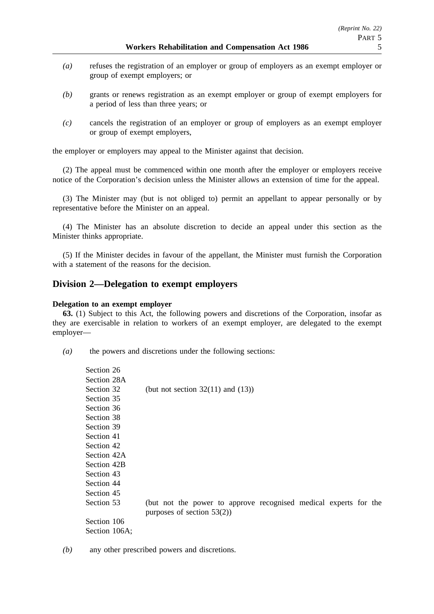- *(a)* refuses the registration of an employer or group of employers as an exempt employer or group of exempt employers; or
- *(b)* grants or renews registration as an exempt employer or group of exempt employers for a period of less than three years; or
- *(c)* cancels the registration of an employer or group of employers as an exempt employer or group of exempt employers,

the employer or employers may appeal to the Minister against that decision.

(2) The appeal must be commenced within one month after the employer or employers receive notice of the Corporation's decision unless the Minister allows an extension of time for the appeal.

(3) The Minister may (but is not obliged to) permit an appellant to appear personally or by representative before the Minister on an appeal.

(4) The Minister has an absolute discretion to decide an appeal under this section as the Minister thinks appropriate.

(5) If the Minister decides in favour of the appellant, the Minister must furnish the Corporation with a statement of the reasons for the decision.

## **Division 2—Delegation to exempt employers**

#### **Delegation to an exempt employer**

**63.** (1) Subject to this Act, the following powers and discretions of the Corporation, insofar as they are exercisable in relation to workers of an exempt employer, are delegated to the exempt employer—

*(a)* the powers and discretions under the following sections:

| Section 26    |                                                                  |
|---------------|------------------------------------------------------------------|
| Section 28A   |                                                                  |
| Section 32    | (but not section $32(11)$ and $(13)$ )                           |
| Section 35    |                                                                  |
| Section 36    |                                                                  |
| Section 38    |                                                                  |
| Section 39    |                                                                  |
| Section 41    |                                                                  |
| Section 42    |                                                                  |
| Section 42A   |                                                                  |
| Section 42B   |                                                                  |
| Section 43    |                                                                  |
| Section 44    |                                                                  |
| Section 45    |                                                                  |
| Section 53    | (but not the power to approve recognised medical experts for the |
|               | purposes of section $53(2)$ )                                    |
| Section 106   |                                                                  |
| Section 106A; |                                                                  |
|               |                                                                  |

*(b)* any other prescribed powers and discretions.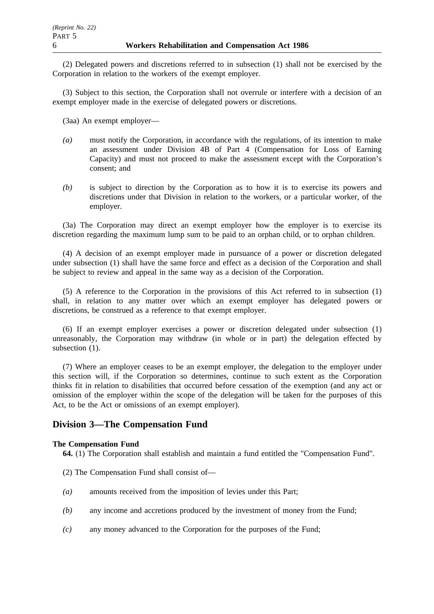(2) Delegated powers and discretions referred to in subsection (1) shall not be exercised by the Corporation in relation to the workers of the exempt employer.

(3) Subject to this section, the Corporation shall not overrule or interfere with a decision of an exempt employer made in the exercise of delegated powers or discretions.

(3aa) An exempt employer—

- *(a)* must notify the Corporation, in accordance with the regulations, of its intention to make an assessment under Division 4B of Part 4 (Compensation for Loss of Earning Capacity) and must not proceed to make the assessment except with the Corporation's consent; and
- *(b)* is subject to direction by the Corporation as to how it is to exercise its powers and discretions under that Division in relation to the workers, or a particular worker, of the employer.

(3a) The Corporation may direct an exempt employer how the employer is to exercise its discretion regarding the maximum lump sum to be paid to an orphan child, or to orphan children.

(4) A decision of an exempt employer made in pursuance of a power or discretion delegated under subsection (1) shall have the same force and effect as a decision of the Corporation and shall be subject to review and appeal in the same way as a decision of the Corporation.

(5) A reference to the Corporation in the provisions of this Act referred to in subsection (1) shall, in relation to any matter over which an exempt employer has delegated powers or discretions, be construed as a reference to that exempt employer.

(6) If an exempt employer exercises a power or discretion delegated under subsection (1) unreasonably, the Corporation may withdraw (in whole or in part) the delegation effected by subsection  $(1)$ .

(7) Where an employer ceases to be an exempt employer, the delegation to the employer under this section will, if the Corporation so determines, continue to such extent as the Corporation thinks fit in relation to disabilities that occurred before cessation of the exemption (and any act or omission of the employer within the scope of the delegation will be taken for the purposes of this Act, to be the Act or omissions of an exempt employer).

# **Division 3—The Compensation Fund**

## **The Compensation Fund**

**64.** (1) The Corporation shall establish and maintain a fund entitled the "Compensation Fund".

- (2) The Compensation Fund shall consist of—
- *(a)* amounts received from the imposition of levies under this Part;
- *(b)* any income and accretions produced by the investment of money from the Fund;
- *(c)* any money advanced to the Corporation for the purposes of the Fund;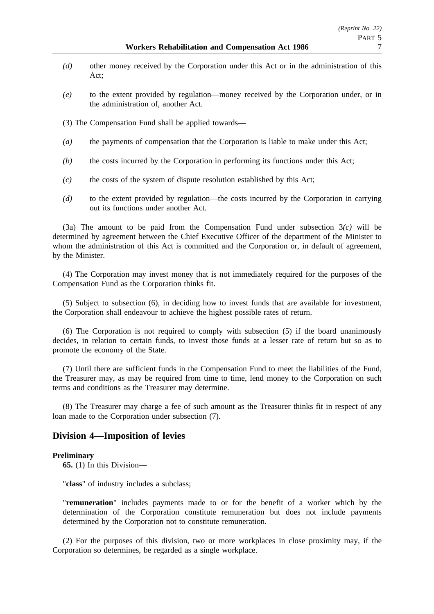- *(d)* other money received by the Corporation under this Act or in the administration of this Act;
- *(e)* to the extent provided by regulation—money received by the Corporation under, or in the administration of, another Act.
- (3) The Compensation Fund shall be applied towards—
- *(a)* the payments of compensation that the Corporation is liable to make under this Act;
- *(b)* the costs incurred by the Corporation in performing its functions under this Act;
- *(c)* the costs of the system of dispute resolution established by this Act;
- *(d)* to the extent provided by regulation—the costs incurred by the Corporation in carrying out its functions under another Act.

(3a) The amount to be paid from the Compensation Fund under subsection 3*(c)* will be determined by agreement between the Chief Executive Officer of the department of the Minister to whom the administration of this Act is committed and the Corporation or, in default of agreement, by the Minister.

(4) The Corporation may invest money that is not immediately required for the purposes of the Compensation Fund as the Corporation thinks fit.

(5) Subject to subsection (6), in deciding how to invest funds that are available for investment, the Corporation shall endeavour to achieve the highest possible rates of return.

(6) The Corporation is not required to comply with subsection (5) if the board unanimously decides, in relation to certain funds, to invest those funds at a lesser rate of return but so as to promote the economy of the State.

(7) Until there are sufficient funds in the Compensation Fund to meet the liabilities of the Fund, the Treasurer may, as may be required from time to time, lend money to the Corporation on such terms and conditions as the Treasurer may determine.

(8) The Treasurer may charge a fee of such amount as the Treasurer thinks fit in respect of any loan made to the Corporation under subsection (7).

## **Division 4—Imposition of levies**

#### **Preliminary**

**65.** (1) In this Division—

"**class**" of industry includes a subclass;

"**remuneration**" includes payments made to or for the benefit of a worker which by the determination of the Corporation constitute remuneration but does not include payments determined by the Corporation not to constitute remuneration.

(2) For the purposes of this division, two or more workplaces in close proximity may, if the Corporation so determines, be regarded as a single workplace.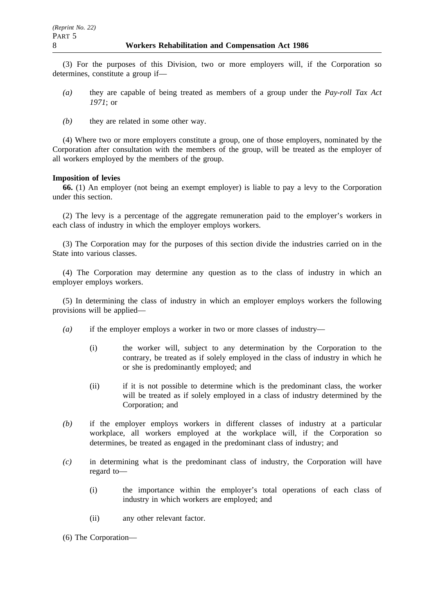(3) For the purposes of this Division, two or more employers will, if the Corporation so determines, constitute a group if—

- *(a)* they are capable of being treated as members of a group under the *Pay-roll Tax Act 1971*; or
- *(b)* they are related in some other way.

(4) Where two or more employers constitute a group, one of those employers, nominated by the Corporation after consultation with the members of the group, will be treated as the employer of all workers employed by the members of the group.

### **Imposition of levies**

**66.** (1) An employer (not being an exempt employer) is liable to pay a levy to the Corporation under this section.

(2) The levy is a percentage of the aggregate remuneration paid to the employer's workers in each class of industry in which the employer employs workers.

(3) The Corporation may for the purposes of this section divide the industries carried on in the State into various classes.

(4) The Corporation may determine any question as to the class of industry in which an employer employs workers.

(5) In determining the class of industry in which an employer employs workers the following provisions will be applied—

- *(a)* if the employer employs a worker in two or more classes of industry—
	- (i) the worker will, subject to any determination by the Corporation to the contrary, be treated as if solely employed in the class of industry in which he or she is predominantly employed; and
	- (ii) if it is not possible to determine which is the predominant class, the worker will be treated as if solely employed in a class of industry determined by the Corporation; and
- *(b)* if the employer employs workers in different classes of industry at a particular workplace, all workers employed at the workplace will, if the Corporation so determines, be treated as engaged in the predominant class of industry; and
- *(c)* in determining what is the predominant class of industry, the Corporation will have regard to—
	- (i) the importance within the employer's total operations of each class of industry in which workers are employed; and
	- (ii) any other relevant factor.

(6) The Corporation—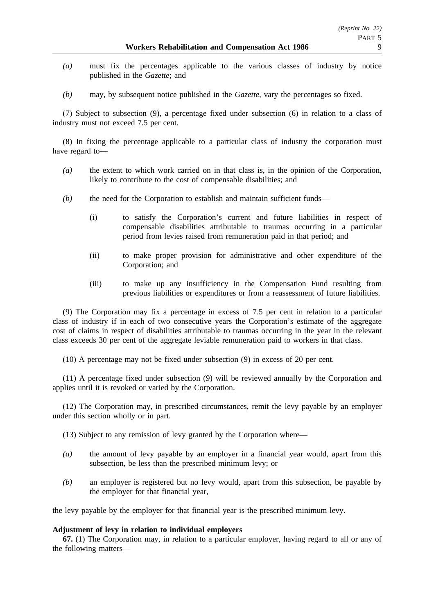- *(a)* must fix the percentages applicable to the various classes of industry by notice published in the *Gazette*; and
- *(b)* may, by subsequent notice published in the *Gazette*, vary the percentages so fixed.

(7) Subject to subsection (9), a percentage fixed under subsection (6) in relation to a class of industry must not exceed 7.5 per cent.

(8) In fixing the percentage applicable to a particular class of industry the corporation must have regard to—

- *(a)* the extent to which work carried on in that class is, in the opinion of the Corporation, likely to contribute to the cost of compensable disabilities; and
- *(b)* the need for the Corporation to establish and maintain sufficient funds—
	- (i) to satisfy the Corporation's current and future liabilities in respect of compensable disabilities attributable to traumas occurring in a particular period from levies raised from remuneration paid in that period; and
	- (ii) to make proper provision for administrative and other expenditure of the Corporation; and
	- (iii) to make up any insufficiency in the Compensation Fund resulting from previous liabilities or expenditures or from a reassessment of future liabilities.

(9) The Corporation may fix a percentage in excess of 7.5 per cent in relation to a particular class of industry if in each of two consecutive years the Corporation's estimate of the aggregate cost of claims in respect of disabilities attributable to traumas occurring in the year in the relevant class exceeds 30 per cent of the aggregate leviable remuneration paid to workers in that class.

(10) A percentage may not be fixed under subsection (9) in excess of 20 per cent.

(11) A percentage fixed under subsection (9) will be reviewed annually by the Corporation and applies until it is revoked or varied by the Corporation.

(12) The Corporation may, in prescribed circumstances, remit the levy payable by an employer under this section wholly or in part.

(13) Subject to any remission of levy granted by the Corporation where—

- *(a)* the amount of levy payable by an employer in a financial year would, apart from this subsection, be less than the prescribed minimum levy; or
- *(b)* an employer is registered but no levy would, apart from this subsection, be payable by the employer for that financial year,

the levy payable by the employer for that financial year is the prescribed minimum levy.

#### **Adjustment of levy in relation to individual employers**

**67.** (1) The Corporation may, in relation to a particular employer, having regard to all or any of the following matters—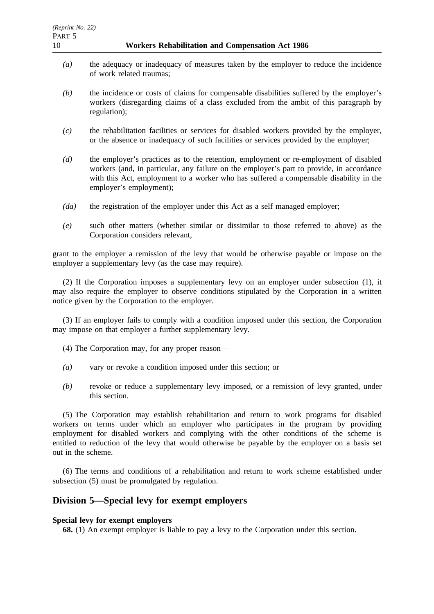- *(a)* the adequacy or inadequacy of measures taken by the employer to reduce the incidence of work related traumas;
- *(b)* the incidence or costs of claims for compensable disabilities suffered by the employer's workers (disregarding claims of a class excluded from the ambit of this paragraph by regulation);
- *(c)* the rehabilitation facilities or services for disabled workers provided by the employer, or the absence or inadequacy of such facilities or services provided by the employer;
- *(d)* the employer's practices as to the retention, employment or re-employment of disabled workers (and, in particular, any failure on the employer's part to provide, in accordance with this Act, employment to a worker who has suffered a compensable disability in the employer's employment);
- *(da)* the registration of the employer under this Act as a self managed employer;
- *(e)* such other matters (whether similar or dissimilar to those referred to above) as the Corporation considers relevant,

grant to the employer a remission of the levy that would be otherwise payable or impose on the employer a supplementary levy (as the case may require).

(2) If the Corporation imposes a supplementary levy on an employer under subsection (1), it may also require the employer to observe conditions stipulated by the Corporation in a written notice given by the Corporation to the employer.

(3) If an employer fails to comply with a condition imposed under this section, the Corporation may impose on that employer a further supplementary levy.

- (4) The Corporation may, for any proper reason—
- *(a)* vary or revoke a condition imposed under this section; or
- *(b)* revoke or reduce a supplementary levy imposed, or a remission of levy granted, under this section.

(5) The Corporation may establish rehabilitation and return to work programs for disabled workers on terms under which an employer who participates in the program by providing employment for disabled workers and complying with the other conditions of the scheme is entitled to reduction of the levy that would otherwise be payable by the employer on a basis set out in the scheme.

(6) The terms and conditions of a rehabilitation and return to work scheme established under subsection (5) must be promulgated by regulation.

## **Division 5—Special levy for exempt employers**

## **Special levy for exempt employers**

**68.** (1) An exempt employer is liable to pay a levy to the Corporation under this section.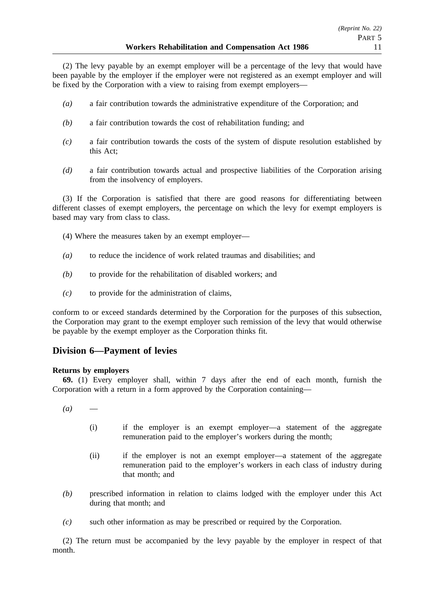(2) The levy payable by an exempt employer will be a percentage of the levy that would have been payable by the employer if the employer were not registered as an exempt employer and will be fixed by the Corporation with a view to raising from exempt employers—

- *(a)* a fair contribution towards the administrative expenditure of the Corporation; and
- *(b)* a fair contribution towards the cost of rehabilitation funding; and
- *(c)* a fair contribution towards the costs of the system of dispute resolution established by this Act;
- *(d)* a fair contribution towards actual and prospective liabilities of the Corporation arising from the insolvency of employers.

(3) If the Corporation is satisfied that there are good reasons for differentiating between different classes of exempt employers, the percentage on which the levy for exempt employers is based may vary from class to class.

- (4) Where the measures taken by an exempt employer—
- *(a)* to reduce the incidence of work related traumas and disabilities; and
- *(b)* to provide for the rehabilitation of disabled workers; and
- *(c)* to provide for the administration of claims,

conform to or exceed standards determined by the Corporation for the purposes of this subsection, the Corporation may grant to the exempt employer such remission of the levy that would otherwise be payable by the exempt employer as the Corporation thinks fit.

# **Division 6—Payment of levies**

#### **Returns by employers**

**69.** (1) Every employer shall, within 7 days after the end of each month, furnish the Corporation with a return in a form approved by the Corporation containing—

 $(a)$ 

- (i) if the employer is an exempt employer—a statement of the aggregate remuneration paid to the employer's workers during the month;
- (ii) if the employer is not an exempt employer—a statement of the aggregate remuneration paid to the employer's workers in each class of industry during that month; and
- *(b)* prescribed information in relation to claims lodged with the employer under this Act during that month; and
- *(c)* such other information as may be prescribed or required by the Corporation.

(2) The return must be accompanied by the levy payable by the employer in respect of that month.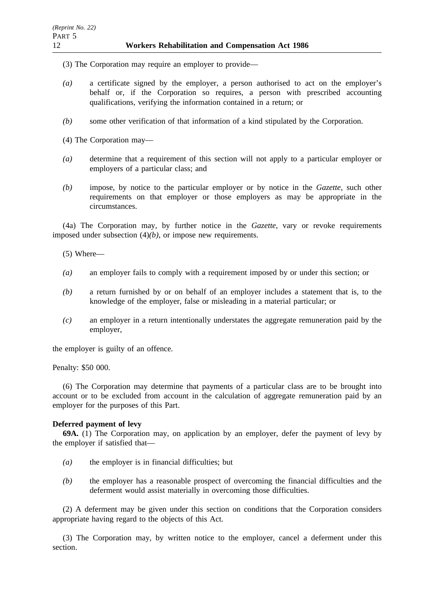- (3) The Corporation may require an employer to provide—
- *(a)* a certificate signed by the employer, a person authorised to act on the employer's behalf or, if the Corporation so requires, a person with prescribed accounting qualifications, verifying the information contained in a return; or
- *(b)* some other verification of that information of a kind stipulated by the Corporation.
- (4) The Corporation may—
- *(a)* determine that a requirement of this section will not apply to a particular employer or employers of a particular class; and
- *(b)* impose, by notice to the particular employer or by notice in the *Gazette*, such other requirements on that employer or those employers as may be appropriate in the circumstances.

(4a) The Corporation may, by further notice in the *Gazette*, vary or revoke requirements imposed under subsection (4)*(b)*, or impose new requirements.

(5) Where—

- *(a)* an employer fails to comply with a requirement imposed by or under this section; or
- *(b)* a return furnished by or on behalf of an employer includes a statement that is, to the knowledge of the employer, false or misleading in a material particular; or
- *(c)* an employer in a return intentionally understates the aggregate remuneration paid by the employer,

the employer is guilty of an offence.

Penalty: \$50 000.

(6) The Corporation may determine that payments of a particular class are to be brought into account or to be excluded from account in the calculation of aggregate remuneration paid by an employer for the purposes of this Part.

#### **Deferred payment of levy**

**69A.** (1) The Corporation may, on application by an employer, defer the payment of levy by the employer if satisfied that—

- *(a)* the employer is in financial difficulties; but
- *(b)* the employer has a reasonable prospect of overcoming the financial difficulties and the deferment would assist materially in overcoming those difficulties.

(2) A deferment may be given under this section on conditions that the Corporation considers appropriate having regard to the objects of this Act.

(3) The Corporation may, by written notice to the employer, cancel a deferment under this section.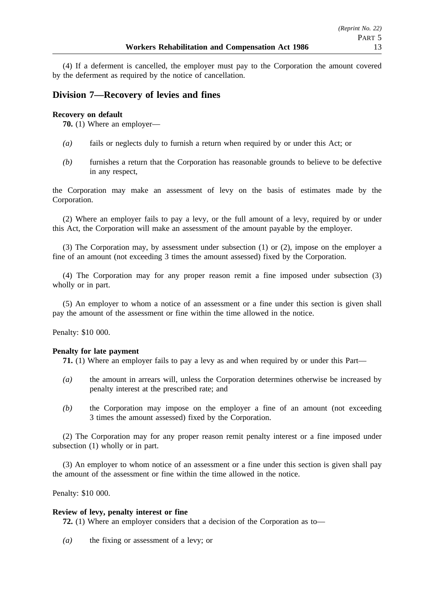(4) If a deferment is cancelled, the employer must pay to the Corporation the amount covered by the deferment as required by the notice of cancellation.

# **Division 7—Recovery of levies and fines**

## **Recovery on default**

**70.** (1) Where an employer—

- *(a)* fails or neglects duly to furnish a return when required by or under this Act; or
- *(b)* furnishes a return that the Corporation has reasonable grounds to believe to be defective in any respect,

the Corporation may make an assessment of levy on the basis of estimates made by the Corporation.

(2) Where an employer fails to pay a levy, or the full amount of a levy, required by or under this Act, the Corporation will make an assessment of the amount payable by the employer.

(3) The Corporation may, by assessment under subsection (1) or (2), impose on the employer a fine of an amount (not exceeding 3 times the amount assessed) fixed by the Corporation.

(4) The Corporation may for any proper reason remit a fine imposed under subsection (3) wholly or in part.

(5) An employer to whom a notice of an assessment or a fine under this section is given shall pay the amount of the assessment or fine within the time allowed in the notice.

Penalty: \$10 000.

## **Penalty for late payment**

**71.** (1) Where an employer fails to pay a levy as and when required by or under this Part—

- *(a)* the amount in arrears will, unless the Corporation determines otherwise be increased by penalty interest at the prescribed rate; and
- *(b)* the Corporation may impose on the employer a fine of an amount (not exceeding 3 times the amount assessed) fixed by the Corporation.

(2) The Corporation may for any proper reason remit penalty interest or a fine imposed under subsection (1) wholly or in part.

(3) An employer to whom notice of an assessment or a fine under this section is given shall pay the amount of the assessment or fine within the time allowed in the notice.

Penalty: \$10 000.

## **Review of levy, penalty interest or fine**

**72.** (1) Where an employer considers that a decision of the Corporation as to—

*(a)* the fixing or assessment of a levy; or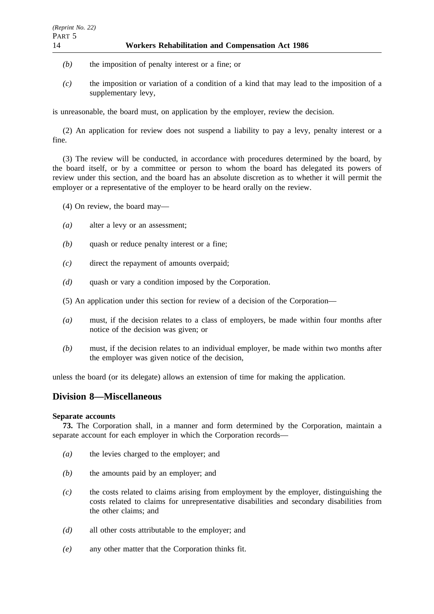- *(b)* the imposition of penalty interest or a fine; or
- *(c)* the imposition or variation of a condition of a kind that may lead to the imposition of a supplementary levy,

is unreasonable, the board must, on application by the employer, review the decision.

(2) An application for review does not suspend a liability to pay a levy, penalty interest or a fine.

(3) The review will be conducted, in accordance with procedures determined by the board, by the board itself, or by a committee or person to whom the board has delegated its powers of review under this section, and the board has an absolute discretion as to whether it will permit the employer or a representative of the employer to be heard orally on the review.

(4) On review, the board may—

- *(a)* alter a levy or an assessment;
- *(b)* quash or reduce penalty interest or a fine;
- *(c)* direct the repayment of amounts overpaid;
- *(d)* quash or vary a condition imposed by the Corporation.
- (5) An application under this section for review of a decision of the Corporation—
- *(a)* must, if the decision relates to a class of employers, be made within four months after notice of the decision was given; or
- *(b)* must, if the decision relates to an individual employer, be made within two months after the employer was given notice of the decision,

unless the board (or its delegate) allows an extension of time for making the application.

# **Division 8—Miscellaneous**

## **Separate accounts**

**73.** The Corporation shall, in a manner and form determined by the Corporation, maintain a separate account for each employer in which the Corporation records—

- *(a)* the levies charged to the employer; and
- *(b)* the amounts paid by an employer; and
- *(c)* the costs related to claims arising from employment by the employer, distinguishing the costs related to claims for unrepresentative disabilities and secondary disabilities from the other claims; and
- *(d)* all other costs attributable to the employer; and
- *(e)* any other matter that the Corporation thinks fit.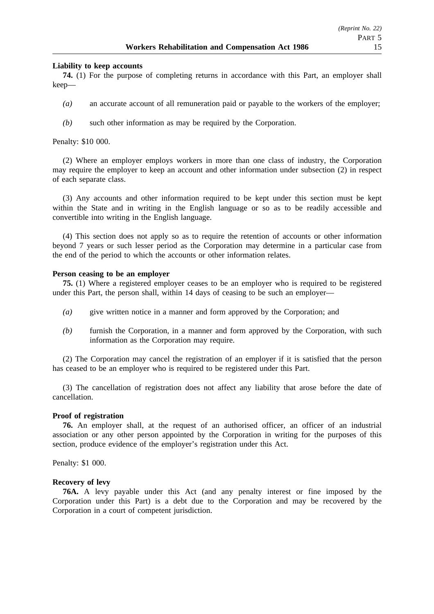#### **Liability to keep accounts**

**74.** (1) For the purpose of completing returns in accordance with this Part, an employer shall keep—

- *(a)* an accurate account of all remuneration paid or payable to the workers of the employer;
- *(b)* such other information as may be required by the Corporation.

Penalty: \$10 000.

(2) Where an employer employs workers in more than one class of industry, the Corporation may require the employer to keep an account and other information under subsection (2) in respect of each separate class.

(3) Any accounts and other information required to be kept under this section must be kept within the State and in writing in the English language or so as to be readily accessible and convertible into writing in the English language.

(4) This section does not apply so as to require the retention of accounts or other information beyond 7 years or such lesser period as the Corporation may determine in a particular case from the end of the period to which the accounts or other information relates.

#### **Person ceasing to be an employer**

**75.** (1) Where a registered employer ceases to be an employer who is required to be registered under this Part, the person shall, within 14 days of ceasing to be such an employer—

- *(a)* give written notice in a manner and form approved by the Corporation; and
- *(b)* furnish the Corporation, in a manner and form approved by the Corporation, with such information as the Corporation may require.

(2) The Corporation may cancel the registration of an employer if it is satisfied that the person has ceased to be an employer who is required to be registered under this Part.

(3) The cancellation of registration does not affect any liability that arose before the date of cancellation.

#### **Proof of registration**

**76.** An employer shall, at the request of an authorised officer, an officer of an industrial association or any other person appointed by the Corporation in writing for the purposes of this section, produce evidence of the employer's registration under this Act.

Penalty: \$1 000.

#### **Recovery of levy**

**76A.** A levy payable under this Act (and any penalty interest or fine imposed by the Corporation under this Part) is a debt due to the Corporation and may be recovered by the Corporation in a court of competent jurisdiction.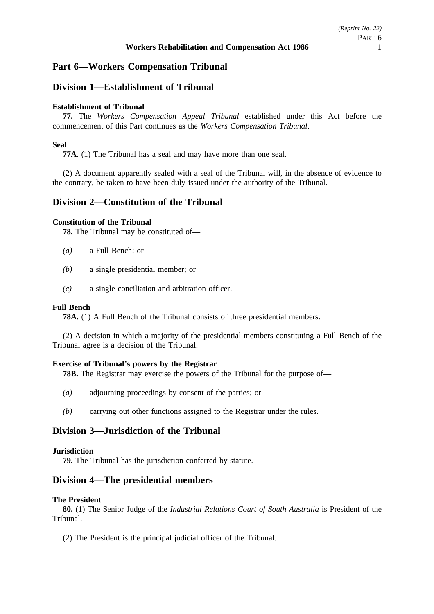# **Part 6—Workers Compensation Tribunal**

# **Division 1—Establishment of Tribunal**

## **Establishment of Tribunal**

**77.** The *Workers Compensation Appeal Tribunal* established under this Act before the commencement of this Part continues as the *Workers Compensation Tribunal*.

## **Seal**

**77A.** (1) The Tribunal has a seal and may have more than one seal.

(2) A document apparently sealed with a seal of the Tribunal will, in the absence of evidence to the contrary, be taken to have been duly issued under the authority of the Tribunal.

## **Division 2—Constitution of the Tribunal**

### **Constitution of the Tribunal**

**78.** The Tribunal may be constituted of—

- *(a)* a Full Bench; or
- *(b)* a single presidential member; or
- *(c)* a single conciliation and arbitration officer.

## **Full Bench**

**78A.** (1) A Full Bench of the Tribunal consists of three presidential members.

(2) A decision in which a majority of the presidential members constituting a Full Bench of the Tribunal agree is a decision of the Tribunal.

## **Exercise of Tribunal's powers by the Registrar**

**78B.** The Registrar may exercise the powers of the Tribunal for the purpose of—

- *(a)* adjourning proceedings by consent of the parties; or
- *(b)* carrying out other functions assigned to the Registrar under the rules.

# **Division 3—Jurisdiction of the Tribunal**

#### **Jurisdiction**

**79.** The Tribunal has the jurisdiction conferred by statute.

## **Division 4—The presidential members**

#### **The President**

**80.** (1) The Senior Judge of the *Industrial Relations Court of South Australia* is President of the Tribunal.

(2) The President is the principal judicial officer of the Tribunal.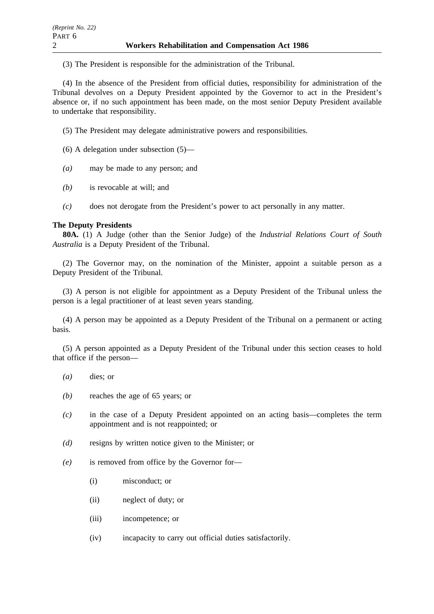(3) The President is responsible for the administration of the Tribunal.

(4) In the absence of the President from official duties, responsibility for administration of the Tribunal devolves on a Deputy President appointed by the Governor to act in the President's absence or, if no such appointment has been made, on the most senior Deputy President available to undertake that responsibility.

(5) The President may delegate administrative powers and responsibilities.

(6) A delegation under subsection (5)—

- *(a)* may be made to any person; and
- *(b)* is revocable at will; and
- *(c)* does not derogate from the President's power to act personally in any matter.

## **The Deputy Presidents**

**80A.** (1) A Judge (other than the Senior Judge) of the *Industrial Relations Court of South Australia* is a Deputy President of the Tribunal.

(2) The Governor may, on the nomination of the Minister, appoint a suitable person as a Deputy President of the Tribunal.

(3) A person is not eligible for appointment as a Deputy President of the Tribunal unless the person is a legal practitioner of at least seven years standing.

(4) A person may be appointed as a Deputy President of the Tribunal on a permanent or acting basis.

(5) A person appointed as a Deputy President of the Tribunal under this section ceases to hold that office if the person—

- *(a)* dies; or
- *(b)* reaches the age of 65 years; or
- *(c)* in the case of a Deputy President appointed on an acting basis—completes the term appointment and is not reappointed; or
- *(d)* resigns by written notice given to the Minister; or
- *(e)* is removed from office by the Governor for—
	- (i) misconduct; or
	- (ii) neglect of duty; or
	- (iii) incompetence; or
	- (iv) incapacity to carry out official duties satisfactorily.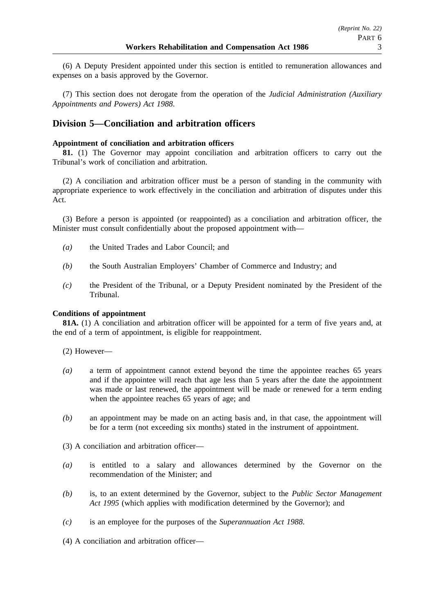(6) A Deputy President appointed under this section is entitled to remuneration allowances and expenses on a basis approved by the Governor.

(7) This section does not derogate from the operation of the *Judicial Administration (Auxiliary Appointments and Powers) Act 1988*.

# **Division 5—Conciliation and arbitration officers**

## **Appointment of conciliation and arbitration officers**

**81.** (1) The Governor may appoint conciliation and arbitration officers to carry out the Tribunal's work of conciliation and arbitration.

(2) A conciliation and arbitration officer must be a person of standing in the community with appropriate experience to work effectively in the conciliation and arbitration of disputes under this Act.

(3) Before a person is appointed (or reappointed) as a conciliation and arbitration officer, the Minister must consult confidentially about the proposed appointment with—

- *(a)* the United Trades and Labor Council; and
- *(b)* the South Australian Employers' Chamber of Commerce and Industry; and
- *(c)* the President of the Tribunal, or a Deputy President nominated by the President of the Tribunal.

#### **Conditions of appointment**

**81A.** (1) A conciliation and arbitration officer will be appointed for a term of five years and, at the end of a term of appointment, is eligible for reappointment.

(2) However—

- *(a)* a term of appointment cannot extend beyond the time the appointee reaches 65 years and if the appointee will reach that age less than 5 years after the date the appointment was made or last renewed, the appointment will be made or renewed for a term ending when the appointee reaches 65 years of age; and
- *(b)* an appointment may be made on an acting basis and, in that case, the appointment will be for a term (not exceeding six months) stated in the instrument of appointment.

(3) A conciliation and arbitration officer—

- *(a)* is entitled to a salary and allowances determined by the Governor on the recommendation of the Minister; and
- *(b)* is, to an extent determined by the Governor, subject to the *Public Sector Management Act 1995* (which applies with modification determined by the Governor); and
- *(c)* is an employee for the purposes of the *Superannuation Act 1988*.
- (4) A conciliation and arbitration officer—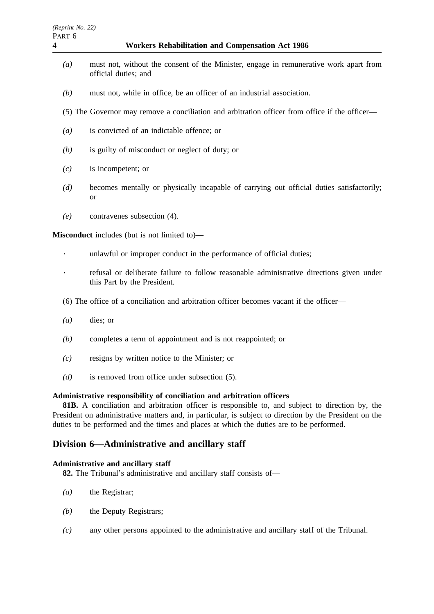- *(a)* must not, without the consent of the Minister, engage in remunerative work apart from official duties; and
- *(b)* must not, while in office, be an officer of an industrial association.
- (5) The Governor may remove a conciliation and arbitration officer from office if the officer—
- *(a)* is convicted of an indictable offence; or
- *(b)* is guilty of misconduct or neglect of duty; or
- *(c)* is incompetent; or
- *(d)* becomes mentally or physically incapable of carrying out official duties satisfactorily; or
- *(e)* contravenes subsection (4).

**Misconduct** includes (but is not limited to)—

- $\ddot{\phantom{a}}$ unlawful or improper conduct in the performance of official duties;
- refusal or deliberate failure to follow reasonable administrative directions given under this Part by the President.
- (6) The office of a conciliation and arbitration officer becomes vacant if the officer—
- *(a)* dies; or
- *(b)* completes a term of appointment and is not reappointed; or
- *(c)* resigns by written notice to the Minister; or
- *(d)* is removed from office under subsection (5).

## **Administrative responsibility of conciliation and arbitration officers**

**81B.** A conciliation and arbitration officer is responsible to, and subject to direction by, the President on administrative matters and, in particular, is subject to direction by the President on the duties to be performed and the times and places at which the duties are to be performed.

# **Division 6—Administrative and ancillary staff**

## **Administrative and ancillary staff**

**82.** The Tribunal's administrative and ancillary staff consists of—

- *(a)* the Registrar;
- *(b)* the Deputy Registrars;
- *(c)* any other persons appointed to the administrative and ancillary staff of the Tribunal.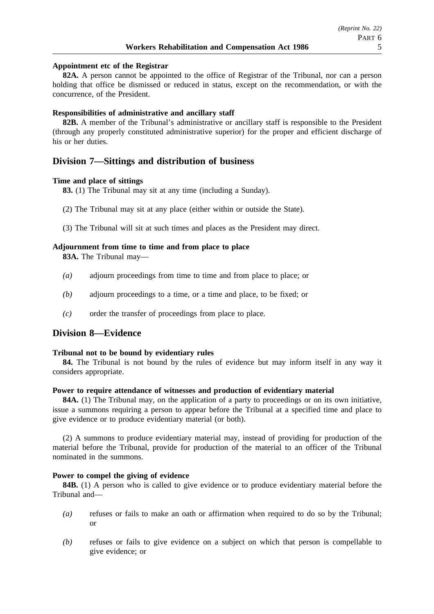### **Appointment etc of the Registrar**

**82A.** A person cannot be appointed to the office of Registrar of the Tribunal, nor can a person holding that office be dismissed or reduced in status, except on the recommendation, or with the concurrence, of the President.

## **Responsibilities of administrative and ancillary staff**

**82B.** A member of the Tribunal's administrative or ancillary staff is responsible to the President (through any properly constituted administrative superior) for the proper and efficient discharge of his or her duties.

## **Division 7—Sittings and distribution of business**

### **Time and place of sittings**

**83.** (1) The Tribunal may sit at any time (including a Sunday).

- (2) The Tribunal may sit at any place (either within or outside the State).
- (3) The Tribunal will sit at such times and places as the President may direct.

### **Adjournment from time to time and from place to place**

**83A.** The Tribunal may—

- *(a)* adjourn proceedings from time to time and from place to place; or
- *(b)* adjourn proceedings to a time, or a time and place, to be fixed; or
- *(c)* order the transfer of proceedings from place to place.

## **Division 8—Evidence**

#### **Tribunal not to be bound by evidentiary rules**

**84.** The Tribunal is not bound by the rules of evidence but may inform itself in any way it considers appropriate.

#### **Power to require attendance of witnesses and production of evidentiary material**

**84A.** (1) The Tribunal may, on the application of a party to proceedings or on its own initiative, issue a summons requiring a person to appear before the Tribunal at a specified time and place to give evidence or to produce evidentiary material (or both).

(2) A summons to produce evidentiary material may, instead of providing for production of the material before the Tribunal, provide for production of the material to an officer of the Tribunal nominated in the summons.

#### **Power to compel the giving of evidence**

**84B.** (1) A person who is called to give evidence or to produce evidentiary material before the Tribunal and—

- *(a)* refuses or fails to make an oath or affirmation when required to do so by the Tribunal; or
- *(b)* refuses or fails to give evidence on a subject on which that person is compellable to give evidence; or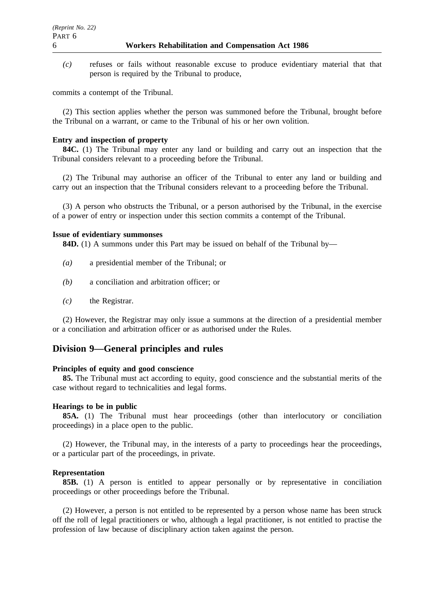*(c)* refuses or fails without reasonable excuse to produce evidentiary material that that person is required by the Tribunal to produce,

commits a contempt of the Tribunal.

(2) This section applies whether the person was summoned before the Tribunal, brought before the Tribunal on a warrant, or came to the Tribunal of his or her own volition.

## **Entry and inspection of property**

**84C.** (1) The Tribunal may enter any land or building and carry out an inspection that the Tribunal considers relevant to a proceeding before the Tribunal.

(2) The Tribunal may authorise an officer of the Tribunal to enter any land or building and carry out an inspection that the Tribunal considers relevant to a proceeding before the Tribunal.

(3) A person who obstructs the Tribunal, or a person authorised by the Tribunal, in the exercise of a power of entry or inspection under this section commits a contempt of the Tribunal.

#### **Issue of evidentiary summonses**

**84D.** (1) A summons under this Part may be issued on behalf of the Tribunal by—

- *(a)* a presidential member of the Tribunal; or
- *(b)* a conciliation and arbitration officer; or
- *(c)* the Registrar.

(2) However, the Registrar may only issue a summons at the direction of a presidential member or a conciliation and arbitration officer or as authorised under the Rules.

# **Division 9—General principles and rules**

#### **Principles of equity and good conscience**

**85.** The Tribunal must act according to equity, good conscience and the substantial merits of the case without regard to technicalities and legal forms.

#### **Hearings to be in public**

**85A.** (1) The Tribunal must hear proceedings (other than interlocutory or conciliation proceedings) in a place open to the public.

(2) However, the Tribunal may, in the interests of a party to proceedings hear the proceedings, or a particular part of the proceedings, in private.

#### **Representation**

**85B.** (1) A person is entitled to appear personally or by representative in conciliation proceedings or other proceedings before the Tribunal.

(2) However, a person is not entitled to be represented by a person whose name has been struck off the roll of legal practitioners or who, although a legal practitioner, is not entitled to practise the profession of law because of disciplinary action taken against the person.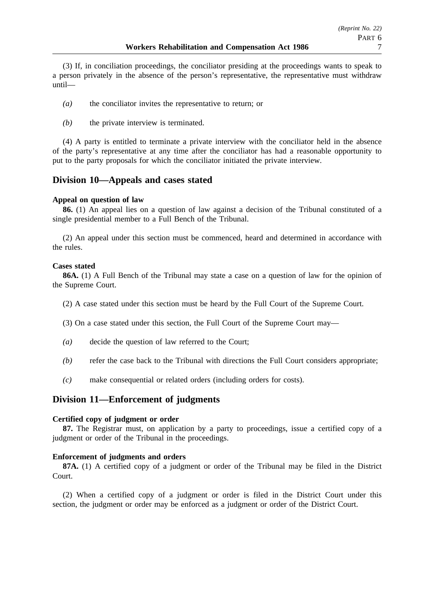(3) If, in conciliation proceedings, the conciliator presiding at the proceedings wants to speak to a person privately in the absence of the person's representative, the representative must withdraw until—

- *(a)* the conciliator invites the representative to return; or
- *(b)* the private interview is terminated.

(4) A party is entitled to terminate a private interview with the conciliator held in the absence of the party's representative at any time after the conciliator has had a reasonable opportunity to put to the party proposals for which the conciliator initiated the private interview.

## **Division 10—Appeals and cases stated**

## **Appeal on question of law**

**86.** (1) An appeal lies on a question of law against a decision of the Tribunal constituted of a single presidential member to a Full Bench of the Tribunal.

(2) An appeal under this section must be commenced, heard and determined in accordance with the rules.

### **Cases stated**

**86A.** (1) A Full Bench of the Tribunal may state a case on a question of law for the opinion of the Supreme Court.

- (2) A case stated under this section must be heard by the Full Court of the Supreme Court.
- (3) On a case stated under this section, the Full Court of the Supreme Court may—
- *(a)* decide the question of law referred to the Court;
- *(b)* refer the case back to the Tribunal with directions the Full Court considers appropriate;
- *(c)* make consequential or related orders (including orders for costs).

## **Division 11—Enforcement of judgments**

## **Certified copy of judgment or order**

**87.** The Registrar must, on application by a party to proceedings, issue a certified copy of a judgment or order of the Tribunal in the proceedings.

#### **Enforcement of judgments and orders**

**87A.** (1) A certified copy of a judgment or order of the Tribunal may be filed in the District Court.

(2) When a certified copy of a judgment or order is filed in the District Court under this section, the judgment or order may be enforced as a judgment or order of the District Court.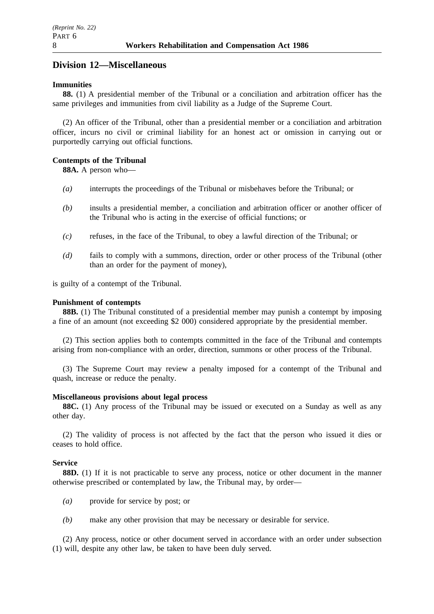## **Division 12—Miscellaneous**

#### **Immunities**

**88.** (1) A presidential member of the Tribunal or a conciliation and arbitration officer has the same privileges and immunities from civil liability as a Judge of the Supreme Court.

(2) An officer of the Tribunal, other than a presidential member or a conciliation and arbitration officer, incurs no civil or criminal liability for an honest act or omission in carrying out or purportedly carrying out official functions.

## **Contempts of the Tribunal**

**88A.** A person who—

- *(a)* interrupts the proceedings of the Tribunal or misbehaves before the Tribunal; or
- *(b)* insults a presidential member, a conciliation and arbitration officer or another officer of the Tribunal who is acting in the exercise of official functions; or
- *(c)* refuses, in the face of the Tribunal, to obey a lawful direction of the Tribunal; or
- *(d)* fails to comply with a summons, direction, order or other process of the Tribunal (other than an order for the payment of money),

is guilty of a contempt of the Tribunal.

#### **Punishment of contempts**

**88B.** (1) The Tribunal constituted of a presidential member may punish a contempt by imposing a fine of an amount (not exceeding \$2 000) considered appropriate by the presidential member.

(2) This section applies both to contempts committed in the face of the Tribunal and contempts arising from non-compliance with an order, direction, summons or other process of the Tribunal.

(3) The Supreme Court may review a penalty imposed for a contempt of the Tribunal and quash, increase or reduce the penalty.

#### **Miscellaneous provisions about legal process**

**88C.** (1) Any process of the Tribunal may be issued or executed on a Sunday as well as any other day.

(2) The validity of process is not affected by the fact that the person who issued it dies or ceases to hold office.

#### **Service**

**88D.** (1) If it is not practicable to serve any process, notice or other document in the manner otherwise prescribed or contemplated by law, the Tribunal may, by order—

- *(a)* provide for service by post; or
- *(b)* make any other provision that may be necessary or desirable for service.

(2) Any process, notice or other document served in accordance with an order under subsection (1) will, despite any other law, be taken to have been duly served.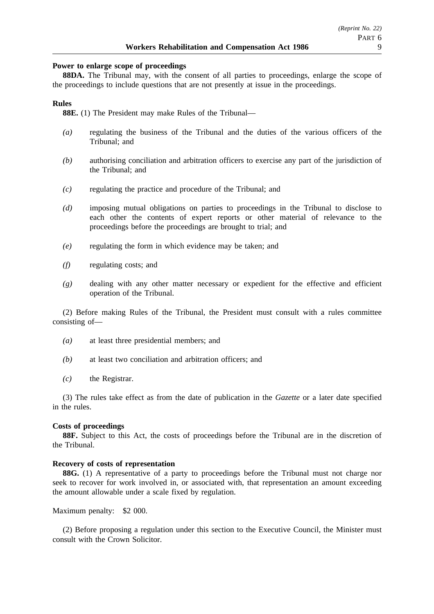#### **Power to enlarge scope of proceedings**

**88DA.** The Tribunal may, with the consent of all parties to proceedings, enlarge the scope of the proceedings to include questions that are not presently at issue in the proceedings.

## **Rules**

**88E.** (1) The President may make Rules of the Tribunal—

- *(a)* regulating the business of the Tribunal and the duties of the various officers of the Tribunal; and
- *(b)* authorising conciliation and arbitration officers to exercise any part of the jurisdiction of the Tribunal; and
- *(c)* regulating the practice and procedure of the Tribunal; and
- *(d)* imposing mutual obligations on parties to proceedings in the Tribunal to disclose to each other the contents of expert reports or other material of relevance to the proceedings before the proceedings are brought to trial; and
- *(e)* regulating the form in which evidence may be taken; and
- *(f)* regulating costs; and
- *(g)* dealing with any other matter necessary or expedient for the effective and efficient operation of the Tribunal.

(2) Before making Rules of the Tribunal, the President must consult with a rules committee consisting of—

- *(a)* at least three presidential members; and
- *(b)* at least two conciliation and arbitration officers; and
- *(c)* the Registrar.

(3) The rules take effect as from the date of publication in the *Gazette* or a later date specified in the rules.

#### **Costs of proceedings**

**88F.** Subject to this Act, the costs of proceedings before the Tribunal are in the discretion of the Tribunal.

#### **Recovery of costs of representation**

**88G.** (1) A representative of a party to proceedings before the Tribunal must not charge nor seek to recover for work involved in, or associated with, that representation an amount exceeding the amount allowable under a scale fixed by regulation.

Maximum penalty: \$2 000.

(2) Before proposing a regulation under this section to the Executive Council, the Minister must consult with the Crown Solicitor.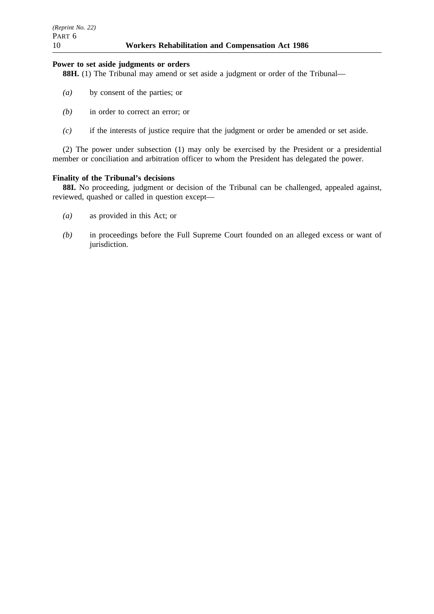## **Power to set aside judgments or orders**

**88H.** (1) The Tribunal may amend or set aside a judgment or order of the Tribunal—

- *(a)* by consent of the parties; or
- *(b)* in order to correct an error; or
- *(c)* if the interests of justice require that the judgment or order be amended or set aside.

(2) The power under subsection (1) may only be exercised by the President or a presidential member or conciliation and arbitration officer to whom the President has delegated the power.

### **Finality of the Tribunal's decisions**

**88I.** No proceeding, judgment or decision of the Tribunal can be challenged, appealed against, reviewed, quashed or called in question except—

- *(a)* as provided in this Act; or
- *(b)* in proceedings before the Full Supreme Court founded on an alleged excess or want of jurisdiction.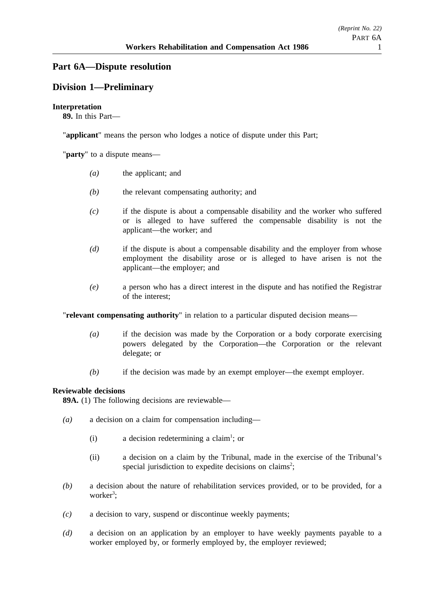# **Part 6A—Dispute resolution**

# **Division 1—Preliminary**

## **Interpretation**

**89.** In this Part—

"**applicant**" means the person who lodges a notice of dispute under this Part;

"**party**" to a dispute means—

- *(a)* the applicant; and
- *(b)* the relevant compensating authority; and
- *(c)* if the dispute is about a compensable disability and the worker who suffered or is alleged to have suffered the compensable disability is not the applicant—the worker; and
- *(d)* if the dispute is about a compensable disability and the employer from whose employment the disability arose or is alleged to have arisen is not the applicant—the employer; and
- *(e)* a person who has a direct interest in the dispute and has notified the Registrar of the interest;

"**relevant compensating authority**" in relation to a particular disputed decision means—

- *(a)* if the decision was made by the Corporation or a body corporate exercising powers delegated by the Corporation—the Corporation or the relevant delegate; or
- *(b)* if the decision was made by an exempt employer—the exempt employer.

## **Reviewable decisions**

**89A.** (1) The following decisions are reviewable—

- *(a)* a decision on a claim for compensation including—
	- (i) a decision redetermining a claim<sup>1</sup>; or
	- (ii) a decision on a claim by the Tribunal, made in the exercise of the Tribunal's special jurisdiction to expedite decisions on claims<sup>2</sup>;
- *(b)* a decision about the nature of rehabilitation services provided, or to be provided, for a worker<sup>3</sup>;
- *(c)* a decision to vary, suspend or discontinue weekly payments;
- *(d)* a decision on an application by an employer to have weekly payments payable to a worker employed by, or formerly employed by, the employer reviewed;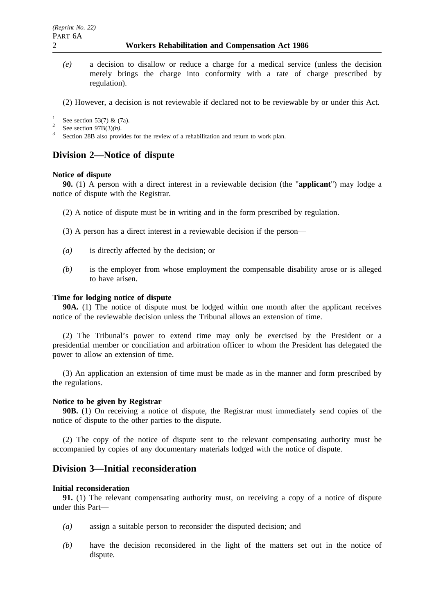*(e)* a decision to disallow or reduce a charge for a medical service (unless the decision merely brings the charge into conformity with a rate of charge prescribed by regulation).

(2) However, a decision is not reviewable if declared not to be reviewable by or under this Act.

- 
- <sup>1</sup> See section 53(7) & (7a).<br><sup>2</sup> See section 97B(3)(*b*).<br><sup>3</sup> Section 28B also provides for the review of a rehabilitation and return to work plan.

## **Division 2—Notice of dispute**

#### **Notice of dispute**

**90.** (1) A person with a direct interest in a reviewable decision (the "**applicant**") may lodge a notice of dispute with the Registrar.

- (2) A notice of dispute must be in writing and in the form prescribed by regulation.
- (3) A person has a direct interest in a reviewable decision if the person—
- *(a)* is directly affected by the decision; or
- *(b)* is the employer from whose employment the compensable disability arose or is alleged to have arisen.

#### **Time for lodging notice of dispute**

**90A.** (1) The notice of dispute must be lodged within one month after the applicant receives notice of the reviewable decision unless the Tribunal allows an extension of time.

(2) The Tribunal's power to extend time may only be exercised by the President or a presidential member or conciliation and arbitration officer to whom the President has delegated the power to allow an extension of time.

(3) An application an extension of time must be made as in the manner and form prescribed by the regulations.

#### **Notice to be given by Registrar**

**90B.** (1) On receiving a notice of dispute, the Registrar must immediately send copies of the notice of dispute to the other parties to the dispute.

(2) The copy of the notice of dispute sent to the relevant compensating authority must be accompanied by copies of any documentary materials lodged with the notice of dispute.

## **Division 3—Initial reconsideration**

#### **Initial reconsideration**

**91.** (1) The relevant compensating authority must, on receiving a copy of a notice of dispute under this Part—

- *(a)* assign a suitable person to reconsider the disputed decision; and
- *(b)* have the decision reconsidered in the light of the matters set out in the notice of dispute.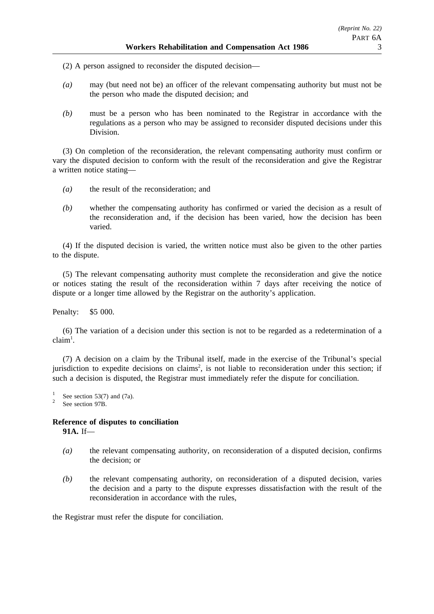- (2) A person assigned to reconsider the disputed decision—
- *(a)* may (but need not be) an officer of the relevant compensating authority but must not be the person who made the disputed decision; and
- *(b)* must be a person who has been nominated to the Registrar in accordance with the regulations as a person who may be assigned to reconsider disputed decisions under this Division.

(3) On completion of the reconsideration, the relevant compensating authority must confirm or vary the disputed decision to conform with the result of the reconsideration and give the Registrar a written notice stating—

- *(a)* the result of the reconsideration; and
- *(b)* whether the compensating authority has confirmed or varied the decision as a result of the reconsideration and, if the decision has been varied, how the decision has been varied.

(4) If the disputed decision is varied, the written notice must also be given to the other parties to the dispute.

(5) The relevant compensating authority must complete the reconsideration and give the notice or notices stating the result of the reconsideration within 7 days after receiving the notice of dispute or a longer time allowed by the Registrar on the authority's application.

Penalty: \$5 000.

(6) The variation of a decision under this section is not to be regarded as a redetermination of a  $claim<sup>1</sup>$ .

(7) A decision on a claim by the Tribunal itself, made in the exercise of the Tribunal's special jurisdiction to expedite decisions on claims<sup>2</sup>, is not liable to reconsideration under this section; if such a decision is disputed, the Registrar must immediately refer the dispute for conciliation.

 $\frac{1}{2}$  See section 53(7) and (7a).<br>See section 97B.

#### **Reference of disputes to conciliation 91A.** If—

- *(a)* the relevant compensating authority, on reconsideration of a disputed decision, confirms the decision; or
- *(b)* the relevant compensating authority, on reconsideration of a disputed decision, varies the decision and a party to the dispute expresses dissatisfaction with the result of the reconsideration in accordance with the rules,

the Registrar must refer the dispute for conciliation.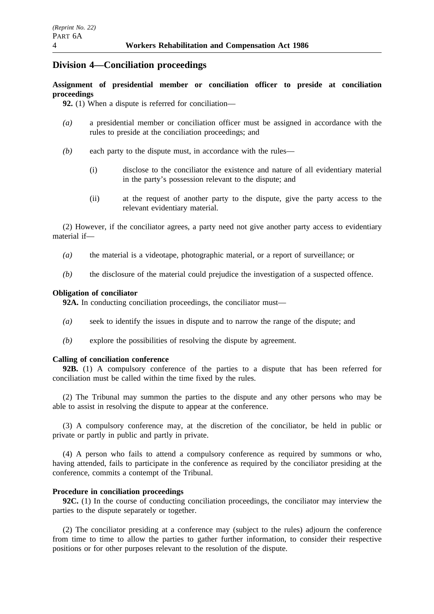## **Division 4—Conciliation proceedings**

**Assignment of presidential member or conciliation officer to preside at conciliation proceedings**

**92.** (1) When a dispute is referred for conciliation—

- *(a)* a presidential member or conciliation officer must be assigned in accordance with the rules to preside at the conciliation proceedings; and
- *(b)* each party to the dispute must, in accordance with the rules—
	- (i) disclose to the conciliator the existence and nature of all evidentiary material in the party's possession relevant to the dispute; and
	- (ii) at the request of another party to the dispute, give the party access to the relevant evidentiary material.

(2) However, if the conciliator agrees, a party need not give another party access to evidentiary material if—

- *(a)* the material is a videotape, photographic material, or a report of surveillance; or
- *(b)* the disclosure of the material could prejudice the investigation of a suspected offence.

### **Obligation of conciliator**

**92A.** In conducting conciliation proceedings, the conciliator must—

- *(a)* seek to identify the issues in dispute and to narrow the range of the dispute; and
- *(b)* explore the possibilities of resolving the dispute by agreement.

## **Calling of conciliation conference**

**92B.** (1) A compulsory conference of the parties to a dispute that has been referred for conciliation must be called within the time fixed by the rules.

(2) The Tribunal may summon the parties to the dispute and any other persons who may be able to assist in resolving the dispute to appear at the conference.

(3) A compulsory conference may, at the discretion of the conciliator, be held in public or private or partly in public and partly in private.

(4) A person who fails to attend a compulsory conference as required by summons or who, having attended, fails to participate in the conference as required by the conciliator presiding at the conference, commits a contempt of the Tribunal.

### **Procedure in conciliation proceedings**

**92C.** (1) In the course of conducting conciliation proceedings, the conciliator may interview the parties to the dispute separately or together.

(2) The conciliator presiding at a conference may (subject to the rules) adjourn the conference from time to time to allow the parties to gather further information, to consider their respective positions or for other purposes relevant to the resolution of the dispute.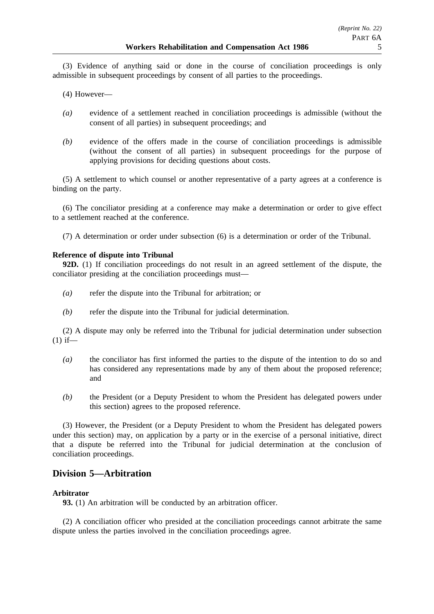(3) Evidence of anything said or done in the course of conciliation proceedings is only admissible in subsequent proceedings by consent of all parties to the proceedings.

(4) However—

- *(a)* evidence of a settlement reached in conciliation proceedings is admissible (without the consent of all parties) in subsequent proceedings; and
- *(b)* evidence of the offers made in the course of conciliation proceedings is admissible (without the consent of all parties) in subsequent proceedings for the purpose of applying provisions for deciding questions about costs.

(5) A settlement to which counsel or another representative of a party agrees at a conference is binding on the party.

(6) The conciliator presiding at a conference may make a determination or order to give effect to a settlement reached at the conference.

(7) A determination or order under subsection (6) is a determination or order of the Tribunal.

## **Reference of dispute into Tribunal**

**92D.** (1) If conciliation proceedings do not result in an agreed settlement of the dispute, the conciliator presiding at the conciliation proceedings must—

- *(a)* refer the dispute into the Tribunal for arbitration; or
- *(b)* refer the dispute into the Tribunal for judicial determination.

(2) A dispute may only be referred into the Tribunal for judicial determination under subsection  $(1)$  if—

- *(a)* the conciliator has first informed the parties to the dispute of the intention to do so and has considered any representations made by any of them about the proposed reference; and
- *(b)* the President (or a Deputy President to whom the President has delegated powers under this section) agrees to the proposed reference.

(3) However, the President (or a Deputy President to whom the President has delegated powers under this section) may, on application by a party or in the exercise of a personal initiative, direct that a dispute be referred into the Tribunal for judicial determination at the conclusion of conciliation proceedings.

# **Division 5—Arbitration**

## **Arbitrator**

**93.** (1) An arbitration will be conducted by an arbitration officer.

(2) A conciliation officer who presided at the conciliation proceedings cannot arbitrate the same dispute unless the parties involved in the conciliation proceedings agree.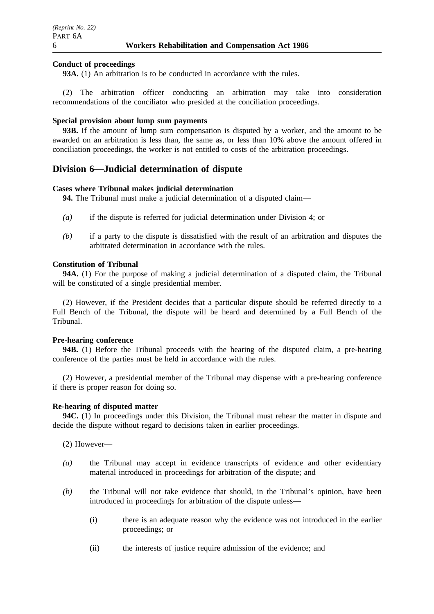### **Conduct of proceedings**

**93A.** (1) An arbitration is to be conducted in accordance with the rules.

(2) The arbitration officer conducting an arbitration may take into consideration recommendations of the conciliator who presided at the conciliation proceedings.

#### **Special provision about lump sum payments**

**93B.** If the amount of lump sum compensation is disputed by a worker, and the amount to be awarded on an arbitration is less than, the same as, or less than 10% above the amount offered in conciliation proceedings, the worker is not entitled to costs of the arbitration proceedings.

## **Division 6—Judicial determination of dispute**

## **Cases where Tribunal makes judicial determination**

**94.** The Tribunal must make a judicial determination of a disputed claim—

- *(a)* if the dispute is referred for judicial determination under Division 4; or
- *(b)* if a party to the dispute is dissatisfied with the result of an arbitration and disputes the arbitrated determination in accordance with the rules.

### **Constitution of Tribunal**

**94A.** (1) For the purpose of making a judicial determination of a disputed claim, the Tribunal will be constituted of a single presidential member.

(2) However, if the President decides that a particular dispute should be referred directly to a Full Bench of the Tribunal, the dispute will be heard and determined by a Full Bench of the Tribunal.

## **Pre-hearing conference**

**94B.** (1) Before the Tribunal proceeds with the hearing of the disputed claim, a pre-hearing conference of the parties must be held in accordance with the rules.

(2) However, a presidential member of the Tribunal may dispense with a pre-hearing conference if there is proper reason for doing so.

#### **Re-hearing of disputed matter**

**94C.** (1) In proceedings under this Division, the Tribunal must rehear the matter in dispute and decide the dispute without regard to decisions taken in earlier proceedings.

(2) However—

- *(a)* the Tribunal may accept in evidence transcripts of evidence and other evidentiary material introduced in proceedings for arbitration of the dispute; and
- *(b)* the Tribunal will not take evidence that should, in the Tribunal's opinion, have been introduced in proceedings for arbitration of the dispute unless—
	- (i) there is an adequate reason why the evidence was not introduced in the earlier proceedings; or
	- (ii) the interests of justice require admission of the evidence; and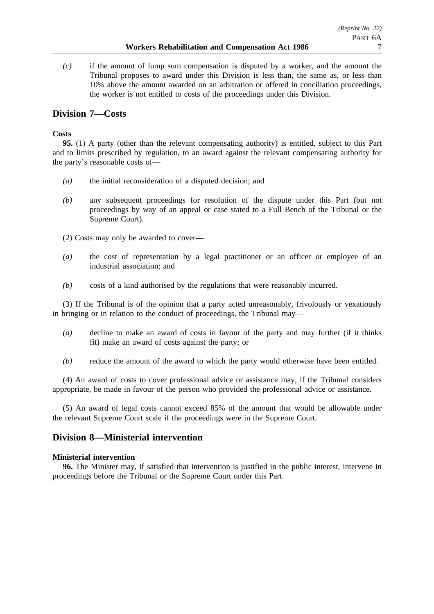*(c)* if the amount of lump sum compensation is disputed by a worker, and the amount the Tribunal proposes to award under this Division is less than, the same as, or less than 10% above the amount awarded on an arbitration or offered in conciliation proceedings, the worker is not entitled to costs of the proceedings under this Division.

# **Division 7—Costs**

## **Costs**

**95.** (1) A party (other than the relevant compensating authority) is entitled, subject to this Part and to limits prescribed by regulation, to an award against the relevant compensating authority for the party's reasonable costs of—

- *(a)* the initial reconsideration of a disputed decision; and
- *(b)* any subsequent proceedings for resolution of the dispute under this Part (but not proceedings by way of an appeal or case stated to a Full Bench of the Tribunal or the Supreme Court).
- (2) Costs may only be awarded to cover—
- *(a)* the cost of representation by a legal practitioner or an officer or employee of an industrial association; and
- *(b)* costs of a kind authorised by the regulations that were reasonably incurred.

(3) If the Tribunal is of the opinion that a party acted unreasonably, frivolously or vexatiously in bringing or in relation to the conduct of proceedings, the Tribunal may—

- *(a)* decline to make an award of costs in favour of the party and may further (if it thinks fit) make an award of costs against the party; or
- *(b)* reduce the amount of the award to which the party would otherwise have been entitled.

(4) An award of costs to cover professional advice or assistance may, if the Tribunal considers appropriate, be made in favour of the person who provided the professional advice or assistance.

(5) An award of legal costs cannot exceed 85% of the amount that would be allowable under the relevant Supreme Court scale if the proceedings were in the Supreme Court.

# **Division 8—Ministerial intervention**

## **Ministerial intervention**

**96.** The Minister may, if satisfied that intervention is justified in the public interest, intervene in proceedings before the Tribunal or the Supreme Court under this Part.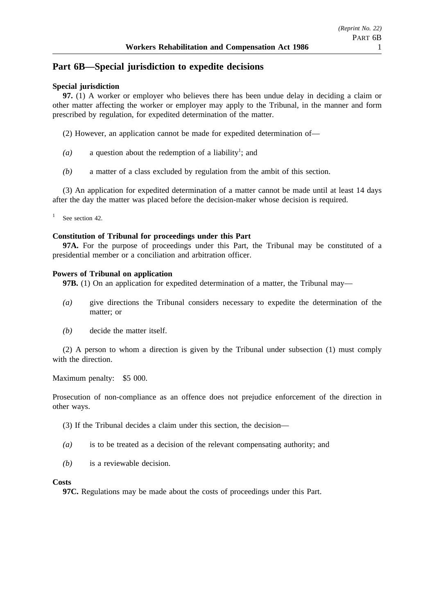## **Part 6B—Special jurisdiction to expedite decisions**

## **Special jurisdiction**

**97.** (1) A worker or employer who believes there has been undue delay in deciding a claim or other matter affecting the worker or employer may apply to the Tribunal, in the manner and form prescribed by regulation, for expedited determination of the matter.

- (2) However, an application cannot be made for expedited determination of—
- $(a)$  a question about the redemption of a liability<sup>1</sup>; and
- *(b)* a matter of a class excluded by regulation from the ambit of this section.

(3) An application for expedited determination of a matter cannot be made until at least 14 days after the day the matter was placed before the decision-maker whose decision is required.

See section 42.

### **Constitution of Tribunal for proceedings under this Part**

**97A.** For the purpose of proceedings under this Part, the Tribunal may be constituted of a presidential member or a conciliation and arbitration officer.

#### **Powers of Tribunal on application**

**97B.** (1) On an application for expedited determination of a matter, the Tribunal may—

- *(a)* give directions the Tribunal considers necessary to expedite the determination of the matter; or
- *(b)* decide the matter itself.

(2) A person to whom a direction is given by the Tribunal under subsection (1) must comply with the direction.

Maximum penalty: \$5 000.

Prosecution of non-compliance as an offence does not prejudice enforcement of the direction in other ways.

(3) If the Tribunal decides a claim under this section, the decision—

- *(a)* is to be treated as a decision of the relevant compensating authority; and
- *(b)* is a reviewable decision.

#### **Costs**

**97C.** Regulations may be made about the costs of proceedings under this Part.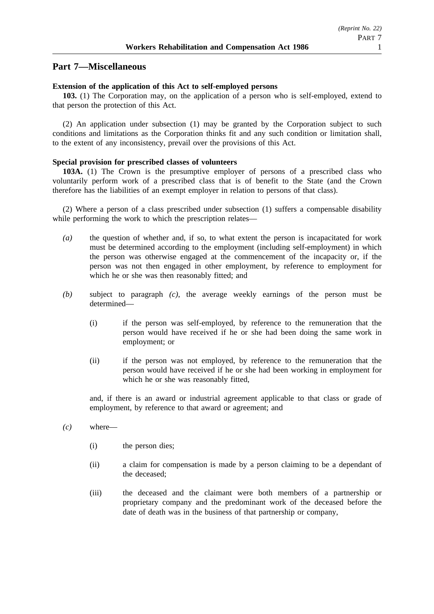## **Part 7—Miscellaneous**

### **Extension of the application of this Act to self-employed persons**

**103.** (1) The Corporation may, on the application of a person who is self-employed, extend to that person the protection of this Act.

(2) An application under subsection (1) may be granted by the Corporation subject to such conditions and limitations as the Corporation thinks fit and any such condition or limitation shall, to the extent of any inconsistency, prevail over the provisions of this Act.

#### **Special provision for prescribed classes of volunteers**

**103A.** (1) The Crown is the presumptive employer of persons of a prescribed class who voluntarily perform work of a prescribed class that is of benefit to the State (and the Crown therefore has the liabilities of an exempt employer in relation to persons of that class).

(2) Where a person of a class prescribed under subsection (1) suffers a compensable disability while performing the work to which the prescription relates—

- *(a)* the question of whether and, if so, to what extent the person is incapacitated for work must be determined according to the employment (including self-employment) in which the person was otherwise engaged at the commencement of the incapacity or, if the person was not then engaged in other employment, by reference to employment for which he or she was then reasonably fitted; and
- *(b)* subject to paragraph *(c)*, the average weekly earnings of the person must be determined—
	- (i) if the person was self-employed, by reference to the remuneration that the person would have received if he or she had been doing the same work in employment; or
	- (ii) if the person was not employed, by reference to the remuneration that the person would have received if he or she had been working in employment for which he or she was reasonably fitted,

and, if there is an award or industrial agreement applicable to that class or grade of employment, by reference to that award or agreement; and

- *(c)* where—
	- (i) the person dies;
	- (ii) a claim for compensation is made by a person claiming to be a dependant of the deceased;
	- (iii) the deceased and the claimant were both members of a partnership or proprietary company and the predominant work of the deceased before the date of death was in the business of that partnership or company,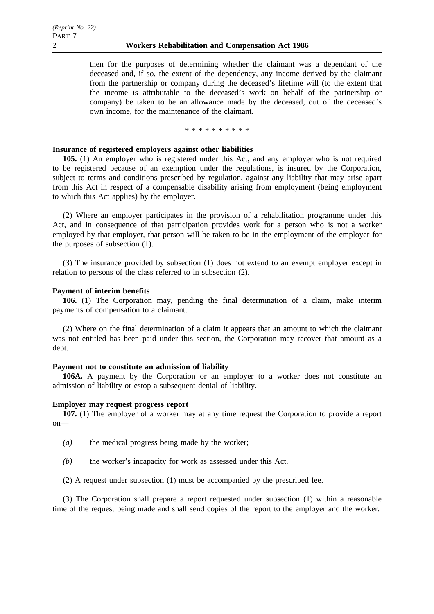then for the purposes of determining whether the claimant was a dependant of the deceased and, if so, the extent of the dependency, any income derived by the claimant from the partnership or company during the deceased's lifetime will (to the extent that the income is attributable to the deceased's work on behalf of the partnership or company) be taken to be an allowance made by the deceased, out of the deceased's own income, for the maintenance of the claimant.

\*\*\*\*\*\*\*\*\*\*

#### **Insurance of registered employers against other liabilities**

**105.** (1) An employer who is registered under this Act, and any employer who is not required to be registered because of an exemption under the regulations, is insured by the Corporation, subject to terms and conditions prescribed by regulation, against any liability that may arise apart from this Act in respect of a compensable disability arising from employment (being employment to which this Act applies) by the employer.

(2) Where an employer participates in the provision of a rehabilitation programme under this Act, and in consequence of that participation provides work for a person who is not a worker employed by that employer, that person will be taken to be in the employment of the employer for the purposes of subsection (1).

(3) The insurance provided by subsection (1) does not extend to an exempt employer except in relation to persons of the class referred to in subsection (2).

#### **Payment of interim benefits**

**106.** (1) The Corporation may, pending the final determination of a claim, make interim payments of compensation to a claimant.

(2) Where on the final determination of a claim it appears that an amount to which the claimant was not entitled has been paid under this section, the Corporation may recover that amount as a debt.

#### **Payment not to constitute an admission of liability**

**106A.** A payment by the Corporation or an employer to a worker does not constitute an admission of liability or estop a subsequent denial of liability.

#### **Employer may request progress report**

**107.** (1) The employer of a worker may at any time request the Corporation to provide a report on—

- *(a)* the medical progress being made by the worker;
- *(b)* the worker's incapacity for work as assessed under this Act.
- (2) A request under subsection (1) must be accompanied by the prescribed fee.

(3) The Corporation shall prepare a report requested under subsection (1) within a reasonable time of the request being made and shall send copies of the report to the employer and the worker.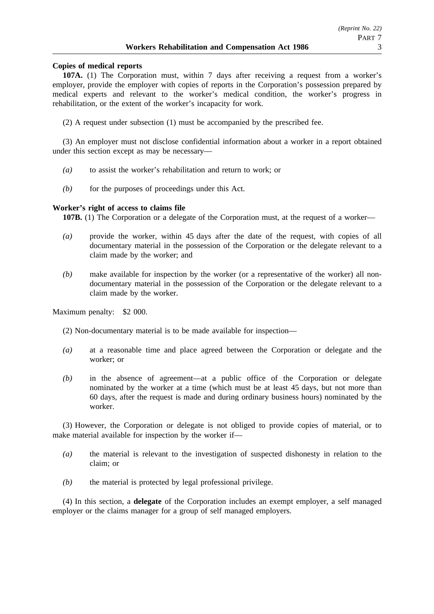## **Copies of medical reports**

**107A.** (1) The Corporation must, within 7 days after receiving a request from a worker's employer, provide the employer with copies of reports in the Corporation's possession prepared by medical experts and relevant to the worker's medical condition, the worker's progress in rehabilitation, or the extent of the worker's incapacity for work.

(2) A request under subsection (1) must be accompanied by the prescribed fee.

(3) An employer must not disclose confidential information about a worker in a report obtained under this section except as may be necessary—

- *(a)* to assist the worker's rehabilitation and return to work; or
- *(b)* for the purposes of proceedings under this Act.

## **Worker's right of access to claims file**

**107B.** (1) The Corporation or a delegate of the Corporation must, at the request of a worker—

- *(a)* provide the worker, within 45 days after the date of the request, with copies of all documentary material in the possession of the Corporation or the delegate relevant to a claim made by the worker; and
- *(b)* make available for inspection by the worker (or a representative of the worker) all nondocumentary material in the possession of the Corporation or the delegate relevant to a claim made by the worker.

Maximum penalty: \$2 000.

(2) Non-documentary material is to be made available for inspection—

- *(a)* at a reasonable time and place agreed between the Corporation or delegate and the worker; or
- *(b)* in the absence of agreement—at a public office of the Corporation or delegate nominated by the worker at a time (which must be at least 45 days, but not more than 60 days, after the request is made and during ordinary business hours) nominated by the worker.

(3) However, the Corporation or delegate is not obliged to provide copies of material, or to make material available for inspection by the worker if—

- *(a)* the material is relevant to the investigation of suspected dishonesty in relation to the claim; or
- *(b)* the material is protected by legal professional privilege.

(4) In this section, a **delegate** of the Corporation includes an exempt employer, a self managed employer or the claims manager for a group of self managed employers.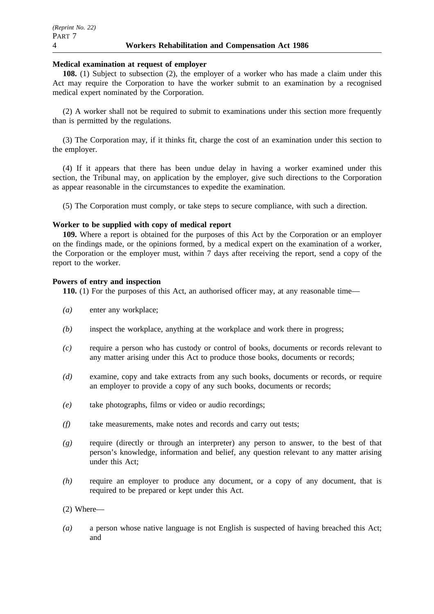#### **Medical examination at request of employer**

**108.** (1) Subject to subsection (2), the employer of a worker who has made a claim under this Act may require the Corporation to have the worker submit to an examination by a recognised medical expert nominated by the Corporation.

(2) A worker shall not be required to submit to examinations under this section more frequently than is permitted by the regulations.

(3) The Corporation may, if it thinks fit, charge the cost of an examination under this section to the employer.

(4) If it appears that there has been undue delay in having a worker examined under this section, the Tribunal may, on application by the employer, give such directions to the Corporation as appear reasonable in the circumstances to expedite the examination.

(5) The Corporation must comply, or take steps to secure compliance, with such a direction.

### **Worker to be supplied with copy of medical report**

**109.** Where a report is obtained for the purposes of this Act by the Corporation or an employer on the findings made, or the opinions formed, by a medical expert on the examination of a worker, the Corporation or the employer must, within 7 days after receiving the report, send a copy of the report to the worker.

### **Powers of entry and inspection**

**110.** (1) For the purposes of this Act, an authorised officer may, at any reasonable time—

- *(a)* enter any workplace;
- *(b)* inspect the workplace, anything at the workplace and work there in progress;
- *(c)* require a person who has custody or control of books, documents or records relevant to any matter arising under this Act to produce those books, documents or records;
- *(d)* examine, copy and take extracts from any such books, documents or records, or require an employer to provide a copy of any such books, documents or records;
- *(e)* take photographs, films or video or audio recordings;
- *(f)* take measurements, make notes and records and carry out tests;
- *(g)* require (directly or through an interpreter) any person to answer, to the best of that person's knowledge, information and belief, any question relevant to any matter arising under this Act;
- *(h)* require an employer to produce any document, or a copy of any document, that is required to be prepared or kept under this Act.
- (2) Where—
- *(a)* a person whose native language is not English is suspected of having breached this Act; and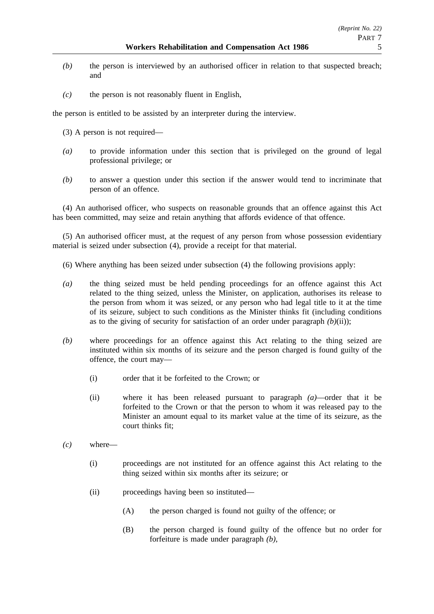- *(b)* the person is interviewed by an authorised officer in relation to that suspected breach; and
- *(c)* the person is not reasonably fluent in English,

the person is entitled to be assisted by an interpreter during the interview.

- (3) A person is not required—
- *(a)* to provide information under this section that is privileged on the ground of legal professional privilege; or
- *(b)* to answer a question under this section if the answer would tend to incriminate that person of an offence.

(4) An authorised officer, who suspects on reasonable grounds that an offence against this Act has been committed, may seize and retain anything that affords evidence of that offence.

(5) An authorised officer must, at the request of any person from whose possession evidentiary material is seized under subsection (4), provide a receipt for that material.

- (6) Where anything has been seized under subsection (4) the following provisions apply:
- *(a)* the thing seized must be held pending proceedings for an offence against this Act related to the thing seized, unless the Minister, on application, authorises its release to the person from whom it was seized, or any person who had legal title to it at the time of its seizure, subject to such conditions as the Minister thinks fit (including conditions as to the giving of security for satisfaction of an order under paragraph  $(b)(ii)$ ;
- *(b)* where proceedings for an offence against this Act relating to the thing seized are instituted within six months of its seizure and the person charged is found guilty of the offence, the court may—
	- (i) order that it be forfeited to the Crown; or
	- (ii) where it has been released pursuant to paragraph *(a)*—order that it be forfeited to the Crown or that the person to whom it was released pay to the Minister an amount equal to its market value at the time of its seizure, as the court thinks fit;
- *(c)* where—
	- (i) proceedings are not instituted for an offence against this Act relating to the thing seized within six months after its seizure; or
	- (ii) proceedings having been so instituted—
		- (A) the person charged is found not guilty of the offence; or
		- (B) the person charged is found guilty of the offence but no order for forfeiture is made under paragraph *(b)*,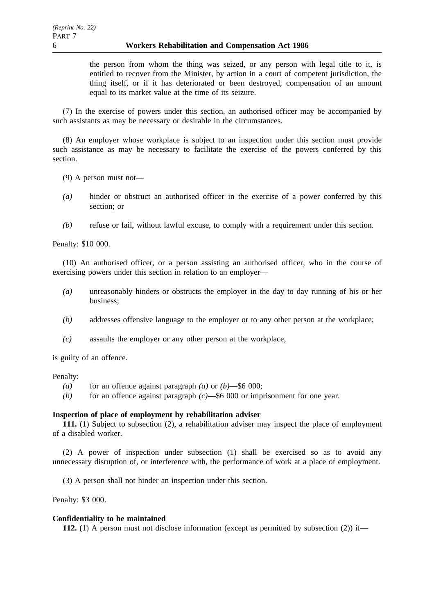the person from whom the thing was seized, or any person with legal title to it, is entitled to recover from the Minister, by action in a court of competent jurisdiction, the thing itself, or if it has deteriorated or been destroyed, compensation of an amount equal to its market value at the time of its seizure.

(7) In the exercise of powers under this section, an authorised officer may be accompanied by such assistants as may be necessary or desirable in the circumstances.

(8) An employer whose workplace is subject to an inspection under this section must provide such assistance as may be necessary to facilitate the exercise of the powers conferred by this section.

(9) A person must not—

- *(a)* hinder or obstruct an authorised officer in the exercise of a power conferred by this section; or
- *(b)* refuse or fail, without lawful excuse, to comply with a requirement under this section.

Penalty: \$10 000.

(10) An authorised officer, or a person assisting an authorised officer, who in the course of exercising powers under this section in relation to an employer—

- *(a)* unreasonably hinders or obstructs the employer in the day to day running of his or her business;
- *(b)* addresses offensive language to the employer or to any other person at the workplace;
- *(c)* assaults the employer or any other person at the workplace,

is guilty of an offence.

#### Penalty:

- *(a)* for an offence against paragraph *(a)* or *(b)*—\$6 000;
- *(b)* for an offence against paragraph *(c)*—\$6 000 or imprisonment for one year.

## **Inspection of place of employment by rehabilitation adviser**

**111.** (1) Subject to subsection (2), a rehabilitation adviser may inspect the place of employment of a disabled worker.

(2) A power of inspection under subsection (1) shall be exercised so as to avoid any unnecessary disruption of, or interference with, the performance of work at a place of employment.

(3) A person shall not hinder an inspection under this section.

Penalty: \$3 000.

#### **Confidentiality to be maintained**

**112.** (1) A person must not disclose information (except as permitted by subsection (2)) if—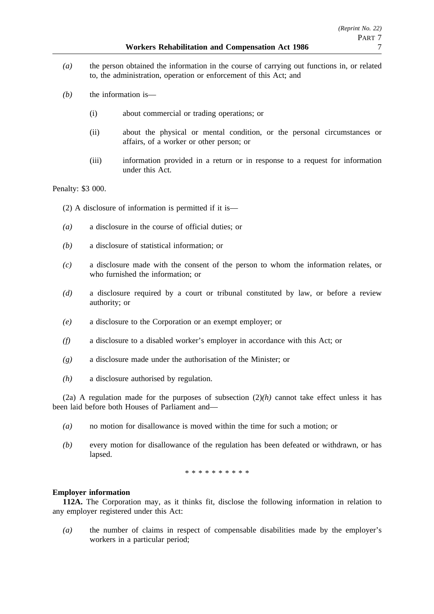- *(a)* the person obtained the information in the course of carrying out functions in, or related to, the administration, operation or enforcement of this Act; and
- *(b)* the information is—
	- (i) about commercial or trading operations; or
	- (ii) about the physical or mental condition, or the personal circumstances or affairs, of a worker or other person; or
	- (iii) information provided in a return or in response to a request for information under this Act.

#### Penalty: \$3 000.

(2) A disclosure of information is permitted if it is—

- *(a)* a disclosure in the course of official duties; or
- *(b)* a disclosure of statistical information; or
- *(c)* a disclosure made with the consent of the person to whom the information relates, or who furnished the information; or
- *(d)* a disclosure required by a court or tribunal constituted by law, or before a review authority; or
- *(e)* a disclosure to the Corporation or an exempt employer; or
- *(f)* a disclosure to a disabled worker's employer in accordance with this Act; or
- *(g)* a disclosure made under the authorisation of the Minister; or
- *(h)* a disclosure authorised by regulation.

(2a) A regulation made for the purposes of subsection  $(2)(h)$  cannot take effect unless it has been laid before both Houses of Parliament and—

- *(a)* no motion for disallowance is moved within the time for such a motion; or
- *(b)* every motion for disallowance of the regulation has been defeated or withdrawn, or has lapsed.

\*\*\*\*\*\*\*\*\*\*

#### **Employer information**

**112A.** The Corporation may, as it thinks fit, disclose the following information in relation to any employer registered under this Act:

*(a)* the number of claims in respect of compensable disabilities made by the employer's workers in a particular period;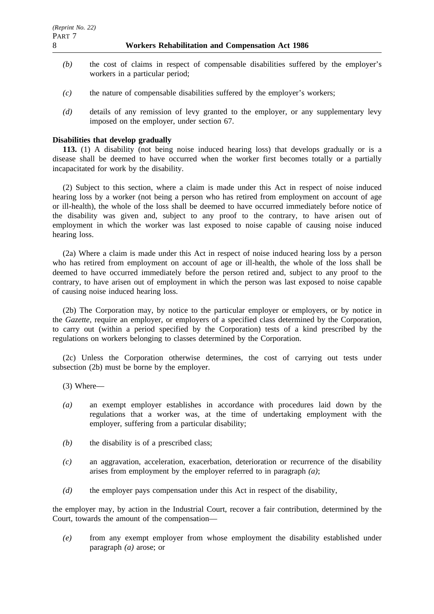- *(b)* the cost of claims in respect of compensable disabilities suffered by the employer's workers in a particular period;
- *(c)* the nature of compensable disabilities suffered by the employer's workers;
- *(d)* details of any remission of levy granted to the employer, or any supplementary levy imposed on the employer, under section 67.

# **Disabilities that develop gradually**

**113.** (1) A disability (not being noise induced hearing loss) that develops gradually or is a disease shall be deemed to have occurred when the worker first becomes totally or a partially incapacitated for work by the disability.

(2) Subject to this section, where a claim is made under this Act in respect of noise induced hearing loss by a worker (not being a person who has retired from employment on account of age or ill-health), the whole of the loss shall be deemed to have occurred immediately before notice of the disability was given and, subject to any proof to the contrary, to have arisen out of employment in which the worker was last exposed to noise capable of causing noise induced hearing loss.

(2a) Where a claim is made under this Act in respect of noise induced hearing loss by a person who has retired from employment on account of age or ill-health, the whole of the loss shall be deemed to have occurred immediately before the person retired and, subject to any proof to the contrary, to have arisen out of employment in which the person was last exposed to noise capable of causing noise induced hearing loss.

(2b) The Corporation may, by notice to the particular employer or employers, or by notice in the *Gazette*, require an employer, or employers of a specified class determined by the Corporation, to carry out (within a period specified by the Corporation) tests of a kind prescribed by the regulations on workers belonging to classes determined by the Corporation.

(2c) Unless the Corporation otherwise determines, the cost of carrying out tests under subsection (2b) must be borne by the employer.

- (3) Where—
- *(a)* an exempt employer establishes in accordance with procedures laid down by the regulations that a worker was, at the time of undertaking employment with the employer, suffering from a particular disability;
- *(b)* the disability is of a prescribed class;
- *(c)* an aggravation, acceleration, exacerbation, deterioration or recurrence of the disability arises from employment by the employer referred to in paragraph *(a)*;
- *(d)* the employer pays compensation under this Act in respect of the disability,

the employer may, by action in the Industrial Court, recover a fair contribution, determined by the Court, towards the amount of the compensation—

*(e)* from any exempt employer from whose employment the disability established under paragraph *(a)* arose; or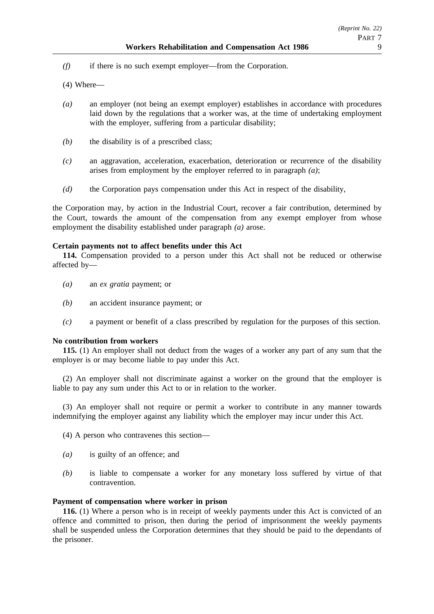- *(f)* if there is no such exempt employer—from the Corporation.
- (4) Where—
- *(a)* an employer (not being an exempt employer) establishes in accordance with procedures laid down by the regulations that a worker was, at the time of undertaking employment with the employer, suffering from a particular disability;
- *(b)* the disability is of a prescribed class;
- *(c)* an aggravation, acceleration, exacerbation, deterioration or recurrence of the disability arises from employment by the employer referred to in paragraph *(a)*;
- *(d)* the Corporation pays compensation under this Act in respect of the disability,

the Corporation may, by action in the Industrial Court, recover a fair contribution, determined by the Court, towards the amount of the compensation from any exempt employer from whose employment the disability established under paragraph *(a)* arose.

# **Certain payments not to affect benefits under this Act**

**114.** Compensation provided to a person under this Act shall not be reduced or otherwise affected by—

- *(a)* an *ex gratia* payment; or
- *(b)* an accident insurance payment; or
- *(c)* a payment or benefit of a class prescribed by regulation for the purposes of this section.

# **No contribution from workers**

**115.** (1) An employer shall not deduct from the wages of a worker any part of any sum that the employer is or may become liable to pay under this Act.

(2) An employer shall not discriminate against a worker on the ground that the employer is liable to pay any sum under this Act to or in relation to the worker.

(3) An employer shall not require or permit a worker to contribute in any manner towards indemnifying the employer against any liability which the employer may incur under this Act.

(4) A person who contravenes this section—

- *(a)* is guilty of an offence; and
- *(b)* is liable to compensate a worker for any monetary loss suffered by virtue of that contravention.

# **Payment of compensation where worker in prison**

**116.** (1) Where a person who is in receipt of weekly payments under this Act is convicted of an offence and committed to prison, then during the period of imprisonment the weekly payments shall be suspended unless the Corporation determines that they should be paid to the dependants of the prisoner.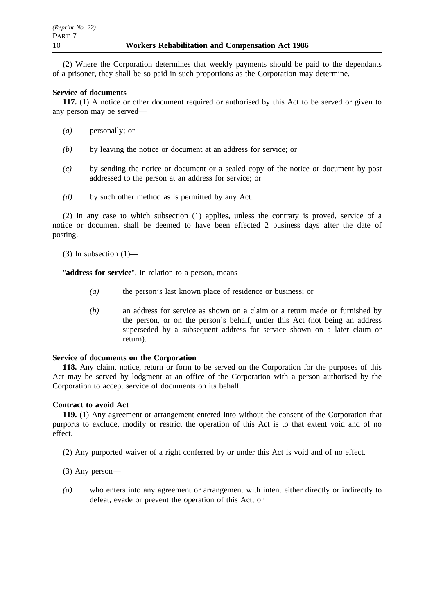(2) Where the Corporation determines that weekly payments should be paid to the dependants of a prisoner, they shall be so paid in such proportions as the Corporation may determine.

# **Service of documents**

**117.** (1) A notice or other document required or authorised by this Act to be served or given to any person may be served—

- *(a)* personally; or
- *(b)* by leaving the notice or document at an address for service; or
- *(c)* by sending the notice or document or a sealed copy of the notice or document by post addressed to the person at an address for service; or
- *(d)* by such other method as is permitted by any Act.

(2) In any case to which subsection (1) applies, unless the contrary is proved, service of a notice or document shall be deemed to have been effected 2 business days after the date of posting.

(3) In subsection  $(1)$ —

"**address for service**", in relation to a person, means—

- *(a)* the person's last known place of residence or business; or
- *(b)* an address for service as shown on a claim or a return made or furnished by the person, or on the person's behalf, under this Act (not being an address superseded by a subsequent address for service shown on a later claim or return).

# **Service of documents on the Corporation**

**118.** Any claim, notice, return or form to be served on the Corporation for the purposes of this Act may be served by lodgment at an office of the Corporation with a person authorised by the Corporation to accept service of documents on its behalf.

# **Contract to avoid Act**

**119.** (1) Any agreement or arrangement entered into without the consent of the Corporation that purports to exclude, modify or restrict the operation of this Act is to that extent void and of no effect.

- (2) Any purported waiver of a right conferred by or under this Act is void and of no effect.
- (3) Any person—
- *(a)* who enters into any agreement or arrangement with intent either directly or indirectly to defeat, evade or prevent the operation of this Act; or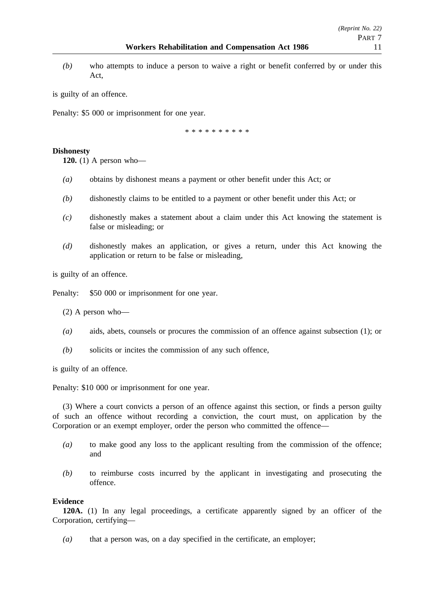*(b)* who attempts to induce a person to waive a right or benefit conferred by or under this Act,

is guilty of an offence.

Penalty: \$5 000 or imprisonment for one year.

\*\*\*\*\*\*\*\*\*\*

# **Dishonesty**

**120.** (1) A person who—

- *(a)* obtains by dishonest means a payment or other benefit under this Act; or
- *(b)* dishonestly claims to be entitled to a payment or other benefit under this Act; or
- *(c)* dishonestly makes a statement about a claim under this Act knowing the statement is false or misleading; or
- *(d)* dishonestly makes an application, or gives a return, under this Act knowing the application or return to be false or misleading,

is guilty of an offence.

Penalty: \$50 000 or imprisonment for one year.

(2) A person who—

- *(a)* aids, abets, counsels or procures the commission of an offence against subsection (1); or
- *(b)* solicits or incites the commission of any such offence,

is guilty of an offence.

Penalty: \$10 000 or imprisonment for one year.

(3) Where a court convicts a person of an offence against this section, or finds a person guilty of such an offence without recording a conviction, the court must, on application by the Corporation or an exempt employer, order the person who committed the offence—

- *(a)* to make good any loss to the applicant resulting from the commission of the offence; and
- *(b)* to reimburse costs incurred by the applicant in investigating and prosecuting the offence.

# **Evidence**

**120A.** (1) In any legal proceedings, a certificate apparently signed by an officer of the Corporation, certifying—

*(a)* that a person was, on a day specified in the certificate, an employer;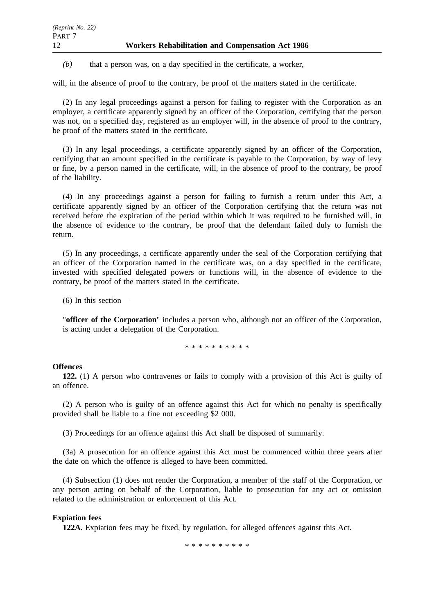*(b)* that a person was, on a day specified in the certificate, a worker,

will, in the absence of proof to the contrary, be proof of the matters stated in the certificate.

(2) In any legal proceedings against a person for failing to register with the Corporation as an employer, a certificate apparently signed by an officer of the Corporation, certifying that the person was not, on a specified day, registered as an employer will, in the absence of proof to the contrary, be proof of the matters stated in the certificate.

(3) In any legal proceedings, a certificate apparently signed by an officer of the Corporation, certifying that an amount specified in the certificate is payable to the Corporation, by way of levy or fine, by a person named in the certificate, will, in the absence of proof to the contrary, be proof of the liability.

(4) In any proceedings against a person for failing to furnish a return under this Act, a certificate apparently signed by an officer of the Corporation certifying that the return was not received before the expiration of the period within which it was required to be furnished will, in the absence of evidence to the contrary, be proof that the defendant failed duly to furnish the return.

(5) In any proceedings, a certificate apparently under the seal of the Corporation certifying that an officer of the Corporation named in the certificate was, on a day specified in the certificate, invested with specified delegated powers or functions will, in the absence of evidence to the contrary, be proof of the matters stated in the certificate.

(6) In this section—

"**officer of the Corporation**" includes a person who, although not an officer of the Corporation, is acting under a delegation of the Corporation.

\*\*\*\*\*\*\*\*\*\*

# **Offences**

**122.** (1) A person who contravenes or fails to comply with a provision of this Act is guilty of an offence.

(2) A person who is guilty of an offence against this Act for which no penalty is specifically provided shall be liable to a fine not exceeding \$2 000.

(3) Proceedings for an offence against this Act shall be disposed of summarily.

(3a) A prosecution for an offence against this Act must be commenced within three years after the date on which the offence is alleged to have been committed.

(4) Subsection (1) does not render the Corporation, a member of the staff of the Corporation, or any person acting on behalf of the Corporation, liable to prosecution for any act or omission related to the administration or enforcement of this Act.

# **Expiation fees**

**122A.** Expiation fees may be fixed, by regulation, for alleged offences against this Act.

\*\*\*\*\*\*\*\*\*\*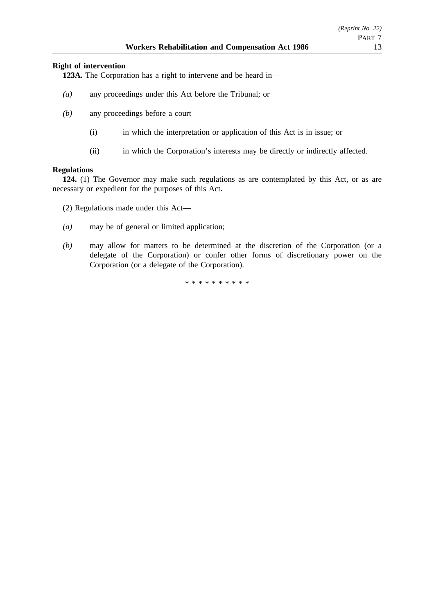# **Right of intervention**

**123A.** The Corporation has a right to intervene and be heard in—

- *(a)* any proceedings under this Act before the Tribunal; or
- *(b)* any proceedings before a court—
	- (i) in which the interpretation or application of this Act is in issue; or
	- (ii) in which the Corporation's interests may be directly or indirectly affected.

# **Regulations**

**124.** (1) The Governor may make such regulations as are contemplated by this Act, or as are necessary or expedient for the purposes of this Act.

- (2) Regulations made under this Act—
- *(a)* may be of general or limited application;
- *(b)* may allow for matters to be determined at the discretion of the Corporation (or a delegate of the Corporation) or confer other forms of discretionary power on the Corporation (or a delegate of the Corporation).

\*\*\*\*\*\*\*\*\*\*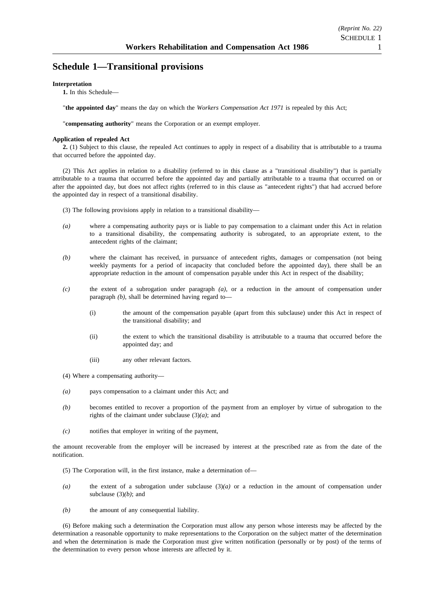# **Schedule 1—Transitional provisions**

### **Interpretation**

**1.** In this Schedule—

"**the appointed day**" means the day on which the *Workers Compensation Act 1971* is repealed by this Act;

"**compensating authority**" means the Corporation or an exempt employer.

### **Application of repealed Act**

**2.** (1) Subject to this clause, the repealed Act continues to apply in respect of a disability that is attributable to a trauma that occurred before the appointed day.

(2) This Act applies in relation to a disability (referred to in this clause as a "transitional disability") that is partially attributable to a trauma that occurred before the appointed day and partially attributable to a trauma that occurred on or after the appointed day, but does not affect rights (referred to in this clause as "antecedent rights") that had accrued before the appointed day in respect of a transitional disability.

- (3) The following provisions apply in relation to a transitional disability—
- *(a)* where a compensating authority pays or is liable to pay compensation to a claimant under this Act in relation to a transitional disability, the compensating authority is subrogated, to an appropriate extent, to the antecedent rights of the claimant;
- *(b)* where the claimant has received, in pursuance of antecedent rights, damages or compensation (not being weekly payments for a period of incapacity that concluded before the appointed day), there shall be an appropriate reduction in the amount of compensation payable under this Act in respect of the disability;
- *(c)* the extent of a subrogation under paragraph *(a)*, or a reduction in the amount of compensation under paragraph *(b)*, shall be determined having regard to—
	- (i) the amount of the compensation payable (apart from this subclause) under this Act in respect of the transitional disability; and
	- (ii) the extent to which the transitional disability is attributable to a trauma that occurred before the appointed day; and
	- (iii) any other relevant factors.
- (4) Where a compensating authority—
- *(a)* pays compensation to a claimant under this Act; and
- *(b)* becomes entitled to recover a proportion of the payment from an employer by virtue of subrogation to the rights of the claimant under subclause  $(3)(a)$ ; and
- *(c)* notifies that employer in writing of the payment,

the amount recoverable from the employer will be increased by interest at the prescribed rate as from the date of the notification.

- (5) The Corporation will, in the first instance, make a determination of—
- *(a)* the extent of a subrogation under subclause (3)*(a)* or a reduction in the amount of compensation under subclause (3)*(b)*; and
- *(b)* the amount of any consequential liability.

(6) Before making such a determination the Corporation must allow any person whose interests may be affected by the determination a reasonable opportunity to make representations to the Corporation on the subject matter of the determination and when the determination is made the Corporation must give written notification (personally or by post) of the terms of the determination to every person whose interests are affected by it.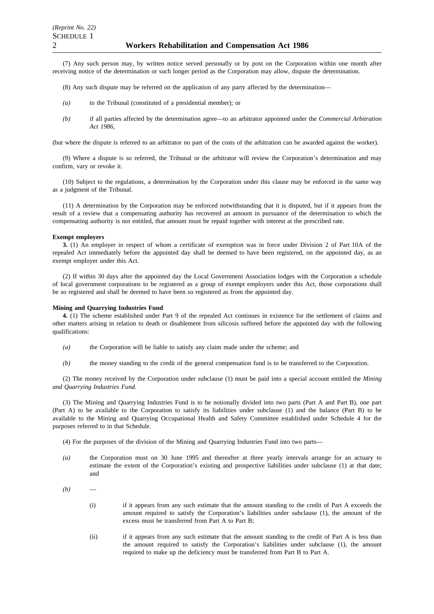(7) Any such person may, by written notice served personally or by post on the Corporation within one month after receiving notice of the determination or such longer period as the Corporation may allow, dispute the determination.

- (8) Any such dispute may be referred on the application of any party affected by the determination—
- *(a)* to the Tribunal (constituted of a presidential member); or
- *(b)* if all parties affected by the determination agree—to an arbitrator appointed under the *Commercial Arbitration Act 1986*,

(but where the dispute is referred to an arbitrator no part of the costs of the arbitration can be awarded against the worker).

(9) Where a dispute is so referred, the Tribunal or the arbitrator will review the Corporation's determination and may confirm, vary or revoke it.

(10) Subject to the regulations, a determination by the Corporation under this clause may be enforced in the same way as a judgment of the Tribunal.

(11) A determination by the Corporation may be enforced notwithstanding that it is disputed, but if it appears from the result of a review that a compensating authority has recovered an amount in pursuance of the determination to which the compensating authority is not entitled, that amount must be repaid together with interest at the prescribed rate.

### **Exempt employers**

**3.** (1) An employer in respect of whom a certificate of exemption was in force under Division 2 of Part 10A of the repealed Act immediately before the appointed day shall be deemed to have been registered, on the appointed day, as an exempt employer under this Act.

(2) If within 30 days after the appointed day the Local Government Association lodges with the Corporation a schedule of local government corporations to be registered as a group of exempt employers under this Act, those corporations shall be so registered and shall be deemed to have been so registered as from the appointed day.

### **Mining and Quarrying Industries Fund**

**4.** (1) The scheme established under Part 9 of the repealed Act continues in existence for the settlement of claims and other matters arising in relation to death or disablement from silicosis suffered before the appointed day with the following qualifications:

- *(a)* the Corporation will be liable to satisfy any claim made under the scheme; and
- *(b)* the money standing to the credit of the general compensation fund is to be transferred to the Corporation.

(2) The money received by the Corporation under subclause (1) must be paid into a special account entitled the *Mining and Quarrying Industries Fund*.

(3) The Mining and Quarrying Industries Fund is to be notionally divided into two parts (Part A and Part B), one part (Part A) to be available to the Corporation to satisfy its liabilities under subclause (1) and the balance (Part B) to be available to the Mining and Quarrying Occupational Health and Safety Committee established under Schedule 4 for the purposes referred to in that Schedule.

(4) For the purposes of the division of the Mining and Quarrying Industries Fund into two parts—

- *(a)* the Corporation must on 30 June 1995 and thereafter at three yearly intervals arrange for an actuary to estimate the extent of the Corporation's existing and prospective liabilities under subclause (1) at that date; and
- $(b)$ 
	- (i) if it appears from any such estimate that the amount standing to the credit of Part A exceeds the amount required to satisfy the Corporation's liabilities under subclause (1), the amount of the excess must be transferred from Part A to Part B;
	- (ii) if it appears from any such estimate that the amount standing to the credit of Part A is less than the amount required to satisfy the Corporation's liabilities under subclause (1), the amount required to make up the deficiency must be transferred from Part B to Part A.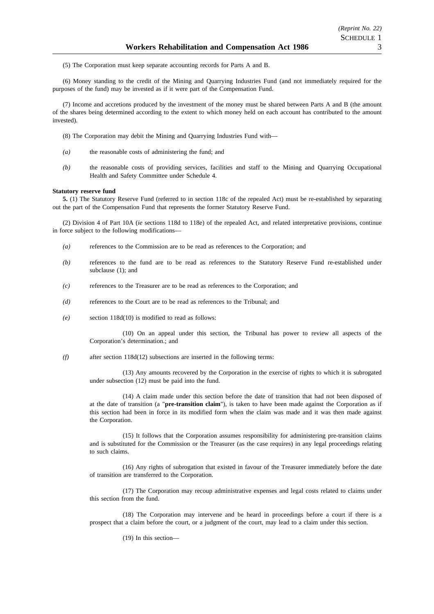(5) The Corporation must keep separate accounting records for Parts A and B.

(6) Money standing to the credit of the Mining and Quarrying Industries Fund (and not immediately required for the purposes of the fund) may be invested as if it were part of the Compensation Fund.

(7) Income and accretions produced by the investment of the money must be shared between Parts A and B (the amount of the shares being determined according to the extent to which money held on each account has contributed to the amount invested).

- (8) The Corporation may debit the Mining and Quarrying Industries Fund with—
- *(a)* the reasonable costs of administering the fund; and
- *(b)* the reasonable costs of providing services, facilities and staff to the Mining and Quarrying Occupational Health and Safety Committee under Schedule 4.

### **Statutory reserve fund**

**5.** (1) The Statutory Reserve Fund (referred to in section 118c of the repealed Act) must be re-established by separating out the part of the Compensation Fund that represents the former Statutory Reserve Fund.

(2) Division 4 of Part 10A (*ie* sections 118d to 118e) of the repealed Act, and related interpretative provisions, continue in force subject to the following modifications—

- *(a)* references to the Commission are to be read as references to the Corporation; and
- *(b)* references to the fund are to be read as references to the Statutory Reserve Fund re-established under subclause (1); and
- *(c)* references to the Treasurer are to be read as references to the Corporation; and
- *(d)* references to the Court are to be read as references to the Tribunal; and
- *(e)* section 118d(10) is modified to read as follows:

(10) On an appeal under this section, the Tribunal has power to review all aspects of the Corporation's determination.; and

*(f)* after section 118d(12) subsections are inserted in the following terms:

(13) Any amounts recovered by the Corporation in the exercise of rights to which it is subrogated under subsection (12) must be paid into the fund.

(14) A claim made under this section before the date of transition that had not been disposed of at the date of transition (a "**pre-transition claim**"), is taken to have been made against the Corporation as if this section had been in force in its modified form when the claim was made and it was then made against the Corporation.

(15) It follows that the Corporation assumes responsibility for administering pre-transition claims and is substituted for the Commission or the Treasurer (as the case requires) in any legal proceedings relating to such claims.

(16) Any rights of subrogation that existed in favour of the Treasurer immediately before the date of transition are transferred to the Corporation.

(17) The Corporation may recoup administrative expenses and legal costs related to claims under this section from the fund.

(18) The Corporation may intervene and be heard in proceedings before a court if there is a prospect that a claim before the court, or a judgment of the court, may lead to a claim under this section.

(19) In this section—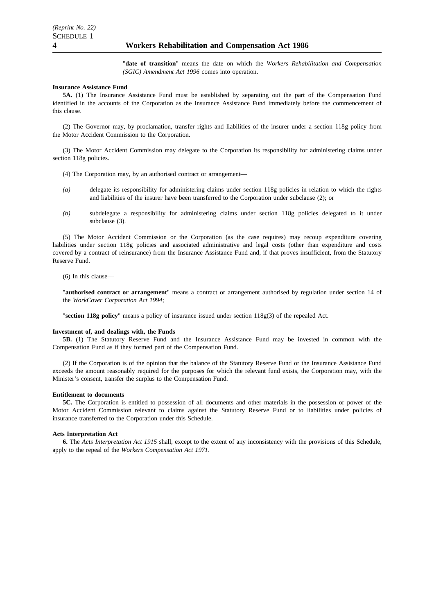"**date of transition**" means the date on which the *Workers Rehabilitation and Compensation (SGIC) Amendment Act 1996* comes into operation.

#### **Insurance Assistance Fund**

**5A.** (1) The Insurance Assistance Fund must be established by separating out the part of the Compensation Fund identified in the accounts of the Corporation as the Insurance Assistance Fund immediately before the commencement of this clause.

(2) The Governor may, by proclamation, transfer rights and liabilities of the insurer under a section 118g policy from the Motor Accident Commission to the Corporation.

(3) The Motor Accident Commission may delegate to the Corporation its responsibility for administering claims under section 118g policies.

- (4) The Corporation may, by an authorised contract or arrangement—
- *(a)* delegate its responsibility for administering claims under section 118g policies in relation to which the rights and liabilities of the insurer have been transferred to the Corporation under subclause (2); or
- *(b)* subdelegate a responsibility for administering claims under section 118g policies delegated to it under subclause (3).

(5) The Motor Accident Commission or the Corporation (as the case requires) may recoup expenditure covering liabilities under section 118g policies and associated administrative and legal costs (other than expenditure and costs covered by a contract of reinsurance) from the Insurance Assistance Fund and, if that proves insufficient, from the Statutory Reserve Fund.

(6) In this clause—

"**authorised contract or arrangement**" means a contract or arrangement authorised by regulation under section 14 of the *WorkCover Corporation Act 1994*;

"**section 118g policy**" means a policy of insurance issued under section 118g(3) of the repealed Act.

### **Investment of, and dealings with, the Funds**

**5B.** (1) The Statutory Reserve Fund and the Insurance Assistance Fund may be invested in common with the Compensation Fund as if they formed part of the Compensation Fund.

(2) If the Corporation is of the opinion that the balance of the Statutory Reserve Fund or the Insurance Assistance Fund exceeds the amount reasonably required for the purposes for which the relevant fund exists, the Corporation may, with the Minister's consent, transfer the surplus to the Compensation Fund.

### **Entitlement to documents**

**5C.** The Corporation is entitled to possession of all documents and other materials in the possession or power of the Motor Accident Commission relevant to claims against the Statutory Reserve Fund or to liabilities under policies of insurance transferred to the Corporation under this Schedule.

### **Acts Interpretation Act**

**6.** The *Acts Interpretation Act 1915* shall, except to the extent of any inconsistency with the provisions of this Schedule, apply to the repeal of the *Workers Compensation Act 1971*.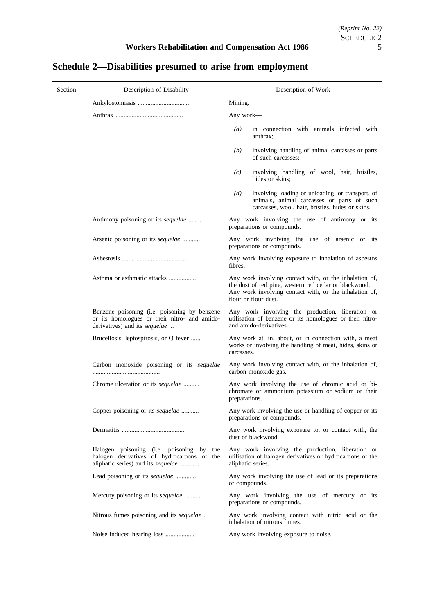| Section | Description of Disability                                                                                                     | Description of Work                                                                                                                                                                               |
|---------|-------------------------------------------------------------------------------------------------------------------------------|---------------------------------------------------------------------------------------------------------------------------------------------------------------------------------------------------|
|         |                                                                                                                               | Mining.                                                                                                                                                                                           |
|         |                                                                                                                               | Any work—                                                                                                                                                                                         |
|         |                                                                                                                               | $\left(a\right)$<br>in connection with animals infected with<br>anthrax;                                                                                                                          |
|         |                                                                                                                               | involving handling of animal carcasses or parts<br>(b)<br>of such carcasses:                                                                                                                      |
|         |                                                                                                                               | involving handling of wool, hair, bristles,<br>(c)<br>hides or skins;                                                                                                                             |
|         |                                                                                                                               | involving loading or unloading, or transport, of<br>(d)<br>animals, animal carcasses or parts of such<br>carcasses, wool, hair, bristles, hides or skins.                                         |
|         | Antimony poisoning or its <i>sequelae</i>                                                                                     | Any work involving the use of antimony or its<br>preparations or compounds.                                                                                                                       |
|         | Arsenic poisoning or its <i>sequelae</i>                                                                                      | Any work involving the use of arsenic or its<br>preparations or compounds.                                                                                                                        |
|         |                                                                                                                               | Any work involving exposure to inhalation of asbestos<br>fibres.                                                                                                                                  |
|         | Asthma or asthmatic attacks                                                                                                   | Any work involving contact with, or the inhalation of,<br>the dust of red pine, western red cedar or blackwood.<br>Any work involving contact with, or the inhalation of,<br>flour or flour dust. |
|         | Benzene poisoning (i.e. poisoning by benzene<br>or its homologues or their nitro- and amido-<br>derivatives) and its sequelae | Any work involving the production, liberation or<br>utilisation of benzene or its homologues or their nitro-<br>and amido-derivatives.                                                            |
|         | Brucellosis, leptospirosis, or Q fever                                                                                        | Any work at, in, about, or in connection with, a meat<br>works or involving the handling of meat, hides, skins or<br>carcasses.                                                                   |
|         | Carbon monoxide poisoning or its sequelae                                                                                     | Any work involving contact with, or the inhalation of,<br>carbon monoxide gas.                                                                                                                    |
|         | Chrome ulceration or its <i>sequelae</i>                                                                                      | Any work involving the use of chromic acid or bi-<br>chromate or ammonium potassium or sodium or their<br>preparations.                                                                           |
|         | Copper poisoning or its sequelae                                                                                              | Any work involving the use or handling of copper or its<br>preparations or compounds.                                                                                                             |
|         |                                                                                                                               | Any work involving exposure to, or contact with, the<br>dust of blackwood.                                                                                                                        |
|         | Halogen poisoning (i.e. poisoning by the<br>halogen derivatives of hydrocarbons of the<br>aliphatic series) and its sequelae  | Any work involving the production, liberation or<br>utilisation of halogen derivatives or hydrocarbons of the<br>aliphatic series.                                                                |
|         | Lead poisoning or its sequelae                                                                                                | Any work involving the use of lead or its preparations<br>or compounds.                                                                                                                           |
|         | Mercury poisoning or its sequelae                                                                                             | Any work involving the use of mercury or its<br>preparations or compounds.                                                                                                                        |
|         | Nitrous fumes poisoning and its sequelae.                                                                                     | Any work involving contact with nitric acid or the<br>inhalation of nitrous fumes.                                                                                                                |
|         |                                                                                                                               | Any work involving exposure to noise.                                                                                                                                                             |

# **Schedule 2—Disabilities presumed to arise from employment**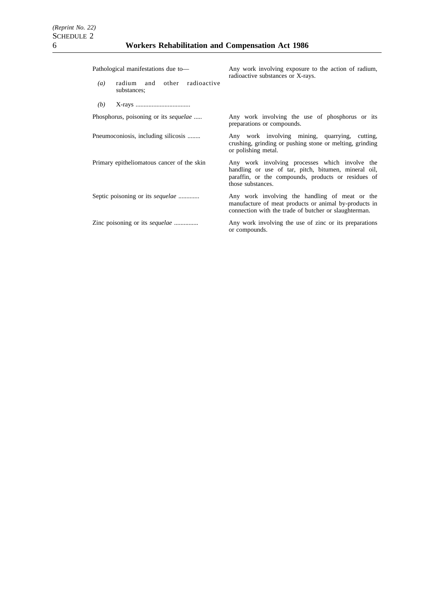| Pathological manifestations due to-                                | Any work involving exposure to the action of radium,<br>radioactive substances or X-rays.                                                                                          |
|--------------------------------------------------------------------|------------------------------------------------------------------------------------------------------------------------------------------------------------------------------------|
| other radioactive<br>radium and<br>$\left(a\right)$<br>substances; |                                                                                                                                                                                    |
| (b)                                                                |                                                                                                                                                                                    |
| Phosphorus, poisoning or its <i>sequelae</i>                       | Any work involving the use of phosphorus or its<br>preparations or compounds.                                                                                                      |
| Pneumoconiosis, including silicosis                                | Any work involving mining, quarrying, cutting,<br>crushing, grinding or pushing stone or melting, grinding<br>or polishing metal.                                                  |
| Primary epitheliomatous cancer of the skin                         | Any work involving processes which involve the<br>handling or use of tar, pitch, bitumen, mineral oil,<br>paraffin, or the compounds, products or residues of<br>those substances. |
| Septic poisoning or its <i>sequelae</i>                            | Any work involving the handling of meat or the<br>manufacture of meat products or animal by-products in<br>connection with the trade of butcher or slaughterman.                   |
| Zinc poisoning or its <i>sequelae</i>                              | Any work involving the use of zinc or its preparations<br>or compounds.                                                                                                            |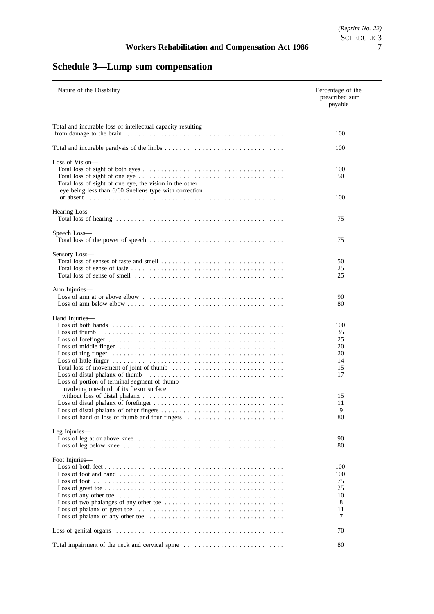# **Schedule 3—Lump sum compensation**

| Nature of the Disability                                                                                          | Percentage of the<br>prescribed sum<br>payable |
|-------------------------------------------------------------------------------------------------------------------|------------------------------------------------|
| Total and incurable loss of intellectual capacity resulting                                                       |                                                |
|                                                                                                                   | 100                                            |
|                                                                                                                   | 100                                            |
| Loss of Vision-                                                                                                   |                                                |
| Total loss of sight of one eye, the vision in the other<br>eye being less than 6/60 Snellens type with correction | 100<br>50<br>100                               |
|                                                                                                                   |                                                |
| Hearing Loss-                                                                                                     | 75                                             |
| Speech Loss-                                                                                                      |                                                |
|                                                                                                                   | 75                                             |
| Sensory Loss-                                                                                                     |                                                |
|                                                                                                                   | 50                                             |
|                                                                                                                   | 25<br>25                                       |
| Arm Injuries-                                                                                                     |                                                |
|                                                                                                                   | 90<br>80                                       |
| Hand Injuries—                                                                                                    |                                                |
|                                                                                                                   | 100                                            |
|                                                                                                                   | 35                                             |
|                                                                                                                   | 25<br>20                                       |
|                                                                                                                   | 20                                             |
|                                                                                                                   | 14                                             |
|                                                                                                                   | 15                                             |
| Loss of portion of terminal segment of thumb<br>involving one-third of its flexor surface                         | 17                                             |
|                                                                                                                   | 15                                             |
|                                                                                                                   | 11                                             |
| Loss of hand or loss of thumb and four fingers                                                                    | 9<br>80                                        |
|                                                                                                                   |                                                |
| Leg Injuries-                                                                                                     |                                                |
|                                                                                                                   | 90<br>80                                       |
| Foot Injuries-                                                                                                    |                                                |
|                                                                                                                   | 100                                            |
| Loss of foot and hand $\dots \dots \dots \dots \dots \dots \dots \dots \dots \dots \dots \dots \dots \dots \dots$ | 100                                            |
|                                                                                                                   | 75                                             |
|                                                                                                                   | 25<br>10                                       |
|                                                                                                                   | 8                                              |
|                                                                                                                   | 11                                             |
|                                                                                                                   | 7                                              |
|                                                                                                                   | 70                                             |
| Total impairment of the neck and cervical spine                                                                   | 80                                             |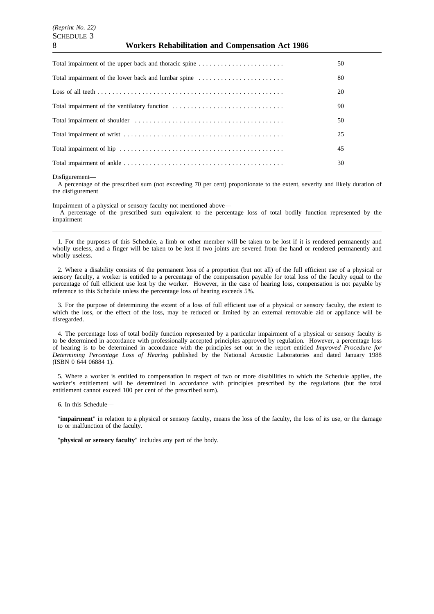### 8 **Workers Rehabilitation and Compensation Act 1986**

| Total impairment of the upper back and thoracic spine | 50 |
|-------------------------------------------------------|----|
| Total impairment of the lower back and lumbar spine   | 80 |
|                                                       | 20 |
| Total impairment of the ventilatory function          | 90 |
|                                                       | 50 |
|                                                       | 25 |
|                                                       | 45 |
|                                                       | 30 |

Disfigurement—

A percentage of the prescribed sum (not exceeding 70 per cent) proportionate to the extent, severity and likely duration of the disfigurement

Impairment of a physical or sensory faculty not mentioned above—

A percentage of the prescribed sum equivalent to the percentage loss of total bodily function represented by the impairment

1. For the purposes of this Schedule, a limb or other member will be taken to be lost if it is rendered permanently and wholly useless, and a finger will be taken to be lost if two joints are severed from the hand or rendered permanently and wholly useless.

2. Where a disability consists of the permanent loss of a proportion (but not all) of the full efficient use of a physical or sensory faculty, a worker is entitled to a percentage of the compensation payable for total loss of the faculty equal to the percentage of full efficient use lost by the worker. However, in the case of hearing loss, compensation is not payable by reference to this Schedule unless the percentage loss of hearing exceeds 5%.

3. For the purpose of determining the extent of a loss of full efficient use of a physical or sensory faculty, the extent to which the loss, or the effect of the loss, may be reduced or limited by an external removable aid or appliance will be disregarded.

4. The percentage loss of total bodily function represented by a particular impairment of a physical or sensory faculty is to be determined in accordance with professionally accepted principles approved by regulation. However, a percentage loss of hearing is to be determined in accordance with the principles set out in the report entitled *Improved Procedure for Determining Percentage Loss of Hearing* published by the National Acoustic Laboratories and dated January 1988 (ISBN 0 644 06884 1).

5. Where a worker is entitled to compensation in respect of two or more disabilities to which the Schedule applies, the worker's entitlement will be determined in accordance with principles prescribed by the regulations (but the total entitlement cannot exceed 100 per cent of the prescribed sum).

6. In this Schedule—

"**impairment**" in relation to a physical or sensory faculty, means the loss of the faculty, the loss of its use, or the damage to or malfunction of the faculty.

"**physical or sensory faculty**" includes any part of the body.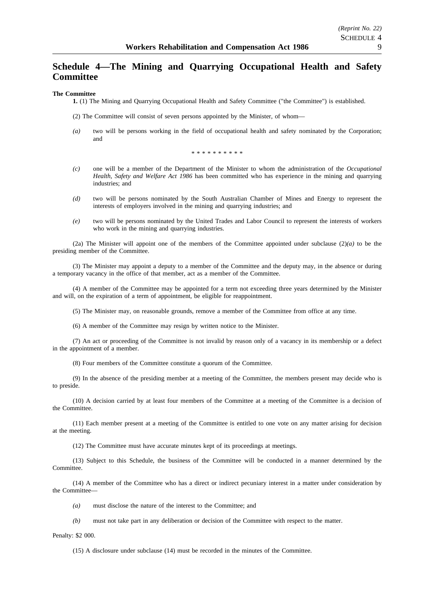# **Schedule 4—The Mining and Quarrying Occupational Health and Safety Committee**

### **The Committee**

**1.** (1) The Mining and Quarrying Occupational Health and Safety Committee ("the Committee") is established.

(2) The Committee will consist of seven persons appointed by the Minister, of whom—

*(a)* two will be persons working in the field of occupational health and safety nominated by the Corporation; and

\*\*\*\*\*\*\*\*

- *(c)* one will be a member of the Department of the Minister to whom the administration of the *Occupational Health, Safety and Welfare Act 1986* has been committed who has experience in the mining and quarrying industries; and
- *(d)* two will be persons nominated by the South Australian Chamber of Mines and Energy to represent the interests of employers involved in the mining and quarrying industries; and
- *(e)* two will be persons nominated by the United Trades and Labor Council to represent the interests of workers who work in the mining and quarrying industries.

(2a) The Minister will appoint one of the members of the Committee appointed under subclause  $(2)(a)$  to be the presiding member of the Committee.

(3) The Minister may appoint a deputy to a member of the Committee and the deputy may, in the absence or during a temporary vacancy in the office of that member, act as a member of the Committee.

(4) A member of the Committee may be appointed for a term not exceeding three years determined by the Minister and will, on the expiration of a term of appointment, be eligible for reappointment.

(5) The Minister may, on reasonable grounds, remove a member of the Committee from office at any time.

(6) A member of the Committee may resign by written notice to the Minister.

(7) An act or proceeding of the Committee is not invalid by reason only of a vacancy in its membership or a defect in the appointment of a member.

(8) Four members of the Committee constitute a quorum of the Committee.

(9) In the absence of the presiding member at a meeting of the Committee, the members present may decide who is to preside.

(10) A decision carried by at least four members of the Committee at a meeting of the Committee is a decision of the Committee.

(11) Each member present at a meeting of the Committee is entitled to one vote on any matter arising for decision at the meeting.

(12) The Committee must have accurate minutes kept of its proceedings at meetings.

(13) Subject to this Schedule, the business of the Committee will be conducted in a manner determined by the Committee.

(14) A member of the Committee who has a direct or indirect pecuniary interest in a matter under consideration by the Committee—

*(a)* must disclose the nature of the interest to the Committee; and

*(b)* must not take part in any deliberation or decision of the Committee with respect to the matter.

Penalty: \$2 000.

(15) A disclosure under subclause (14) must be recorded in the minutes of the Committee.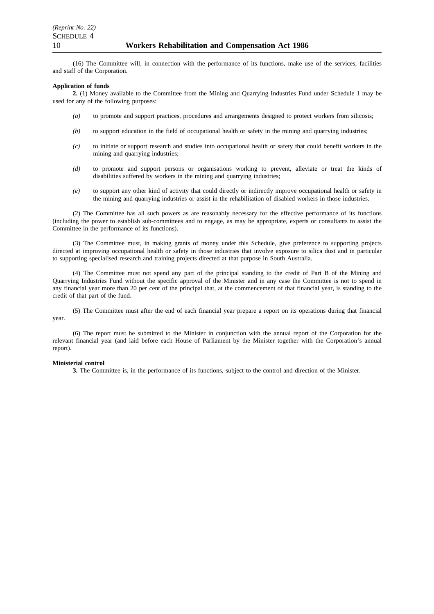(16) The Committee will, in connection with the performance of its functions, make use of the services, facilities and staff of the Corporation.

### **Application of funds**

**2.** (1) Money available to the Committee from the Mining and Quarrying Industries Fund under Schedule 1 may be used for any of the following purposes:

- *(a)* to promote and support practices, procedures and arrangements designed to protect workers from silicosis;
- *(b)* to support education in the field of occupational health or safety in the mining and quarrying industries;
- *(c)* to initiate or support research and studies into occupational health or safety that could benefit workers in the mining and quarrying industries;
- *(d)* to promote and support persons or organisations working to prevent, alleviate or treat the kinds of disabilities suffered by workers in the mining and quarrying industries;
- *(e)* to support any other kind of activity that could directly or indirectly improve occupational health or safety in the mining and quarrying industries or assist in the rehabilitation of disabled workers in those industries.

(2) The Committee has all such powers as are reasonably necessary for the effective performance of its functions (including the power to establish sub-committees and to engage, as may be appropriate, experts or consultants to assist the Committee in the performance of its functions).

(3) The Committee must, in making grants of money under this Schedule, give preference to supporting projects directed at improving occupational health or safety in those industries that involve exposure to silica dust and in particular to supporting specialised research and training projects directed at that purpose in South Australia.

(4) The Committee must not spend any part of the principal standing to the credit of Part B of the Mining and Quarrying Industries Fund without the specific approval of the Minister and in any case the Committee is not to spend in any financial year more than 20 per cent of the principal that, at the commencement of that financial year, is standing to the credit of that part of the fund.

(5) The Committee must after the end of each financial year prepare a report on its operations during that financial year.

(6) The report must be submitted to the Minister in conjunction with the annual report of the Corporation for the relevant financial year (and laid before each House of Parliament by the Minister together with the Corporation's annual report).

### **Ministerial control**

**3.** The Committee is, in the performance of its functions, subject to the control and direction of the Minister.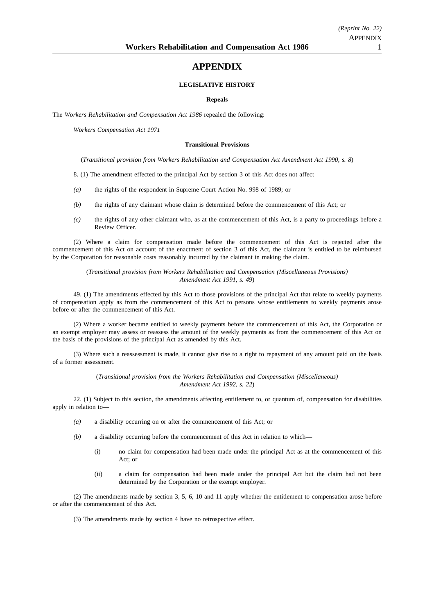# **APPENDIX**

### **LEGISLATIVE HISTORY**

### **Repeals**

The *Workers Rehabilitation and Compensation Act 1986* repealed the following:

*Workers Compensation Act 1971*

### **Transitional Provisions**

(*Transitional provision from Workers Rehabilitation and Compensation Act Amendment Act 1990, s. 8*)

- 8. (1) The amendment effected to the principal Act by section 3 of this Act does not affect—
- *(a)* the rights of the respondent in Supreme Court Action No. 998 of 1989; or
- *(b)* the rights of any claimant whose claim is determined before the commencement of this Act; or
- *(c)* the rights of any other claimant who, as at the commencement of this Act, is a party to proceedings before a Review Officer.

(2) Where a claim for compensation made before the commencement of this Act is rejected after the commencement of this Act on account of the enactment of section 3 of this Act, the claimant is entitled to be reimbursed by the Corporation for reasonable costs reasonably incurred by the claimant in making the claim.

### (*Transitional provision from Workers Rehabilitation and Compensation (Miscellaneous Provisions) Amendment Act 1991, s. 49*)

49. (1) The amendments effected by this Act to those provisions of the principal Act that relate to weekly payments of compensation apply as from the commencement of this Act to persons whose entitlements to weekly payments arose before or after the commencement of this Act.

(2) Where a worker became entitled to weekly payments before the commencement of this Act, the Corporation or an exempt employer may assess or reassess the amount of the weekly payments as from the commencement of this Act on the basis of the provisions of the principal Act as amended by this Act.

(3) Where such a reassessment is made, it cannot give rise to a right to repayment of any amount paid on the basis of a former assessment.

> (*Transitional provision from the Workers Rehabilitation and Compensation (Miscellaneous) Amendment Act 1992, s. 22*)

22. (1) Subject to this section, the amendments affecting entitlement to, or quantum of, compensation for disabilities apply in relation to—

- *(a)* a disability occurring on or after the commencement of this Act; or
- *(b)* a disability occurring before the commencement of this Act in relation to which—
	- (i) no claim for compensation had been made under the principal Act as at the commencement of this Act; or
	- (ii) a claim for compensation had been made under the principal Act but the claim had not been determined by the Corporation or the exempt employer.

(2) The amendments made by section 3, 5, 6, 10 and 11 apply whether the entitlement to compensation arose before or after the commencement of this Act.

(3) The amendments made by section 4 have no retrospective effect.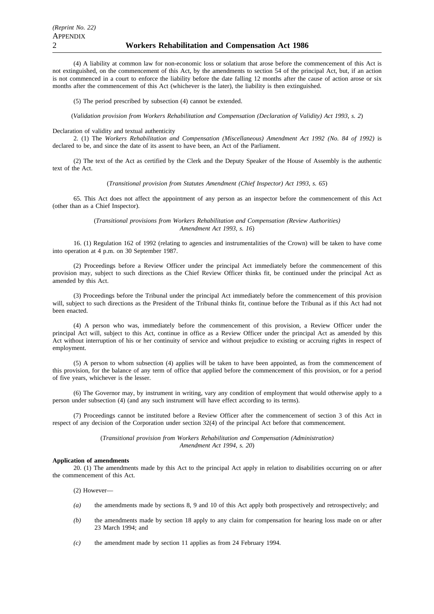(4) A liability at common law for non-economic loss or solatium that arose before the commencement of this Act is not extinguished, on the commencement of this Act, by the amendments to section 54 of the principal Act, but, if an action is not commenced in a court to enforce the liability before the date falling 12 months after the cause of action arose or six months after the commencement of this Act (whichever is the later), the liability is then extinguished.

(5) The period prescribed by subsection (4) cannot be extended.

(*Validation provision from Workers Rehabilitation and Compensation (Declaration of Validity) Act 1993, s. 2*)

### Declaration of validity and textual authenticity

2. (1) The *Workers Rehabilitation and Compensation (Miscellaneous) Amendment Act 1992 (No. 84 of 1992)* is declared to be, and since the date of its assent to have been, an Act of the Parliament.

(2) The text of the Act as certified by the Clerk and the Deputy Speaker of the House of Assembly is the authentic text of the Act.

(*Transitional provision from Statutes Amendment (Chief Inspector) Act 1993, s. 65*)

65. This Act does not affect the appointment of any person as an inspector before the commencement of this Act (other than as a Chief Inspector).

> (*Transitional provisions from Workers Rehabilitation and Compensation (Review Authorities) Amendment Act 1993, s. 16*)

16. (1) Regulation 162 of 1992 (relating to agencies and instrumentalities of the Crown) will be taken to have come into operation at 4 p.m. on 30 September 1987.

(2) Proceedings before a Review Officer under the principal Act immediately before the commencement of this provision may, subject to such directions as the Chief Review Officer thinks fit, be continued under the principal Act as amended by this Act.

(3) Proceedings before the Tribunal under the principal Act immediately before the commencement of this provision will, subject to such directions as the President of the Tribunal thinks fit, continue before the Tribunal as if this Act had not been enacted.

(4) A person who was, immediately before the commencement of this provision, a Review Officer under the principal Act will, subject to this Act, continue in office as a Review Officer under the principal Act as amended by this Act without interruption of his or her continuity of service and without prejudice to existing or accruing rights in respect of employment.

(5) A person to whom subsection (4) applies will be taken to have been appointed, as from the commencement of this provision, for the balance of any term of office that applied before the commencement of this provision, or for a period of five years, whichever is the lesser.

(6) The Governor may, by instrument in writing, vary any condition of employment that would otherwise apply to a person under subsection (4) (and any such instrument will have effect according to its terms).

(7) Proceedings cannot be instituted before a Review Officer after the commencement of section 3 of this Act in respect of any decision of the Corporation under section 32(4) of the principal Act before that commencement.

> (*Transitional provision from Workers Rehabilitation and Compensation (Administration) Amendment Act 1994, s. 20*)

### **Application of amendments**

20. (1) The amendments made by this Act to the principal Act apply in relation to disabilities occurring on or after the commencement of this Act.

(2) However—

- *(a)* the amendments made by sections 8, 9 and 10 of this Act apply both prospectively and retrospectively; and
- *(b)* the amendments made by section 18 apply to any claim for compensation for hearing loss made on or after 23 March 1994; and
- *(c)* the amendment made by section 11 applies as from 24 February 1994.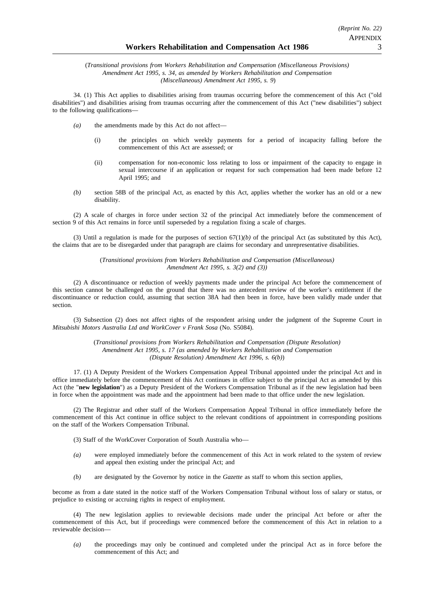(*Transitional provisions from Workers Rehabilitation and Compensation (Miscellaneous Provisions) Amendment Act 1995, s. 34, as amended by Workers Rehabilitation and Compensation (Miscellaneous) Amendment Act 1995, s. 9*)

34. (1) This Act applies to disabilities arising from traumas occurring before the commencement of this Act ("old disabilities") and disabilities arising from traumas occurring after the commencement of this Act ("new disabilities") subject to the following qualifications—

- *(a)* the amendments made by this Act do not affect—
	- (i) the principles on which weekly payments for a period of incapacity falling before the commencement of this Act are assessed; or
	- (ii) compensation for non-economic loss relating to loss or impairment of the capacity to engage in sexual intercourse if an application or request for such compensation had been made before 12 April 1995; and
- *(b)* section 58B of the principal Act, as enacted by this Act, applies whether the worker has an old or a new disability.

(2) A scale of charges in force under section 32 of the principal Act immediately before the commencement of section 9 of this Act remains in force until superseded by a regulation fixing a scale of charges.

(3) Until a regulation is made for the purposes of section  $67(1)/b$  of the principal Act (as substituted by this Act), the claims that are to be disregarded under that paragraph are claims for secondary and unrepresentative disabilities.

> (*Transitional provisions from Workers Rehabilitation and Compensation (Miscellaneous) Amendment Act 1995, s. 3(2) and (3))*

(2) A discontinuance or reduction of weekly payments made under the principal Act before the commencement of this section cannot be challenged on the ground that there was no antecedent review of the worker's entitlement if the discontinuance or reduction could, assuming that section 38A had then been in force, have been validly made under that section.

(3) Subsection (2) does not affect rights of the respondent arising under the judgment of the Supreme Court in *Mitsubishi Motors Australia Ltd and WorkCover v Frank Sosa* (No. S5084).

> (*Transitional provisions from Workers Rehabilitation and Compensation (Dispute Resolution) Amendment Act 1995, s. 17 (as amended by Workers Rehabilitation and Compensation (Dispute Resolution) Amendment Act 1996, s. 6(b)*)

17. (1) A Deputy President of the Workers Compensation Appeal Tribunal appointed under the principal Act and in office immediately before the commencement of this Act continues in office subject to the principal Act as amended by this Act (the "**new legislation**") as a Deputy President of the Workers Compensation Tribunal as if the new legislation had been in force when the appointment was made and the appointment had been made to that office under the new legislation.

(2) The Registrar and other staff of the Workers Compensation Appeal Tribunal in office immediately before the commencement of this Act continue in office subject to the relevant conditions of appointment in corresponding positions on the staff of the Workers Compensation Tribunal.

(3) Staff of the WorkCover Corporation of South Australia who—

- *(a)* were employed immediately before the commencement of this Act in work related to the system of review and appeal then existing under the principal Act; and
- *(b)* are designated by the Governor by notice in the *Gazette* as staff to whom this section applies,

become as from a date stated in the notice staff of the Workers Compensation Tribunal without loss of salary or status, or prejudice to existing or accruing rights in respect of employment.

(4) The new legislation applies to reviewable decisions made under the principal Act before or after the commencement of this Act, but if proceedings were commenced before the commencement of this Act in relation to a reviewable decision—

*(a)* the proceedings may only be continued and completed under the principal Act as in force before the commencement of this Act; and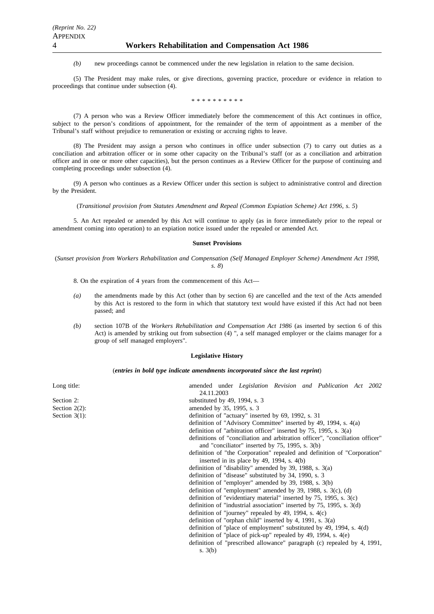*(b)* new proceedings cannot be commenced under the new legislation in relation to the same decision.

(5) The President may make rules, or give directions, governing practice, procedure or evidence in relation to proceedings that continue under subsection (4).

\*\*\*\*\*\*\*\*\*\*

(7) A person who was a Review Officer immediately before the commencement of this Act continues in office, subject to the person's conditions of appointment, for the remainder of the term of appointment as a member of the Tribunal's staff without prejudice to remuneration or existing or accruing rights to leave.

(8) The President may assign a person who continues in office under subsection (7) to carry out duties as a conciliation and arbitration officer or in some other capacity on the Tribunal's staff (or as a conciliation and arbitration officer and in one or more other capacities), but the person continues as a Review Officer for the purpose of continuing and completing proceedings under subsection (4).

(9) A person who continues as a Review Officer under this section is subject to administrative control and direction by the President.

(*Transitional provision from Statutes Amendment and Repeal (Common Expiation Scheme) Act 1996, s. 5*)

5. An Act repealed or amended by this Act will continue to apply (as in force immediately prior to the repeal or amendment coming into operation) to an expiation notice issued under the repealed or amended Act.

### **Sunset Provisions**

(*Sunset provision from Workers Rehabilitation and Compensation (Self Managed Employer Scheme) Amendment Act 1998, s. 8*)

8. On the expiration of 4 years from the commencement of this Act—

- *(a)* the amendments made by this Act (other than by section 6) are cancelled and the text of the Acts amended by this Act is restored to the form in which that statutory text would have existed if this Act had not been passed; and
- *(b)* section 107B of the *Workers Rehabilitation and Compensation Act 1986* (as inserted by section 6 of this Act) is amended by striking out from subsection (4) ", a self managed employer or the claims manager for a group of self managed employers".

### **Legislative History**

### (*entries in bold type indicate amendments incorporated since the last reprint*)

| Long title:      | amended under <i>Legislation Revision and Publication Act 2002</i><br>24.11.2003 |
|------------------|----------------------------------------------------------------------------------|
| Section 2:       | substituted by 49, 1994, s. $3$                                                  |
| Section $2(2)$ : | amended by 35, 1995, s. 3                                                        |
| Section $3(1)$ : | definition of "actuary" inserted by 69, 1992, s. 31                              |
|                  | definition of "Advisory Committee" inserted by 49, 1994, s. 4(a)                 |
|                  | definition of "arbitration officer" inserted by $75$ , 1995, s. $3(a)$           |
|                  | definitions of "conciliation and arbitration officer", "conciliation officer"    |
|                  | and "conciliator" inserted by $75$ , 1995, s. $3(b)$                             |
|                  | definition of "the Corporation" repealed and definition of "Corporation"         |
|                  | inserted in its place by 49, 1994, s. 4(b)                                       |
|                  | definition of "disability" amended by 39, 1988, s. $3(a)$                        |
|                  | definition of "disease" substituted by 34, 1990, s. 3                            |
|                  | definition of "employer" amended by $39$ , $1988$ , s. $3(b)$                    |
|                  | definition of "employment" amended by $39$ , $1988$ , s. $3(c)$ , (d)            |
|                  | definition of "evidentiary material" inserted by $75$ , 1995, s. $3(c)$          |
|                  | definition of "industrial association" inserted by $75$ , 1995, s. $3(d)$        |
|                  | definition of "journey" repealed by 49, 1994, s. $4(c)$                          |
|                  | definition of "orphan child" inserted by 4, 1991, s. $3(a)$                      |
|                  | definition of "place of employment" substituted by 49, 1994, s. 4(d)             |
|                  | definition of "place of pick-up" repealed by 49, 1994, s. $4(e)$                 |
|                  | definition of "prescribed allowance" paragraph (c) repealed by 4, 1991,          |
|                  | s. $3(b)$                                                                        |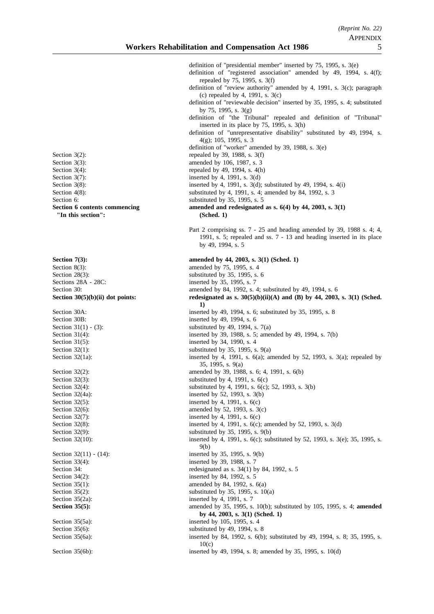definition of "presidential member" inserted by 75, 1995, s. 3(e) definition of "registered association" amended by 49, 1994, s. 4(f); repealed by 75, 1995, s. 3(f) definition of "review authority" amended by 4, 1991, s. 3(c); paragraph (c) repealed by 4, 1991, s. 3(c) definition of "reviewable decision" inserted by 35, 1995, s. 4; substituted by 75, 1995, s. 3(g) definition of "the Tribunal" repealed and definition of "Tribunal" inserted in its place by 75, 1995, s. 3(h) definition of "unrepresentative disability" substituted by 49, 1994, s. 4(g); 105, 1995, s. 3 definition of "worker" amended by 39, 1988, s. 3(e) Section  $3(2)$ : repealed by 39, 1988, s.  $3(f)$ Section 3(3): amended by 106, 1987, s. 3 Section  $3(4)$ : repealed by 49, 1994, s.  $4(h)$ Section  $3(7)$ : inserted by 4, 1991, s.  $3(d)$ Section 3(8): inserted by 4, 1991, s. 3(d); substituted by 49, 1994, s. 4(i) Section 4(8): substituted by 4, 1991, s. 4; amended by 84, 1992, s. 3 Section 6: substituted by 35, 1995, s. 5 **Section 6 contents commencing amended and redesignated as s. 6(4) by 44, 2003, s. 3(1)** Part 2 comprising ss. 7 - 25 and heading amended by 39, 1988 s. 4; 4, 1991, s. 5; repealed and ss. 7 - 13 and heading inserted in its place by 49, 1994, s. 5 **Section 7(3):** amended by 44, 2003, s. 3(1) (Sched. 1) Section 8(3):<br>Section 28(3):<br>Section 28(3):<br>Section 28(3):<br>Section 28(3): Section 28(3):<br>Sections 28A - 28C:<br>Sections 28A - 28C:<br>Sections 28A - 28C: inserted by 35, 1995, s. 7 Section 30: **amended by 84, 1992, s. 4; substituted by 49, 1994, s. 6** Section 30(5)(b)(ii) dot points: redesignated as s. 30(5)(b)(ii)(A) and (B) by 44, 2003, s. 3(1) (Sched. **1)** Section 30A: inserted by 49, 1994, s. 6; substituted by 35, 1995, s. 8 Section 30B: inserted by 49, 1994, s. 6 Section  $31(1) - (3)$ : substituted by 49, 1994, s. 7(a) Section 31(4): inserted by 39, 1988, s. 5; amended by 49, 1994, s. 7(b) Section 31(5): inserted by 34, 1990, s. 4 Section  $32(1)$ : substituted by 35, 1995, s. 9(a) Section  $32(1a)$ : inserted by 4, 1991, s.  $6(a)$ ; amended by 52, 1993, s.  $3(a)$ ; repealed by 35, 1995, s. 9(a) Section 32(2): amended by 39, 1988, s. 6; 4, 1991, s. 6(b) Section  $32(3)$ : substituted by 4, 1991, s.  $6(c)$ Section 32(4): substituted by 4, 1991, s. 6(c); 52, 1993, s. 3(b) Section 32(4a): inserted by 52, 1993, s. 3(b) Section  $32(5)$ : inserted by 4, 1991, s.  $6(c)$ Section 32(6): amended by 52, 1993, s. 3(c) Section  $32(7)$ : inserted by 4, 1991, s.  $6(c)$ Section 32(8): inserted by 4, 1991, s. 6(c); amended by 52, 1993, s. 3(d) Section 32(9): substituted by 35, 1995, s. 9(b) Section 32(10): inserted by 4, 1991, s. 6(c); substituted by 52, 1993, s. 3(e); 35, 1995, s. 9(b) Section 32(11) - (14): inserted by 35, 1995, s. 9(b) Section 33(4): inserted by 39, 1988, s. 7 Section 34: redesignated as s. 34(1) by 84, 1992, s. 5 Section 34(2): inserted by 84, 1992, s. 5 Section  $35(1)$ : amended by 84, 1992, s.  $6(a)$ Section  $35(2)$ : substituted by  $35$ ,  $1995$ , s.  $10(a)$ Section  $35(2a)$ : inserted by 4, 1991, s. 7 **Section 35(5):** amended by 35, 1995, s. 10(b); substituted by 105, 1995, s. 4; **amended by 44, 2003, s. 3(1) (Sched. 1)** Section 35(5a): inserted by 105, 1995, s. 4 Section 35(6): substituted by 49, 1994, s. 8 Section 35(6a): inserted by 84, 1992, s. 6(b); substituted by 49, 1994, s. 8; 35, 1995, s. 10(c)

Section 35(6b): inserted by 49, 1994, s. 8; amended by 35, 1995, s. 10(d)

**"In this section": (Sched. 1)**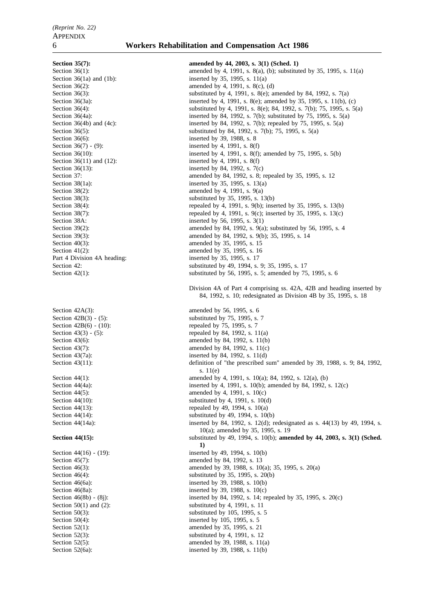# Section 36(6): inserted by 39, 1988, s. 8 Section 36(7) - (9): inserted by 4, 1991, s. 8(f) Section 36(11) and (12): inserted by 4, 1991, s. 8(f) Section 36(13): inserted by 84, 1992, s.  $7(c)$ Section 38A: inserted by 56, 1995, s. 3(1) Section 40(3): amended by 35, 1995, s. 15<br>Section 41(2): amended by 35, 1995, s. 16 Part 4 Division 4A heading:

### 6 **Workers Rehabilitation and Compensation Act 1986**

**Section 35(7): amended by 44, 2003, s. 3(1) (Sched. 1)** Section 36(1): amended by 4, 1991, s. 8(a), (b); substituted by 35, 1995, s. 11(a) Section 36(1a) and (1b): inserted by 35, 1995, s. 11(a) Section  $36(2)$ : amended by 4, 1991, s.  $8(c)$ , (d) Section 36(3): substituted by 4, 1991, s. 8(e); amended by 84, 1992, s. 7(a) Section 36(3a): inserted by 4, 1991, s. 8(e); amended by 35, 1995, s. 11(b), (c)<br>Section 36(4): substituted by 4, 1991, s. 8(e); 84, 1992, s. 7(b); 75, 1995, s. 5 substituted by 4, 1991, s. 8(e); 84, 1992, s. 7(b); 75, 1995, s. 5(a) Section 36(4a): inserted by 84, 1992, s. 7(b); substituted by 75, 1995, s. 5(a) Section 36(4b) and (4c): inserted by 84, 1992, s. 7(b); repealed by 75, 1995, s. 5(a) substituted by 84, 1992, s. 7(b); 75, 1995, s. 5(a) substituted by 84, 1992, s. 7(b); 75, 1995, s. 5(a) Section 36(10): inserted by 4, 1991, s. 8(f); amended by 75, 1995, s. 5(b) Section 37: **amended** by 84, 1992, s. 8; repealed by 35, 1995, s. 12 Section  $38(1a)$ : inserted by 35, 1995, s. 13(a)<br>Section  $38(2)$ : amended by 4, 1991, s. 9(a) amended by 4, 1991, s.  $9(a)$ Section 38(3): substituted by 35, 1995, s. 13(b) Section 38(4):<br>
Section 38(7):<br>
Section 38(7):<br>
Section 38(7):<br>
Section 38(7): repealed by 4, 1991, s. 9(c); inserted by 35, 1995, s. 13(c) Section 39(2):<br>
Section 39(3):<br>
amended by 84, 1992, s. 9(b); 35, 1995, s. 14<br>
amended by 84, 1992, s. 9(b); 35, 1995, s. 14 amended by 84, 1992, s. 9(b); 35, 1995, s. 14 amended by 35, 1995, s. 16<br>inserted by 35, 1995, s. 17 Section 42: substituted by 49, 1994, s. 9; 35, 1995, s. 17 Section 42(1): substituted by 56, 1995, s. 5; amended by 75, 1995, s. 6 Division 4A of Part 4 comprising ss. 42A, 42B and heading inserted by 84, 1992, s. 10; redesignated as Division 4B by 35, 1995, s. 18 Section 42A(3): amended by 56, 1995, s. 6 Section 42B(3) - (5):<br>Section 42B(6) - (10):<br>Section 42B(6) - (10):<br>Section 42B(6) - (10): repealed by  $75$ , 1995, s.  $7$ Section  $43(3) - (5)$ : repealed by 84, 1992, s. 11(a) Section  $43(6)$ : amended by 84, 1992, s. 11(b) Section 43(7): amended by 84, 1992, s. 11(c) Section 43(7a): inserted by 84, 1992, s. 11(d) Section 43(11): definition of "the prescribed sum" amended by 39, 1988, s. 9; 84, 1992, s. 11(e) Section 44(1): amended by 4, 1991, s. 10(a); 84, 1992, s. 12(a), (b) Section 44(4a): inserted by 4, 1991, s. 10(b); amended by 84, 1992, s. 12(c) Section 44(5): amended by 4, 1991, s.  $10(c)$ Section 44(10): substituted by 4, 1991, s. 10(d) Section 44(13): repealed by 49, 1994, s.  $10(a)$ Section  $44(14)$ : substituted by 49, 1994, s. 10(b) Section 44(14a): inserted by 84, 1992, s. 12(d); redesignated as s. 44(13) by 49, 1994, s. 10(a); amended by 35, 1995, s. 19 **Section 44(15):** substituted by 49, 1994, s. 10(b); **amended by 44, 2003, s. 3(1) (Sched. 1)** Section 44(16) - (19): inserted by 49, 1994, s. 10(b) Section 45(7): amended by 84, 1992, s. 13 Section 46(3):<br>
Section 46(4):<br>
Section 46(4):<br>
Section 46(4):<br>
Section 46(4): substituted by 35, 1995, s.  $20(b)$ Section 46(6a): inserted by 39, 1988, s. 10(b) Section 46(8a):<br>
Section 46(8b) - (8i):<br>
inserted by 39, 1988, s. 10(c)<br>
inserted by 84, 1992, s. 14; re inserted by 84, 1992, s. 14; repealed by 35, 1995, s.  $20(c)$ Section 50(1) and (2): substituted by 4, 1991, s. 11 Section  $50(3)$ : substituted by 105, 1995, s. 5 Section 50(4): inserted by 105, 1995, s. 5 Section 52(1): amended by 35, 1995, s. 21 Section 52(3): substituted by 4, 1991, s. 12 Section 52(5): amended by 39, 1988, s. 11(a) Section 52(6a): inserted by 39, 1988, s. 11(b)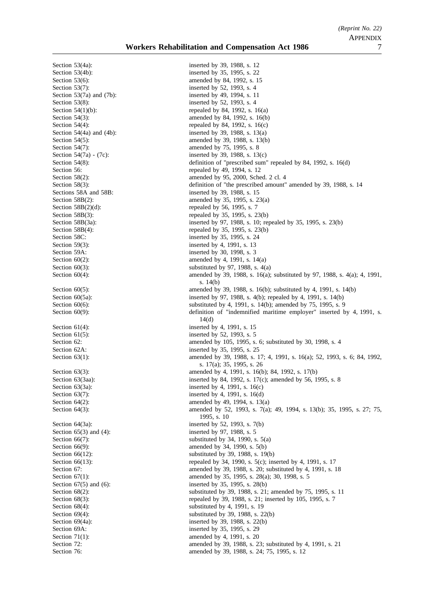Section 53(4a): inserted by 39, 1988, s. 12 Section 53(7): inserted by 52, 1993, s. 4 Section 53(7a) and (7b): inserted by 49, 1994, s. 11 Section 53(8): inserted by 52, 1993, s. 4 Section 59(3):<br>Section 59A:<br>Section 59A:<br>Section 59A:<br>Section 59A: Section 61(4): inserted by 4, 1991, s. 15 Section 61(5): inserted by 52, 1993, s. 5 Section 65(3) and (4): inserted by 97, 1988, s. 5

Section 53(4b): inserted by 35, 1995, s. 22 Section 53(6): amended by 84, 1992, s. 15 Section 54(1)(b): repealed by 84, 1992, s.  $16(a)$ Section 54(3): amended by 84, 1992, s. 16(b) Section 54(4): repealed by 84, 1992, s. 16(c) Section 54(4a) and (4b): inserted by 39, 1988, s. 13(a) Section 54(5): amended by 39, 1988, s. 13(b) Section 54(7): amended by 75, 1995, s. 8 Section 54(7a) - (7c):<br>Section 54(8):<br>Section 54(8):<br>Section 54(8): definition of "prescribed sum" repealed by 84, 1992, s.  $16(d)$ Section 56: repealed by 49, 1994, s. 12 Section 58(2):<br>
Section 58(3):<br>
Section 58(3):<br>
Section 58(3):<br>
Section 58(3): definition of "the prescribed amount" amended by 39, 1988, s. 14 Sections 58A and 58B: inserted by 39, 1988, s. 15 Section 58B(2): amended by 35, 1995, s. 23(a)<br>Section 58B(2)(d): repeated by 56, 1995, s. 7 repealed by 56, 1995, s.  $7$ Section 58B(3): repealed by 35, 1995, s. 23(b) Section 58B(3a): inserted by 97, 1988, s. 10; repealed by 35, 1995, s. 23(b)<br>Section 58B(4): repealed by 35, 1995, s. 23(b) Section 58B(4):<br>Section 58C:<br>Section 58C:<br>Section 58C:<br>Section 58C:<br>Section 58C: inserted by 35, 1995, s. 24 inserted by 30, 1998, s.  $3$ Section  $60(2)$ : amended by 4, 1991, s. 14(a) Section  $60(3)$ :<br>Section  $60(4)$ :<br>Section  $60(4)$ :<br>Section  $60(4)$ : amended by 39, 1988, s. 16(a); substituted by 97, 1988, s. 4(a); 4, 1991, s. 14(b) Section 60(5): amended by 39, 1988, s. 16(b); substituted by 4, 1991, s. 14(b) Section 60(5a): inserted by 97, 1988, s. 4(b); repealed by 4, 1991, s. 14(b) Section 60(6): substituted by 4, 1991, s. 14(b); amended by 75, 1995, s. 9 Section 60(9): definition of "indemnified maritime employer" inserted by 4, 1991, s. 14(d) Section 62: **amended** by 105, 1995, s. 6; substituted by 30, 1998, s. 4 Section 62A: inserted by 35, 1995, s. 25 Section 63(1): amended by 39, 1988, s. 17; 4, 1991, s. 16(a); 52, 1993, s. 6; 84, 1992, s. 17(a); 35, 1995, s. 26 Section 63(3): amended by 4, 1991, s. 16(b); 84, 1992, s. 17(b) Section 63(3aa): inserted by 84, 1992, s. 17(c); amended by 56, 1995, s. 8 Section 63(3a): inserted by 4, 1991, s. 16(c) Section  $63(7)$ : inserted by 4, 1991, s. 16(d) Section 64(2): amended by 49, 1994, s. 13(a) Section 64(3): amended by 52, 1993, s. 7(a); 49, 1994, s. 13(b); 35, 1995, s. 27; 75, 1995, s. 10 Section 64(3a): inserted by 52, 1993, s. 7(b) Section  $66(7)$ : substituted by 34, 1990, s.  $5(a)$ Section 66(9): amended by 34, 1990, s. 5(b) Section 66(12): substituted by 39, 1988, s. 19(b) Section 66(13):<br>
Section 67:<br>
Section 67:<br>
Section 67:<br>
Section 67:<br>
Section 67: amended by 39, 1988, s. 20; substituted by 4, 1991, s. 18 Section 67(1): amended by 35, 1995, s. 28(a); 30, 1998, s. 5 Section 67(5) and (6): inserted by 35, 1995, s. 28(b)<br>Section 68(2): substituted by 39, 1988, s. 21 substituted by 39, 1988, s. 21; amended by 75, 1995, s. 11 Section 68(3): repealed by 39, 1988, s. 21; inserted by 105, 1995, s. 7 Section 68(4):<br>Section 69(4):<br>Section 69(4):<br>Section 69(4):<br>Section 4. 1991, s. 1988, s. 2. Section  $69(4)$ :<br>Section  $69(4a)$ :<br>Section  $69(4a)$ :<br>Section  $69(4a)$ :<br>Section  $69(4a)$ : inserted by 39, 1988, s.  $22(b)$ Section 69A: inserted by 35, 1995, s. 29 Section 71(1): amended by 4, 1991, s. 20 Section 72: **amended** by 39, 1988, s. 23; substituted by 4, 1991, s. 21 Section 76: **amended** by 39, 1988, s. 24; 75, 1995, s. 12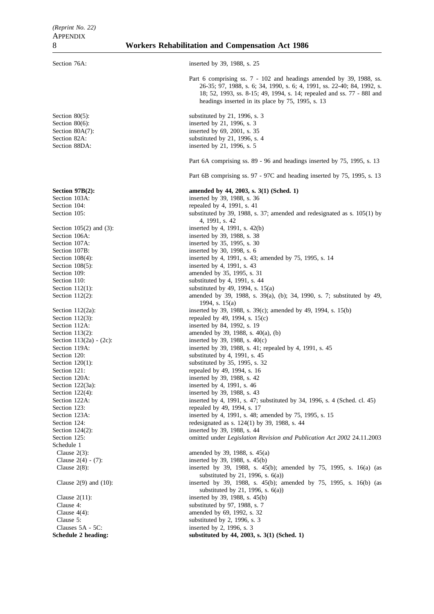| Section 76A:                       | inserted by 39, 1988, s. 25                                                                                                                    |
|------------------------------------|------------------------------------------------------------------------------------------------------------------------------------------------|
|                                    |                                                                                                                                                |
|                                    | Part 6 comprising ss. 7 - 102 and headings amended by 39, 1988, ss.<br>26-35; 97, 1988, s. 6; 34, 1990, s. 6; 4, 1991, ss. 22-40; 84, 1992, s. |
|                                    | 18; 52, 1993, ss. 8-15; 49, 1994, s. 14; repealed and ss. 77 - 88I and                                                                         |
|                                    | headings inserted in its place by 75, 1995, s. 13                                                                                              |
| Section $80(5)$ :                  | substituted by 21, 1996, s. $3$                                                                                                                |
| Section $80(6)$ :                  | inserted by 21, 1996, s. 3                                                                                                                     |
| Section $80A(7)$ :                 | inserted by 69, 2001, s. 35                                                                                                                    |
| Section 82A:<br>Section 88DA:      | substituted by $21, 1996, s. 4$<br>inserted by 21, 1996, s. 5                                                                                  |
|                                    | Part 6A comprising ss. 89 - 96 and headings inserted by 75, 1995, s. 13                                                                        |
|                                    | Part 6B comprising ss. 97 - 97C and heading inserted by 75, 1995, s. 13                                                                        |
| Section $97B(2)$ :                 | amended by 44, 2003, s. 3(1) (Sched. 1)                                                                                                        |
| Section 103A:                      | inserted by 39, 1988, s. 36                                                                                                                    |
| Section 104:                       | repealed by 4, 1991, s. 41                                                                                                                     |
| Section 105:                       | substituted by 39, 1988, s. 37; amended and redesignated as s. $105(1)$ by<br>4, 1991, s. 42                                                   |
| Section $105(2)$ and $(3)$ :       | inserted by 4, 1991, s. 42(b)                                                                                                                  |
| Section 106A:                      | inserted by 39, 1988, s. 38                                                                                                                    |
| Section 107A:                      | inserted by 35, 1995, s. 30                                                                                                                    |
| Section 107B:                      | inserted by 30, 1998, s. 6                                                                                                                     |
| Section $108(4)$ :                 | inserted by 4, 1991, s. 43; amended by 75, 1995, s. 14                                                                                         |
| Section $108(5)$ :<br>Section 109: | inserted by 4, 1991, s. 43<br>amended by 35, 1995, s. 31                                                                                       |
| Section 110:                       | substituted by 4, 1991, s. 44                                                                                                                  |
| Section $112(1)$ :                 | substituted by 49, 1994, s. $15(a)$                                                                                                            |
| Section $112(2)$ :                 | amended by 39, 1988, s. 39(a), (b); 34, 1990, s. 7; substituted by 49,<br>1994, s. $15(a)$                                                     |
| Section $112(2a)$ :                | inserted by 39, 1988, s. 39(c); amended by 49, 1994, s. 15(b)                                                                                  |
| Section $112(3)$ :                 | repealed by 49, 1994, s. $15(c)$                                                                                                               |
| Section 112A:                      | inserted by 84, 1992, s. 19                                                                                                                    |
| Section $113(2)$ :                 | amended by 39, 1988, s. $40(a)$ , (b)                                                                                                          |
| Section $113(2a) - (2c)$ :         | inserted by 39, 1988, s. $40(c)$                                                                                                               |
| Section 119A:                      | inserted by 39, 1988, s. 41; repealed by 4, 1991, s. 45                                                                                        |
| Section 120:<br>Section $120(1)$ : | substituted by 4, 1991, s. $45$<br>substituted by 35, 1995, s. 32                                                                              |
| Section 121:                       | repealed by 49, 1994, s. 16                                                                                                                    |
| Section 120A:                      | inserted by 39, 1988, s. 42                                                                                                                    |
| Section $122(3a)$ :                | inserted by 4, 1991, s. 46                                                                                                                     |
| Section 122(4):                    | inserted by 39, 1988, s. 43                                                                                                                    |
| Section 122A:                      | inserted by 4, 1991, s. 47; substituted by 34, 1996, s. 4 (Sched. cl. 45)                                                                      |
| Section 123:                       | repealed by 49, 1994, s. 17                                                                                                                    |
| Section 123A:                      | inserted by 4, 1991, s. 48; amended by 75, 1995, s. 15                                                                                         |
| Section 124:                       | redesignated as s. $124(1)$ by 39, 1988, s. 44                                                                                                 |
| Section $124(2)$ :                 | inserted by 39, 1988, s. 44                                                                                                                    |
| Section 125:<br>Schedule 1         | omitted under Legislation Revision and Publication Act 2002 24.11.2003                                                                         |
| Clause $2(3)$ :                    | amended by 39, 1988, s. 45(a)                                                                                                                  |
| Clause $2(4) - (7)$ :              | inserted by 39, 1988, s. 45(b)                                                                                                                 |
| Clause $2(8)$ :                    | inserted by 39, 1988, s. 45(b); amended by 75, 1995, s. 16(a) (as<br>substituted by 21, 1996, s. $6(a)$ )                                      |
| Clause $2(9)$ and $(10)$ :         | inserted by 39, 1988, s. 45(b); amended by 75, 1995, s. 16(b) (as<br>substituted by 21, 1996, s. $6(a)$ )                                      |
| Clause $2(11)$ :                   | inserted by 39, 1988, s. 45(b)                                                                                                                 |
| Clause 4:                          | substituted by 97, 1988, s. 7                                                                                                                  |
| Clause $4(4)$ :                    | amended by 69, 1992, s. 32                                                                                                                     |
| Clause 5:                          | substituted by 2, 1996, s. 3                                                                                                                   |
| Clauses 5A - 5C:                   | inserted by 2, 1996, s. 3                                                                                                                      |
| Schedule 2 heading:                | substituted by 44, 2003, s. 3(1) (Sched. 1)                                                                                                    |